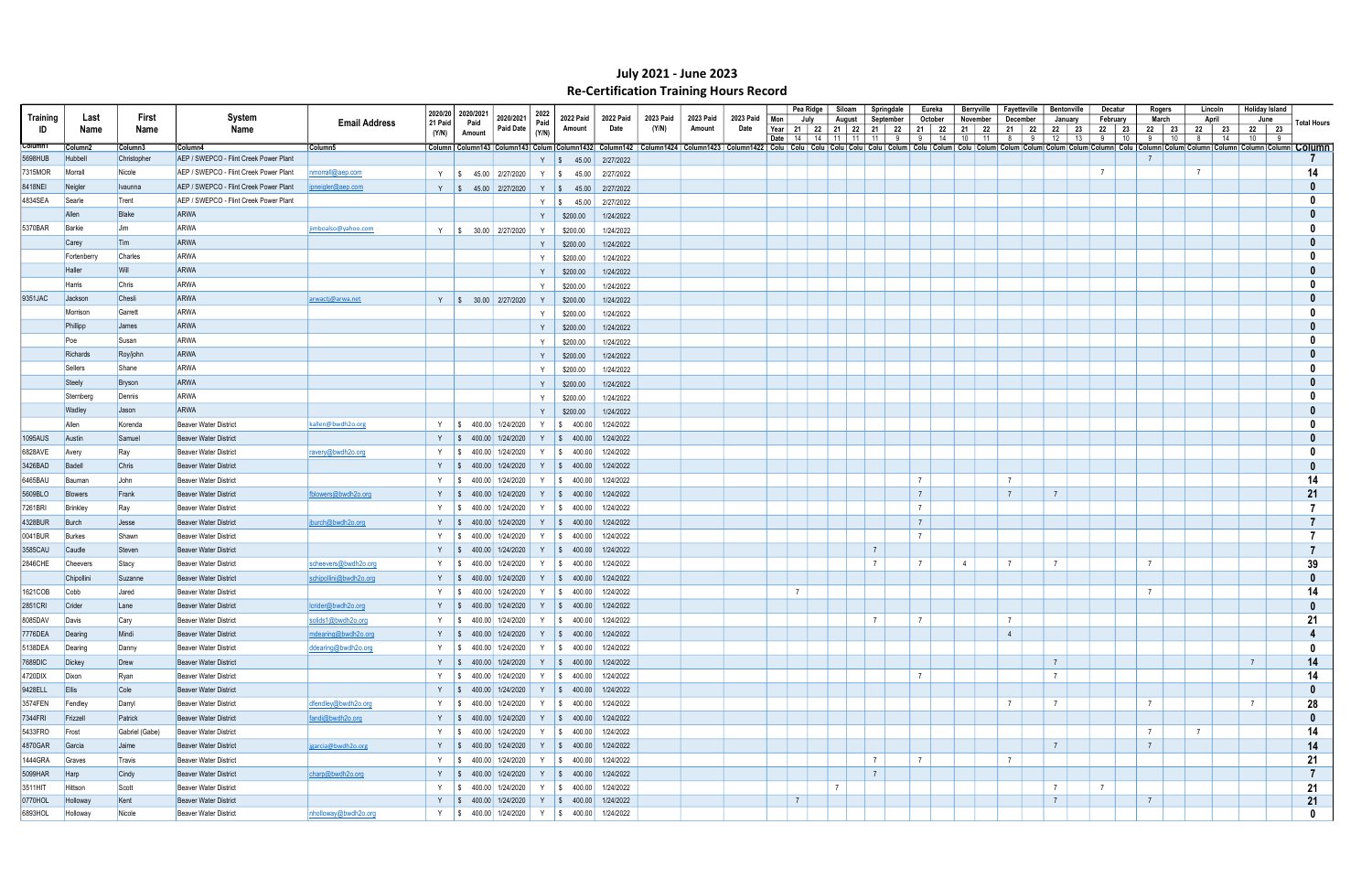|                    |                     |                  |                                        |                        |                    |                   |                                                              |              |                                            |           |                                                                                                                                                                                                                                |           |           |      | Pea Ridge                                | Siloam                |                | Springdale   | Eureka          |                | Berryville        | Fayetteville                | <b>Bentonville</b> |    | Decatur        |                 | Rogers   | Lincoln                       | <b>Holiday Island</b> |                    |
|--------------------|---------------------|------------------|----------------------------------------|------------------------|--------------------|-------------------|--------------------------------------------------------------|--------------|--------------------------------------------|-----------|--------------------------------------------------------------------------------------------------------------------------------------------------------------------------------------------------------------------------------|-----------|-----------|------|------------------------------------------|-----------------------|----------------|--------------|-----------------|----------------|-------------------|-----------------------------|--------------------|----|----------------|-----------------|----------|-------------------------------|-----------------------|--------------------|
| Training           | Last                | First            | System                                 | <b>Email Address</b>   | 2020/20<br>21 Paid | 2020/2021<br>Paid | 2020/2021                                                    | 2022<br>Paid | 2022 Paid                                  | 2022 Paid | 2023 Paid                                                                                                                                                                                                                      | 2023 Paid | 2023 Paid | Mon  | July                                     | August                |                | September    | October         |                | November          | December                    | January            |    | February       |                 | March    | April                         | June                  | <b>Total Hours</b> |
| ID                 | Name                | Name             | Name                                   |                        | (Y/N)              | Amount            | Paid Date                                                    | (Y/N)        | Amount                                     | Date      | (Y/N)                                                                                                                                                                                                                          | Amount    | Date      | Date | Year   21   22   21   22<br>l 14 l<br>14 | 11 <sup>1</sup><br>11 |                | 21 22<br>- 9 | 21   22<br>91   |                | 21 22<br>14 10 11 | 21<br>- 22<br>8<br><b>Q</b> | 22   23  <br>12    | 13 | 22 23<br>9     | 22<br>10<br>- 9 | 23<br>10 | 22 23<br>8 <sup>1</sup><br>14 | 22 23<br>10 9         |                    |
| Column1            | Column <sub>2</sub> | Column3          | Column4                                | Column5                |                    |                   |                                                              |              |                                            |           | Column143  Column143  Column143  Column143  Column143  Column142   Column1424   Column1424   Column1422   Column1422   Colu   Colu   Colu   Colu   Colu   Colu   Colu   Colu   Colu   Colu   Colu   Colu   Colu   Colu   Colum |           |           |      |                                          |                       |                |              |                 |                |                   |                             |                    |    |                |                 |          |                               |                       |                    |
| 5698HUB            | Hubbell             | Christopher      | AEP / SWEPCO - Flint Creek Power Plant |                        |                    |                   |                                                              |              | Y   \$ 45.00 2/27/2022                     |           |                                                                                                                                                                                                                                |           |           |      |                                          |                       |                |              |                 |                |                   |                             |                    |    |                |                 |          |                               |                       |                    |
| 7315MOR            | Morrall             | Nicole           | AEP / SWEPCO - Flint Creek Power Plant | nmorrall@aep.com       |                    |                   | Y   \$ 45.00   2/27/2020                                     |              | 45.00<br>Y   \$                            | 2/27/2022 |                                                                                                                                                                                                                                |           |           |      |                                          |                       |                |              |                 |                |                   |                             |                    |    | $\overline{7}$ |                 |          | $\overline{7}$                |                       | 14                 |
| 8418NEI            | Neigler             | <i>I</i> Ivaunna | AEP / SWEPCO - Flint Creek Power Plant | ipneigler@aep.com      |                    |                   | Y   \$ 45.00 2/27/2020                                       |              | Y   \$ 45.00                               | 2/27/2022 |                                                                                                                                                                                                                                |           |           |      |                                          |                       |                |              |                 |                |                   |                             |                    |    |                |                 |          |                               |                       |                    |
| 4834SEA            | Searle              | Trent            | AEP / SWEPCO - Flint Creek Power Plant |                        |                    |                   |                                                              |              | $Y \mid$ \$ 45.00                          | 2/27/2022 |                                                                                                                                                                                                                                |           |           |      |                                          |                       |                |              |                 |                |                   |                             |                    |    |                |                 |          |                               |                       |                    |
|                    | Allen               | Blake            | <b>ARWA</b>                            |                        |                    |                   |                                                              | Y            | \$200.00                                   | 1/24/2022 |                                                                                                                                                                                                                                |           |           |      |                                          |                       |                |              |                 |                |                   |                             |                    |    |                |                 |          |                               |                       |                    |
| 5370BAR            | Barkie              | <b>Jim</b>       | <b>ARWA</b>                            | imboalso@yahoo.com     |                    |                   | Y   \$ 30.00   2/27/2020                                     |              | \$200.00                                   | 1/24/2022 |                                                                                                                                                                                                                                |           |           |      |                                          |                       |                |              |                 |                |                   |                             |                    |    |                |                 |          |                               |                       |                    |
|                    | Carey               | Tim              | <b>ARWA</b>                            |                        |                    |                   |                                                              | Y            | \$200.00                                   | 1/24/2022 |                                                                                                                                                                                                                                |           |           |      |                                          |                       |                |              |                 |                |                   |                             |                    |    |                |                 |          |                               |                       |                    |
|                    | Fortenberry         | Charles          | <b>ARWA</b>                            |                        |                    |                   |                                                              |              | \$200.00                                   | 1/24/2022 |                                                                                                                                                                                                                                |           |           |      |                                          |                       |                |              |                 |                |                   |                             |                    |    |                |                 |          |                               |                       |                    |
|                    | Haller              | Will             | <b>ARWA</b>                            |                        |                    |                   |                                                              | Y            | \$200.00                                   | 1/24/2022 |                                                                                                                                                                                                                                |           |           |      |                                          |                       |                |              |                 |                |                   |                             |                    |    |                |                 |          |                               |                       |                    |
|                    | Harris              | Chris            | <b>ARWA</b>                            |                        |                    |                   |                                                              | Y            | \$200.00                                   | 1/24/2022 |                                                                                                                                                                                                                                |           |           |      |                                          |                       |                |              |                 |                |                   |                             |                    |    |                |                 |          |                               |                       |                    |
| 9351JAC            | Jackson             | Chesli           | <b>ARWA</b>                            | arwactj@arwa.net       |                    |                   | Y   \$ 30.00   2/27/2020                                     | Y            | \$200.00                                   | 1/24/2022 |                                                                                                                                                                                                                                |           |           |      |                                          |                       |                |              |                 |                |                   |                             |                    |    |                |                 |          |                               |                       |                    |
|                    | Morrison            | Garrett          | <b>ARWA</b>                            |                        |                    |                   |                                                              |              | \$200.00                                   | 1/24/2022 |                                                                                                                                                                                                                                |           |           |      |                                          |                       |                |              |                 |                |                   |                             |                    |    |                |                 |          |                               |                       |                    |
|                    | Phillipp            | James            | <b>ARWA</b>                            |                        |                    |                   |                                                              |              | \$200.00                                   | 1/24/2022 |                                                                                                                                                                                                                                |           |           |      |                                          |                       |                |              |                 |                |                   |                             |                    |    |                |                 |          |                               |                       |                    |
|                    | Poe                 | Susan            | <b>ARWA</b>                            |                        |                    |                   |                                                              |              | \$200.00                                   | 1/24/2022 |                                                                                                                                                                                                                                |           |           |      |                                          |                       |                |              |                 |                |                   |                             |                    |    |                |                 |          |                               |                       |                    |
|                    | Richards            | Roy/john         | <b>ARWA</b>                            |                        |                    |                   |                                                              | Y            | \$200.00                                   | 1/24/2022 |                                                                                                                                                                                                                                |           |           |      |                                          |                       |                |              |                 |                |                   |                             |                    |    |                |                 |          |                               |                       |                    |
|                    | Sellers             | Shane            | <b>ARWA</b>                            |                        |                    |                   |                                                              | Y            | \$200.00                                   | 1/24/2022 |                                                                                                                                                                                                                                |           |           |      |                                          |                       |                |              |                 |                |                   |                             |                    |    |                |                 |          |                               |                       |                    |
|                    | Steely              | Bryson           | <b>ARWA</b>                            |                        |                    |                   |                                                              |              | \$200.00                                   | 1/24/2022 |                                                                                                                                                                                                                                |           |           |      |                                          |                       |                |              |                 |                |                   |                             |                    |    |                |                 |          |                               |                       |                    |
|                    | Sternberg           | Dennis           | <b>ARWA</b>                            |                        |                    |                   |                                                              |              | \$200.00                                   | 1/24/2022 |                                                                                                                                                                                                                                |           |           |      |                                          |                       |                |              |                 |                |                   |                             |                    |    |                |                 |          |                               |                       |                    |
|                    | <b>Wadley</b>       | Jason            | <b>ARWA</b>                            |                        |                    |                   |                                                              | Y            | \$200.00                                   | 1/24/2022 |                                                                                                                                                                                                                                |           |           |      |                                          |                       |                |              |                 |                |                   |                             |                    |    |                |                 |          |                               |                       |                    |
|                    | Allen               | Korenda          | <b>Beaver Water District</b>           | kallen@bwdh2o.org      | Y IS               |                   | 400.00 1/24/2020                                             |              | Y   \$ 400.00                              | 1/24/2022 |                                                                                                                                                                                                                                |           |           |      |                                          |                       |                |              |                 |                |                   |                             |                    |    |                |                 |          |                               |                       |                    |
| 1095AUS            | Austin              | Samuel           | <b>Beaver Water District</b>           |                        |                    |                   | Y   \$ 400.00 1/24/2020                                      |              | $Y \$ \$ 400.00                            | 1/24/2022 |                                                                                                                                                                                                                                |           |           |      |                                          |                       |                |              |                 |                |                   |                             |                    |    |                |                 |          |                               |                       |                    |
| 6828AVE            | Avery               | Ray              | <b>Beaver Water District</b>           | ravery@bwdh2o.org      |                    |                   | Y   \$ 400.00 1/24/2020                                      |              | Y   \$ 400.00                              | 1/24/2022 |                                                                                                                                                                                                                                |           |           |      |                                          |                       |                |              |                 |                |                   |                             |                    |    |                |                 |          |                               |                       |                    |
| 3426BAD            | Badell              | Chris            | <b>Beaver Water District</b>           |                        |                    |                   | Y   \$ 400.00 1/24/2020                                      |              | $Y \$ \$ 400.00                            | 1/24/2022 |                                                                                                                                                                                                                                |           |           |      |                                          |                       |                |              |                 |                |                   |                             |                    |    |                |                 |          |                               |                       |                    |
| 6465BAU            | Bauman              | John             | <b>Beaver Water District</b>           |                        |                    |                   | Y   \$ 400.00 1/24/2020                                      |              | $Y \mid $400.00$                           | 1/24/2022 |                                                                                                                                                                                                                                |           |           |      |                                          |                       |                |              | $\overline{7}$  |                |                   | $\overline{7}$              |                    |    |                |                 |          |                               |                       | 14                 |
| 5609BLO            | Blowers             | Frank            | <b>Beaver Water District</b>           | fblowers@bwdh2o.org    | Y S                |                   | 400.00 1/24/2020                                             |              | $Y \$ \$ 400.00                            | 1/24/2022 |                                                                                                                                                                                                                                |           |           |      |                                          |                       |                |              | $\overline{7}$  |                |                   | $\overline{7}$              | $\overline{7}$     |    |                |                 |          |                               |                       | 21                 |
|                    | Brinkley            |                  |                                        |                        |                    |                   |                                                              |              |                                            | 1/24/2022 |                                                                                                                                                                                                                                |           |           |      |                                          |                       |                |              | $\overline{7}$  |                |                   |                             |                    |    |                |                 |          |                               |                       |                    |
| 7261BRI<br>4328BUR |                     | Ray              | <b>Beaver Water District</b>           |                        |                    |                   | Y   \$ 400.00 1/24/2020<br>Y $\parallel$ \$ 400.00 1/24/2020 |              | Y   \$ 400.00<br>Y   \$ 400.00   1/24/2022 |           |                                                                                                                                                                                                                                |           |           |      |                                          |                       |                |              | $\overline{7}$  |                |                   |                             |                    |    |                |                 |          |                               |                       |                    |
|                    | Burch               | Jesse            | <b>Beaver Water District</b>           | jburch@bwdh2o.org      |                    |                   |                                                              |              |                                            |           |                                                                                                                                                                                                                                |           |           |      |                                          |                       |                |              | $\overline{7}$  |                |                   |                             |                    |    |                |                 |          |                               |                       |                    |
| 0041BUR            | Burkes              | Shawn            | <b>Beaver Water District</b>           |                        |                    |                   | Y   \$ 400.00 1/24/2020                                      |              | $Y$   \$ 400.00                            | 1/24/2022 |                                                                                                                                                                                                                                |           |           |      |                                          |                       | $\overline{7}$ |              |                 |                |                   |                             |                    |    |                |                 |          |                               |                       |                    |
| 3585CAU            | Caudle              | Steven           | <b>Beaver Water District</b>           |                        |                    |                   | Y   \$ 400.00 1/24/2020                                      |              | $Y \mid $400.00$                           | 1/24/2022 |                                                                                                                                                                                                                                |           |           |      |                                          |                       |                |              | $\overline{7}$  |                |                   |                             |                    |    |                |                 |          |                               |                       |                    |
| 2846CHE            | Cheevers            | Stacy            | <b>Beaver Water District</b>           | scheevers@bwdh2o.org   | Y IS               |                   | 400.00 1/24/2020                                             |              | $Y$ \$ 400.00                              | 1/24/2022 |                                                                                                                                                                                                                                |           |           |      |                                          |                       |                |              |                 | $\overline{4}$ |                   | $\overline{7}$              |                    |    |                |                 |          |                               |                       | 39                 |
|                    | Chipollini          | Suzanne          | <b>Beaver Water District</b>           | schipollini@bwdh2o.org | Y S                |                   | 400.00 1/24/2020                                             |              | $Y \mid$ \$ 400.00                         | 1/24/2022 |                                                                                                                                                                                                                                |           |           |      |                                          |                       |                |              |                 |                |                   |                             |                    |    |                |                 |          |                               |                       |                    |
| 1621COB            | Cobb                | Jared            | <b>Beaver Water District</b>           |                        |                    |                   | Y   \$ 400.00   1/24/2020                                    |              | Y   \$ 400.00                              | 1/24/2022 |                                                                                                                                                                                                                                |           |           |      | $\overline{7}$                           |                       |                |              |                 |                |                   |                             |                    |    |                | $\overline{7}$  |          |                               |                       | 14                 |
| <b>2851CRI</b>     | Crider              | Lane             | <b>Beaver Water District</b>           | lcrider@bwdh2o.org     |                    |                   | Y \$ 400.00 1/24/2020                                        |              | Y \$ 400.00 1/24/2022                      |           |                                                                                                                                                                                                                                |           |           |      |                                          |                       |                |              |                 |                |                   |                             |                    |    |                |                 |          |                               |                       |                    |
| 8085DAV            | Davis               | Cary             | <b>Beaver Water District</b>           | solids1@bwdh2o.org     |                    |                   | Y   \$ 400.00 1/24/2020                                      |              | Y   \$ 400.00   1/24/2022                  |           |                                                                                                                                                                                                                                |           |           |      |                                          |                       | $\overline{7}$ |              | $\overline{7}$  |                |                   | $\overline{7}$              |                    |    |                |                 |          |                               |                       | 21                 |
| 7776DEA            | Dearing             | Mindi            | Beaver Water District                  | mdearing@bwdh2o.org    |                    |                   | Y   \$ 400.00   1/24/2020                                    |              | Y   \$ 400.00   1/24/2022                  |           |                                                                                                                                                                                                                                |           |           |      |                                          |                       |                |              |                 |                |                   | $\overline{4}$              |                    |    |                |                 |          |                               |                       |                    |
| 5138DEA            | Dearing             | Danny            | <b>Beaver Water District</b>           | ddearing@bwdh2o.org    |                    |                   | Y   \$ 400.00   1/24/2020                                    |              | Y   \$ 400.00   1/24/2022                  |           |                                                                                                                                                                                                                                |           |           |      |                                          |                       |                |              |                 |                |                   |                             |                    |    |                |                 |          |                               |                       | - 0                |
| 7689DIC            | Dickey              | Drew             | Beaver Water District                  |                        |                    |                   | Y   \$ 400.00 1/24/2020                                      |              | Y   \$ 400.00   1/24/2022                  |           |                                                                                                                                                                                                                                |           |           |      |                                          |                       |                |              |                 |                |                   |                             | $7\overline{ }$    |    |                |                 |          |                               | $\overline{7}$        | 14                 |
| 4720DIX            | Dixon               | Ryan             | Beaver Water District                  |                        |                    |                   | Y   \$ 400.00   1/24/2020                                    |              | Y   \$ 400.00   1/24/2022                  |           |                                                                                                                                                                                                                                |           |           |      |                                          |                       |                |              | $7\overline{ }$ |                |                   |                             | $7\overline{ }$    |    |                |                 |          |                               |                       | 14                 |
| 9428ELL            | Ellis               | $\mathsf{Cole}$  | Beaver Water District                  |                        |                    |                   | Y   \$ 400.00 1/24/2020                                      |              | Y   \$ 400.00   1/24/2022                  |           |                                                                                                                                                                                                                                |           |           |      |                                          |                       |                |              |                 |                |                   |                             |                    |    |                |                 |          |                               |                       | $\mathbf{0}$       |
| 3574FEN            | Fendley             | Darryl           | <b>Beaver Water District</b>           | dfendley@bwdh2o.org    |                    |                   | Y   \$ 400.00 1/24/2020                                      |              | Y   \$ 400.00   1/24/2022                  |           |                                                                                                                                                                                                                                |           |           |      |                                          |                       |                |              |                 |                |                   | $\overline{7}$              | $7\overline{ }$    |    |                | $7\overline{ }$ |          |                               | $\overline{7}$        | 28                 |
| 7344FRI            | Frizzell            | Patrick          | Beaver Water District                  | fandi@bwdh2o.org       |                    |                   | Y   \$ 400.00 1/24/2020                                      |              | Y   \$ 400.00   1/24/2022                  |           |                                                                                                                                                                                                                                |           |           |      |                                          |                       |                |              |                 |                |                   |                             |                    |    |                |                 |          |                               |                       | $\bf{0}$           |
| 5433FRO            | Frost               | Gabriel (Gabe)   | Beaver Water District                  |                        |                    |                   | Y   \$ 400.00   1/24/2020                                    |              | Y   \$ 400.00   1/24/2022                  |           |                                                                                                                                                                                                                                |           |           |      |                                          |                       |                |              |                 |                |                   |                             |                    |    |                | $7\overline{ }$ |          | $\overline{7}$                |                       | 14                 |
| 4870GAR            | Garcia              | Jaime            | Beaver Water District                  | jgarcia@bwdh2o.org     |                    |                   | Y   \$ 400.00 1/24/2020                                      |              | Y   \$ 400.00   1/24/2022                  |           |                                                                                                                                                                                                                                |           |           |      |                                          |                       |                |              |                 |                |                   |                             | $7\overline{ }$    |    |                | $\overline{7}$  |          |                               |                       | 14                 |
| 1444GRA            | Graves              | Travis           | <b>Beaver Water District</b>           |                        |                    |                   | Y   \$ 400.00 1/24/2020                                      |              | Y $\vert \$ 400.00 \vert$                  | 1/24/2022 |                                                                                                                                                                                                                                |           |           |      |                                          |                       | $\overline{7}$ |              | $\overline{7}$  |                |                   | $\overline{7}$              |                    |    |                |                 |          |                               |                       | 21                 |
| 5099HAR            | Harp                | Cindy            | Beaver Water District                  | charp@bwdh2o.org       |                    |                   | Y $\parallel$ \$ 400.00 1/24/2020                            |              | Y   \$ 400.00   1/24/2022                  |           |                                                                                                                                                                                                                                |           |           |      |                                          |                       | $\overline{7}$ |              |                 |                |                   |                             |                    |    |                |                 |          |                               |                       |                    |
| 3511HIT            | Hittson             | Scott            | <b>Beaver Water District</b>           |                        |                    |                   | Y   \$ 400.00 1/24/2020                                      |              | Y   \$ 400.00   1/24/2022                  |           |                                                                                                                                                                                                                                |           |           |      |                                          | $\overline{7}$        |                |              |                 |                |                   |                             | $\overline{7}$     |    | $\overline{7}$ |                 |          |                               |                       | 21                 |
| 0770HOL            | Holloway            | Kent             | Beaver Water District                  |                        |                    |                   | Y $\vert \$$ 400.00 1/24/2020                                |              | Y   \$ 400.00   1/24/2022                  |           |                                                                                                                                                                                                                                |           |           |      | $\overline{7}$                           |                       |                |              |                 |                |                   |                             | 7                  |    |                | $\overline{7}$  |          |                               |                       | 21                 |
| 6893HOL            | Holloway            | Nicole           | Beaver Water District                  | nholloway@bwdh2o.org   |                    |                   | Y   \$ 400.00 1/24/2020                                      |              | Y   \$ 400.00   1/24/2022                  |           |                                                                                                                                                                                                                                |           |           |      |                                          |                       |                |              |                 |                |                   |                             |                    |    |                |                 |          |                               |                       | $\mathbf{0}$       |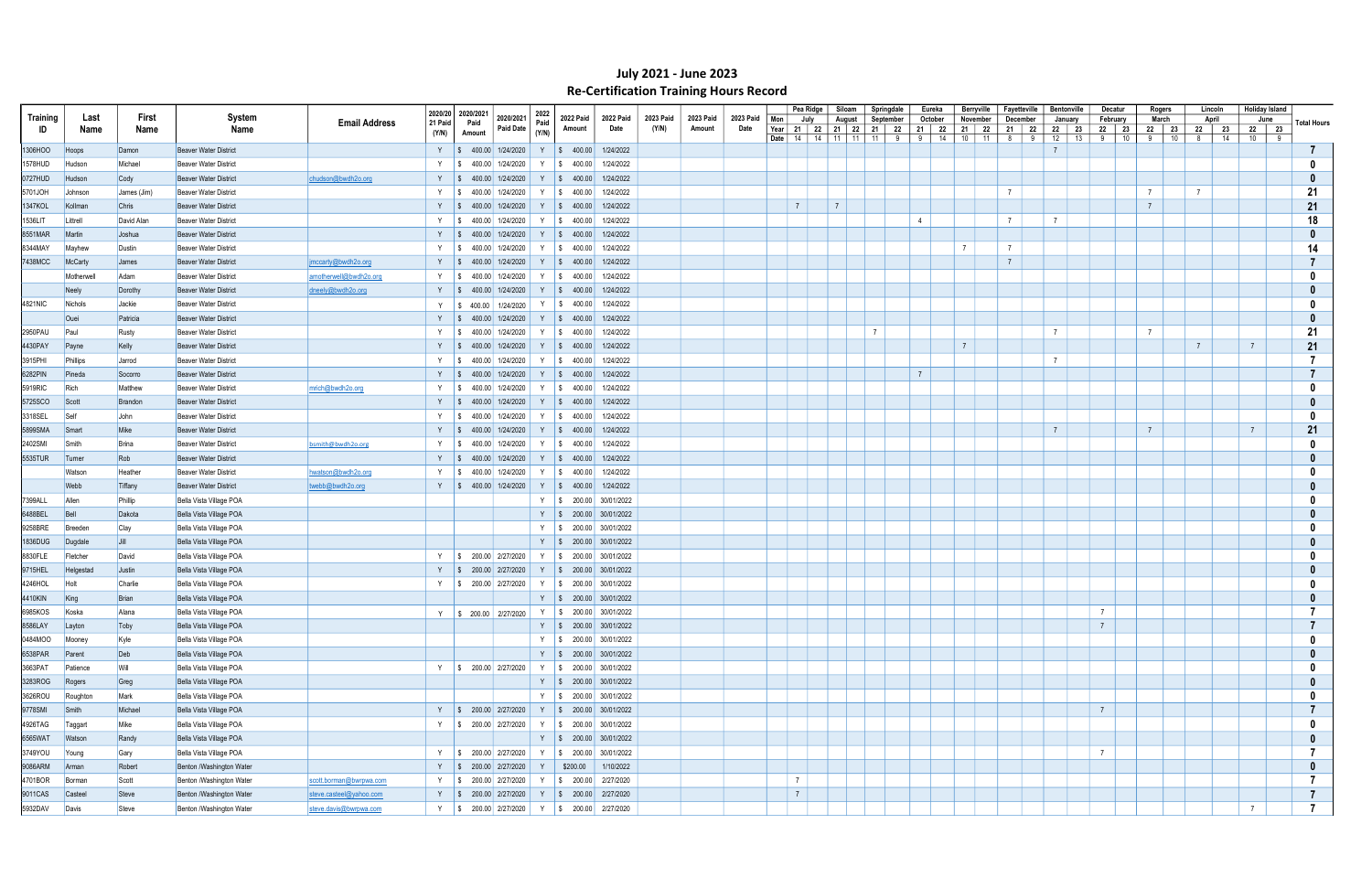|                 |               |                 |                              |                                 | 2020/20 2020/2021 |                                                        |              |                           |                               |                    |           |                   |                                              | Pea Ridge | Siloam         | Springdale                       |                   | Eureka  | Berryville           |                 | Fayetteville | Bentonville    |    | Decatur                      | Rogers           | Lincoln          | <b>Holiday Island</b> |                |
|-----------------|---------------|-----------------|------------------------------|---------------------------------|-------------------|--------------------------------------------------------|--------------|---------------------------|-------------------------------|--------------------|-----------|-------------------|----------------------------------------------|-----------|----------------|----------------------------------|-------------------|---------|----------------------|-----------------|--------------|----------------|----|------------------------------|------------------|------------------|-----------------------|----------------|
| <b>Training</b> | Last          | First           | System                       | <b>Email Address</b><br>21 Paid |                   | 2020/2021<br>Paid<br><b>Paid Date</b>                  | 2022<br>Paid | 2022 Paid                 | 2022 Paid                     | 2023 Paid<br>(Y/N) | 2023 Paid | 2023 Paid<br>Date | Mon                                          | July      | August         | September                        |                   | October | November             |                 | December     | January        |    | February                     | March            | April            | June                  | Total Hours    |
| ID              | Name          | Name            | Name                         | (Y/N)                           |                   | Amount                                                 | (Y/N)        | Amount                    | Date                          |                    | Amount    |                   | Year<br><b>Date</b>   14   14   11   11   11 |           |                | 21   22   21   22   21   22<br>9 | $21$ 22<br>9   14 |         | 21   22<br>$10$   11 | 8 <sup>8</sup>  | 21   22<br>9 | 12             | 13 | 22   23   22   23<br>9<br>10 | 22 23<br>9<br>10 | 22 23<br>14<br>8 | 22 23<br>10   9       |                |
| 1306HOO         | Hoops         | Damon           | <b>Beaver Water District</b> |                                 |                   | Y $\parallel$ \$ 400.00 1/24/2020                      |              | $Y \mid $400.00$          | 1/24/2022                     |                    |           |                   |                                              |           |                |                                  |                   |         |                      |                 |              | $\overline{7}$ |    |                              |                  |                  |                       |                |
| 1578HUD         | Hudson        | Michael         | Beaver Water District        |                                 | $\mathsf{S}$      | 400.00 1/24/2020                                       | Y            | $\frac{1}{9}$ 400.00      | 1/24/2022                     |                    |           |                   |                                              |           |                |                                  |                   |         |                      |                 |              |                |    |                              |                  |                  |                       |                |
| 0727HUD         | Hudson        | Cody            | <b>Beaver Water District</b> | chudson@bwdh2o.org              |                   | Y   \$ 400.00 1/24/2020                                |              | $Y \mid$ \$ 400.00        | 1/24/2022                     |                    |           |                   |                                              |           |                |                                  |                   |         |                      |                 |              |                |    |                              |                  |                  |                       |                |
| 5701JOH         | Johnson       | James (Jim)     | Beaver Water District        |                                 |                   | Y   \$ 400.00   1/24/2020                              |              | Y   \$ 400.00             | 1/24/2022                     |                    |           |                   |                                              |           |                |                                  |                   |         |                      | $\overline{7}$  |              |                |    |                              | $\overline{7}$   | $\overline{7}$   |                       | 21             |
| 1347KOL         | Kollman       | Chris           | Beaver Water District        |                                 |                   | Y   \$ 400.00 1/24/2020                                | Y            | $\frac{1}{5}$ 400.00      | 1/24/2022                     |                    |           |                   | $7\overline{ }$                              |           | $\overline{7}$ |                                  |                   |         |                      |                 |              |                |    |                              | $\overline{7}$   |                  |                       | 21             |
| 1536LIT         | Littrell      | David Alan      | Beaver Water District        |                                 |                   | Y   \$ 400.00 1/24/2020                                |              | Y   \$ 400.00             | 1/24/2022                     |                    |           |                   |                                              |           |                |                                  | $\overline{4}$    |         |                      | $\overline{7}$  |              | $\overline{7}$ |    |                              |                  |                  |                       | 18             |
| 8551MAR         | <b>Martin</b> | <b>Joshua</b>   | <b>Beaver Water District</b> |                                 | Y S               | 400.00 1/24/2020                                       |              | Y   \$ 400.00             | 1/24/2022                     |                    |           |                   |                                              |           |                |                                  |                   |         |                      |                 |              |                |    |                              |                  |                  |                       | 0              |
| 8344MAY         | Mayhew        | Dustin          | Beaver Water District        |                                 | $Y \parallel$ \$  | 400.00 1/24/2020                                       |              | Y   \$ 400.00             | 1/24/2022                     |                    |           |                   |                                              |           |                |                                  |                   |         |                      | $7\overline{ }$ |              |                |    |                              |                  |                  |                       | 14             |
| 7438MCC         | McCarty       | James           | Beaver Water District        | imccarty@bwdh2o.org             | $Y \mid$ \$       | 400.00 1/24/2020                                       |              | Y   \$ 400.00             | 1/24/2022                     |                    |           |                   |                                              |           |                |                                  |                   |         |                      | $\overline{7}$  |              |                |    |                              |                  |                  |                       |                |
|                 | Motherwell    | Adam            | <b>Beaver Water District</b> | amotherwell@bwdh2o.org          | Y S               | 400.00 1/24/2020                                       |              | Y   \$ 400.00             | 1/24/2022                     |                    |           |                   |                                              |           |                |                                  |                   |         |                      |                 |              |                |    |                              |                  |                  |                       |                |
|                 | Neely         | Dorothy         | Beaver Water District        | dneely@bwdh2o.org               |                   | Y   \$ 400.00 1/24/2020                                |              | Y $\vert \$ 400.00 \vert$ | 1/24/2022                     |                    |           |                   |                                              |           |                |                                  |                   |         |                      |                 |              |                |    |                              |                  |                  |                       |                |
| 4821NIC         | Nichols       | Jackie          | Beaver Water District        | Y                               |                   | $\frac{1}{2}$ \$ 400.00 1/24/2020                      |              | Y   \$ 400.00             | 1/24/2022                     |                    |           |                   |                                              |           |                |                                  |                   |         |                      |                 |              |                |    |                              |                  |                  |                       |                |
|                 | Ouei          | Patricia        | <b>Beaver Water District</b> |                                 |                   | Y $\parallel$ \$ 400.00 1/24/2020                      |              |                           | Y $\vert \$$ 400.00 1/24/2022 |                    |           |                   |                                              |           |                |                                  |                   |         |                      |                 |              |                |    |                              |                  |                  |                       |                |
| 2950PAU         | Paul          | Rusty           | Beaver Water District        |                                 | Y S               | 400.00 1/24/2020                                       |              | Y   \$ 400.00             | 1/24/2022                     |                    |           |                   |                                              |           |                | $\overline{7}$                   |                   |         |                      |                 |              | $\overline{7}$ |    |                              | $\overline{7}$   |                  |                       | 21             |
| 4430PAY         | Payne         | Kelly           | Beaver Water District        |                                 | Y S               | 400.00 1/24/2020                                       |              | $Y$   \$ 400.00           | 1/24/2022                     |                    |           |                   |                                              |           |                |                                  |                   |         | $\overline{7}$       |                 |              |                |    |                              |                  | $\overline{7}$   | $\overline{7}$        | 21             |
| 3915PHI         | Phillips      | Jarrod          | Beaver Water District        |                                 | Y S               | 400.00 1/24/2020                                       |              | Y   \$ 400.00             | 1/24/2022                     |                    |           |                   |                                              |           |                |                                  |                   |         |                      |                 |              | $\overline{7}$ |    |                              |                  |                  |                       |                |
| 6282PIN         | Pineda        | Socorro         | Beaver Water District        |                                 |                   | Y   \$ 400.00 1/24/2020                                |              | $Y$   \$ 400.00           | 1/24/2022                     |                    |           |                   |                                              |           |                |                                  | $\overline{7}$    |         |                      |                 |              |                |    |                              |                  |                  |                       |                |
| 5919RIC         | Rich          | Matthew         | <b>Beaver Water District</b> | mrich@bwdh2o.org                |                   | Y   \$ 400.00 1/24/2020                                |              | Y   \$ 400.00             | 1/24/2022                     |                    |           |                   |                                              |           |                |                                  |                   |         |                      |                 |              |                |    |                              |                  |                  |                       |                |
| 5725SCO         |               |                 | <b>Beaver Water District</b> |                                 | $Y \quad S$       | 400.00 1/24/2020                                       |              | Y   \$ 400.00             | 1/24/2022                     |                    |           |                   |                                              |           |                |                                  |                   |         |                      |                 |              |                |    |                              |                  |                  |                       |                |
|                 | Scott<br>Self | Brandon<br>John | <b>Beaver Water District</b> |                                 | Y S               | 400.00 1/24/2020                                       |              | Y   \$ 400.00             | 1/24/2022                     |                    |           |                   |                                              |           |                |                                  |                   |         |                      |                 |              |                |    |                              |                  |                  |                       |                |
| 3318SEL         | Smart         | Mike            | Beaver Water District        |                                 |                   |                                                        |              | Y   \$ 400.00             | 1/24/2022                     |                    |           |                   |                                              |           |                |                                  |                   |         |                      |                 |              | $\overline{7}$ |    |                              | $\overline{7}$   |                  | $\overline{7}$        |                |
| 5899SMA         |               |                 |                              |                                 | Y S               | 400.00 1/24/2020                                       |              |                           |                               |                    |           |                   |                                              |           |                |                                  |                   |         |                      |                 |              |                |    |                              |                  |                  |                       | 21             |
| 2402SMI         | Smith         | <b>Brina</b>    | <b>Beaver Water District</b> | bsmith@bwdh2o.org               | Y S               | 400.00 1/24/2020                                       |              | Y   \$ 400.00             | 1/24/2022                     |                    |           |                   |                                              |           |                |                                  |                   |         |                      |                 |              |                |    |                              |                  |                  |                       |                |
| 5535TUR         | Turner        | Rob             | Beaver Water District        |                                 |                   | Y   \$ 400.00 1/24/2020                                |              | Y   \$ 400.00             | 1/24/2022                     |                    |           |                   |                                              |           |                |                                  |                   |         |                      |                 |              |                |    |                              |                  |                  |                       |                |
|                 | Watson        | Heather         | <b>Beaver Water District</b> | hwatson@bwdh2o.org              |                   | Y   \$ 400.00 1/24/2020                                |              | Y   \$ 400.00             | 1/24/2022                     |                    |           |                   |                                              |           |                |                                  |                   |         |                      |                 |              |                |    |                              |                  |                  |                       |                |
|                 | Webb          | Tiffany         | <b>Beaver Water District</b> | twebb@bwdh2o.org                |                   | Y $\parallel$ \$ 400.00 1/24/2020                      |              |                           | Y   \$ 400.00   1/24/2022     |                    |           |                   |                                              |           |                |                                  |                   |         |                      |                 |              |                |    |                              |                  |                  |                       |                |
| 7399ALL         | <b>Allen</b>  | Phillip         | Bella Vista Village POA      |                                 |                   |                                                        |              |                           | Y   \$ 200.00 30/01/2022      |                    |           |                   |                                              |           |                |                                  |                   |         |                      |                 |              |                |    |                              |                  |                  |                       |                |
| 6488BEL         | Bell          | Dakota          | Bella Vista Village POA      |                                 |                   |                                                        |              |                           | Y   \$ 200.00 30/01/2022      |                    |           |                   |                                              |           |                |                                  |                   |         |                      |                 |              |                |    |                              |                  |                  |                       |                |
| 9258BRE         | Breeden       | Clay            | Bella Vista Village POA      |                                 |                   |                                                        |              |                           | Y   \$ 200.00 30/01/2022      |                    |           |                   |                                              |           |                |                                  |                   |         |                      |                 |              |                |    |                              |                  |                  |                       |                |
| 1836DUG         | Dugdale       | I Jill          | Bella Vista Village POA      |                                 |                   |                                                        |              |                           | Y   \$ 200.00 30/01/2022      |                    |           |                   |                                              |           |                |                                  |                   |         |                      |                 |              |                |    |                              |                  |                  |                       |                |
| 8830FLE         | Fletcher      | David           | Bella Vista Village POA      |                                 |                   | Y   \$ 200.00 2/27/2020                                |              |                           | Y   \$ 200.00 30/01/2022      |                    |           |                   |                                              |           |                |                                  |                   |         |                      |                 |              |                |    |                              |                  |                  |                       |                |
| 9715HEL         | Helgestad     | Justin          | Bella Vista Village POA      |                                 |                   | Y   \$ 200.00 2/27/2020                                |              |                           | Y   \$ 200.00 30/01/2022      |                    |           |                   |                                              |           |                |                                  |                   |         |                      |                 |              |                |    |                              |                  |                  |                       |                |
| 4246HOL         | Holt          | Charlie         | Bella Vista Village POA      |                                 |                   | Y   \$ 200.00   2/27/2020                              |              |                           | Y   \$ 200.00 30/01/2022      |                    |           |                   |                                              |           |                |                                  |                   |         |                      |                 |              |                |    |                              |                  |                  |                       |                |
| 4410KIN         | King          | <b>Brian</b>    | Bella Vista Village POA      |                                 |                   |                                                        |              |                           | Y   \$ 200.00 30/01/2022      |                    |           |                   |                                              |           |                |                                  |                   |         |                      |                 |              |                |    |                              |                  |                  |                       |                |
| 6985KOS         | Koska         | Alana           | Bella Vista Village POA      |                                 |                   | Y \$ 200.00 2/27/2020                                  |              |                           | Y   \$ 200.00 30/01/2022      |                    |           |                   |                                              |           |                |                                  |                   |         |                      |                 |              |                |    | $\overline{7}$               |                  |                  |                       |                |
| 8586LAY         | Layton        | Toby            | Bella Vista Village POA      |                                 |                   |                                                        |              |                           | Y   \$ 200.00 30/01/2022      |                    |           |                   |                                              |           |                |                                  |                   |         |                      |                 |              |                |    | $\overline{7}$               |                  |                  |                       |                |
| 0484MOO         | Mooney        | Kyle            | Bella Vista Village POA      |                                 |                   |                                                        |              |                           | Y   \$ 200.00 30/01/2022      |                    |           |                   |                                              |           |                |                                  |                   |         |                      |                 |              |                |    |                              |                  |                  |                       | 0              |
| 6538PAR         | Parent        | Deb             | Bella Vista Village POA      |                                 |                   |                                                        |              |                           | Y   \$ 200.00 30/01/2022      |                    |           |                   |                                              |           |                |                                  |                   |         |                      |                 |              |                |    |                              |                  |                  |                       |                |
| 3663PAT         | Patience      | Will            | Bella Vista Village POA      |                                 |                   | Y   \$ 200.00 2/27/2020   Y   \$ 200.00 30/01/2022     |              |                           |                               |                    |           |                   |                                              |           |                |                                  |                   |         |                      |                 |              |                |    |                              |                  |                  |                       |                |
| 3283ROG         | Rogers        | Greg            | Bella Vista Village POA      |                                 |                   |                                                        |              |                           | Y   \$ 200.00 30/01/2022      |                    |           |                   |                                              |           |                |                                  |                   |         |                      |                 |              |                |    |                              |                  |                  |                       |                |
| 3626ROU         | Roughtor      | Mark            | Bella Vista Village POA      |                                 |                   |                                                        |              |                           | Y   \$ 200.00 30/01/2022      |                    |           |                   |                                              |           |                |                                  |                   |         |                      |                 |              |                |    |                              |                  |                  |                       |                |
| 9778SMI         | Smith         | Michael         | Bella Vista Village POA      |                                 |                   | Y \$ 200.00 2/27/2020 Y \$ 200.00 30/01/2022           |              |                           |                               |                    |           |                   |                                              |           |                |                                  |                   |         |                      |                 |              |                |    | $\overline{7}$               |                  |                  |                       |                |
| 4926TAG         | Taggart       | Mike            | Bella Vista Village POA      |                                 |                   | Y   \$ 200.00   2/27/2020   Y   \$ 200.00   30/01/2022 |              |                           |                               |                    |           |                   |                                              |           |                |                                  |                   |         |                      |                 |              |                |    |                              |                  |                  |                       | 0              |
| 6565WAT         | Watson        | Randy           | Bella Vista Village POA      |                                 |                   |                                                        |              |                           | Y \$ 200.00 30/01/2022        |                    |           |                   |                                              |           |                |                                  |                   |         |                      |                 |              |                |    |                              |                  |                  |                       |                |
| 3749YOU         | Young         | Gary            | Bella Vista Village POA      |                                 |                   | Y   \$ 200.00 2/27/2020   Y   \$ 200.00 30/01/2022     |              |                           |                               |                    |           |                   |                                              |           |                |                                  |                   |         |                      |                 |              |                |    | $\overline{7}$               |                  |                  |                       |                |
| 9086ARM         | Arman         | Robert          | Benton /Washington Water     |                                 |                   | Y \$ 200.00 2/27/2020                                  | Y            | \$200.00                  | 1/10/2022                     |                    |           |                   |                                              |           |                |                                  |                   |         |                      |                 |              |                |    |                              |                  |                  |                       | 0              |
| 4701BOR         | Borman        | Scott           | Benton /Washington Water     | scott.borman@bwrpwa.com         |                   | Y   \$ 200.00 2/27/2020   Y   \$ 200.00 2/27/2020      |              |                           |                               |                    |           |                   | $\overline{7}$                               |           |                |                                  |                   |         |                      |                 |              |                |    |                              |                  |                  |                       |                |
| 9011CAS         | Casteel       | Steve           | Benton /Washington Water     | steve.casteel@yahoo.com         |                   | Y   \$ 200.00 2/27/2020   Y   \$ 200.00 2/27/2020      |              |                           |                               |                    |           |                   | $7\overline{ }$                              |           |                |                                  |                   |         |                      |                 |              |                |    |                              |                  |                  |                       | $\overline{7}$ |
| 5932DAV Davis   |               | Steve           | Benton /Washington Water     | steve.davis@bwrpwa.com          |                   | Y   \$ 200.00 2/27/2020   Y   \$ 200.00 2/27/2020      |              |                           |                               |                    |           |                   |                                              |           |                |                                  |                   |         |                      |                 |              |                |    |                              |                  |                  | $\overline{7}$        | $\overline{7}$ |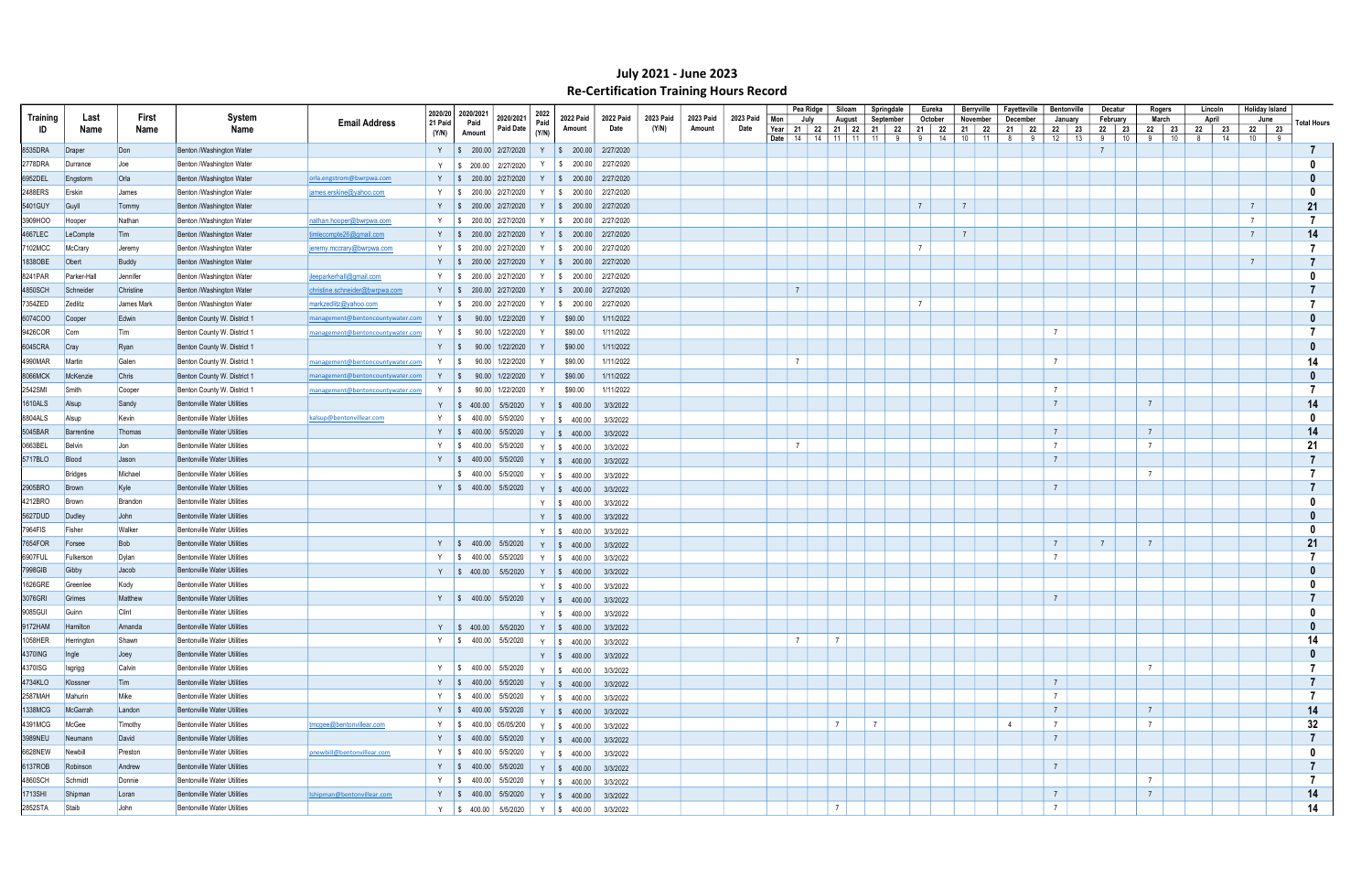|          |                    |              |                                    |                                  |         | 2020/20 2020/2021 |                                                                                                           | 2022  |                                                             |                   |                    |                     |                   |                | Pea Ridge | Siloam                                             | Springdale     |                     | Eureka        | Berryville         | Fayetteville |   | <b>Bentonville</b>   | Decatur          | Rogers          |                  | Lincoln        | Holiday Island |   |                    |
|----------|--------------------|--------------|------------------------------------|----------------------------------|---------|-------------------|-----------------------------------------------------------------------------------------------------------|-------|-------------------------------------------------------------|-------------------|--------------------|---------------------|-------------------|----------------|-----------|----------------------------------------------------|----------------|---------------------|---------------|--------------------|--------------|---|----------------------|------------------|-----------------|------------------|----------------|----------------|---|--------------------|
| Training | Last               | First        | System                             | <b>Email Address</b>             | 21 Paid | Paid              | 2020/2021<br>Paid Date                                                                                    | Paid  | <b>2022 Paid</b>                                            | 2022 Paid<br>Date | 2023 Paid<br>(Y/N) | 2023 Paid<br>Amount | 2023 Paid<br>Date | Mon            | July      | August                                             | September      |                     | October       | November           | December     |   | January              | February         | March           |                  | April          | June           |   | <b>Total Hours</b> |
| ID       | Name               | Name         | Name                               |                                  | (Y/N)   | Amount            |                                                                                                           | (Y/N) | Amount                                                      |                   |                    |                     |                   | Date $14$      |           | Year   21   22   21   22   21   22<br>14   11   11 | 11             | 9<br>9 <sup>1</sup> | 21   22<br>14 | 21   22<br>$10$ 11 | 21   22<br>8 | 9 | 22<br>23<br>12<br>13 | 22 23<br>9<br>10 | 9               | 22 23<br>10<br>8 | 22<br>23<br>14 | 22 23<br>10    | 9 |                    |
| 8535DRA  | Draper             | Don          | Benton /Washington Water           |                                  |         |                   | Y   \$ 200.00 2/27/2020                                                                                   |       | Y   \$ 200.00 2/27/2020                                     |                   |                    |                     |                   |                |           |                                                    |                |                     |               |                    |              |   |                      |                  |                 |                  |                |                |   |                    |
| 2778DRA  | Durrance           | <b>Joe</b>   | Benton /Washington Water           |                                  | Y       |                   | $\frac{1}{2}$ \$ 200.00 2/27/2020                                                                         | Y     | $\frac{1}{2}$ \$ 200.00 2/27/2020                           |                   |                    |                     |                   |                |           |                                                    |                |                     |               |                    |              |   |                      |                  |                 |                  |                |                |   |                    |
| 6952DEL  | Engstorm           | Orla         | Benton /Washington Water           | orla.engstrom@bwrpwa.com         |         |                   | Y   \$ 200.00 2/27/2020                                                                                   |       | Y   \$ 200.00 2/27/2020                                     |                   |                    |                     |                   |                |           |                                                    |                |                     |               |                    |              |   |                      |                  |                 |                  |                |                |   |                    |
| 2488ERS  | Erskin             | James        | Benton /Washington Water           | james.erskine@yahoo.com          |         |                   | Y   \$ 200.00 2/27/2020                                                                                   |       | $\frac{1}{2}$ \$ 200.00 2/27/2020                           |                   |                    |                     |                   |                |           |                                                    |                |                     |               |                    |              |   |                      |                  |                 |                  |                |                |   |                    |
| 5401GUY  | Guyll              | Tommy        | Benton /Washington Water           |                                  |         |                   | Y   \$ 200.00 2/27/2020                                                                                   |       | Y   \$ 200.00 2/27/2020                                     |                   |                    |                     |                   |                |           |                                                    |                | $\overline{7}$      |               | $\overline{7}$     |              |   |                      |                  |                 |                  |                | $\overline{7}$ |   | 21                 |
| 3909HOO  | Hooper             | Nathan       | Benton /Washington Water           | nathan.hooper@bwrpwa.com         |         |                   | Y   \$ 200.00 2/27/2020                                                                                   |       | Y   \$ 200.00 2/27/2020                                     |                   |                    |                     |                   |                |           |                                                    |                |                     |               |                    |              |   |                      |                  |                 |                  |                | $\overline{7}$ |   |                    |
| 4667LEC  | LeCompte           | Tim          | Benton /Washington Water           | timlecompte26@gmail.com          |         |                   | Y   \$ 200.00 2/27/2020                                                                                   | Y     | $\frac{1}{2}$ \$ 200.00 2/27/2020                           |                   |                    |                     |                   |                |           |                                                    |                |                     |               | $\overline{7}$     |              |   |                      |                  |                 |                  |                | $\overline{7}$ |   | 14                 |
| 7102MCC  | McCrary            | Jeremy       | Benton /Washington Water           | jeremy.mccrary@bwrpwa.com        |         |                   | Y   \$ 200.00 2/27/2020                                                                                   |       | Y   \$ 200.00 2/27/2020                                     |                   |                    |                     |                   |                |           |                                                    |                | $\overline{7}$      |               |                    |              |   |                      |                  |                 |                  |                |                |   |                    |
| 1838OBE  | Obert              | Buddy        | Benton /Washington Water           |                                  |         |                   | Y   \$ 200.00 2/27/2020                                                                                   |       | Y   \$ 200.00 2/27/2020                                     |                   |                    |                     |                   |                |           |                                                    |                |                     |               |                    |              |   |                      |                  |                 |                  |                | $\overline{7}$ |   |                    |
| 8241PAR  | <b>Parker-Hall</b> | Jennifer     | Benton /Washington Water           | jleeparkerhall@gmail.com         |         |                   | $\frac{1}{2}$ \$ 200.00 2/27/2020                                                                         |       | Y   \$ 200.00 2/27/2020                                     |                   |                    |                     |                   |                |           |                                                    |                |                     |               |                    |              |   |                      |                  |                 |                  |                |                |   |                    |
| 4850SCH  | Schneider          | Christine    | Benton /Washington Water           | christine.schneider@bwrpwa.com   |         |                   | Y   \$ 200.00 2/27/2020                                                                                   |       | Y   \$ 200.00 2/27/2020                                     |                   |                    |                     |                   | $\overline{7}$ |           |                                                    |                |                     |               |                    |              |   |                      |                  |                 |                  |                |                |   |                    |
| 7354ZED  | Zedlitz            | James Mark   | Benton /Washington Water           | markzedlitz@yahoo.com            |         |                   | Y   \$ 200.00 2/27/2020                                                                                   | Y     | $\frac{1}{2}$ \$ 200.00 2/27/2020                           |                   |                    |                     |                   |                |           |                                                    |                | $\overline{7}$      |               |                    |              |   |                      |                  |                 |                  |                |                |   |                    |
| 6074COO  | Cooper             | Edwin        | Benton County W. District 1        | management@bentoncountywater.com |         |                   | Y   \$ 90.00 1/22/2020                                                                                    |       | \$90.00                                                     | 1/11/2022         |                    |                     |                   |                |           |                                                    |                |                     |               |                    |              |   |                      |                  |                 |                  |                |                |   |                    |
| 9426COR  | Corn               | Tim          | Benton County W. District 1        | management@bentoncountywater.com |         |                   | Y   \$ 90.00 1/22/2020                                                                                    |       | \$90.00                                                     | 1/11/2022         |                    |                     |                   |                |           |                                                    |                |                     |               |                    |              |   | $\overline{7}$       |                  |                 |                  |                |                |   |                    |
| 6045CRA  |                    | Ryan         | Benton County W. District 1        |                                  |         |                   | Y   \$ 90.00 1/22/2020                                                                                    |       | \$90.00                                                     | 1/11/2022         |                    |                     |                   |                |           |                                                    |                |                     |               |                    |              |   |                      |                  |                 |                  |                |                |   |                    |
|          | Cray               |              |                                    |                                  |         |                   |                                                                                                           |       |                                                             |                   |                    |                     |                   | $\overline{7}$ |           |                                                    |                |                     |               |                    |              |   | $\overline{7}$       |                  |                 |                  |                |                |   | 14                 |
| 4990MAR  | Martin             | Galen        | Benton County W. District 1        | management@bentoncountywater.com | Y S     |                   | 90.00 1/22/2020                                                                                           |       | \$90.00                                                     | 1/11/2022         |                    |                     |                   |                |           |                                                    |                |                     |               |                    |              |   |                      |                  |                 |                  |                |                |   |                    |
| 8066MCK  | McKenzie           | Chris        | Benton County W. District 1        | management@bentoncountywater.com |         |                   | Y   \$ 90.00 1/22/2020                                                                                    |       | \$90.00                                                     | 1/11/2022         |                    |                     |                   |                |           |                                                    |                |                     |               |                    |              |   | $\overline{7}$       |                  |                 |                  |                |                |   |                    |
| 2542SMI  | Smith              | Cooper       | Benton County W. District 1        | management@bentoncountywater.com |         |                   | Y   \$ 90.00 1/22/2020                                                                                    |       | \$90.00                                                     | 1/11/2022         |                    |                     |                   |                |           |                                                    |                |                     |               |                    |              |   |                      |                  |                 |                  |                |                |   |                    |
| 1610ALS  | Alsup              | Sandy        | <b>Bentonville Water Utilities</b> |                                  |         |                   | Y   \$ 400.00 5/5/2020                                                                                    |       | Y   \$ 400.00                                               | 3/3/2022          |                    |                     |                   |                |           |                                                    |                |                     |               |                    |              |   | $\overline{7}$       |                  | $\overline{7}$  |                  |                |                |   | 14                 |
| 8804ALS  | Alsup              | Kevin        | <b>Bentonville Water Utilities</b> | kalsup@bentonvillear.com         |         |                   | Y   \$ 400.00 5/5/2020                                                                                    |       | Y $\frac{1}{9}$ 400.00                                      | 3/3/2022          |                    |                     |                   |                |           |                                                    |                |                     |               |                    |              |   |                      |                  |                 |                  |                |                |   |                    |
| 5045BAR  | Barrentine         | Thomas       | <b>Bentonville Water Utilities</b> |                                  |         |                   | Y $\begin{array}{ c c c c c } \hline \text{$\$} & \text{$400.00$} & \text{$5/5/2020$} \hline \end{array}$ |       | Y \ \$ 400.00                                               | 3/3/2022          |                    |                     |                   |                |           |                                                    |                |                     |               |                    |              |   | $\overline{7}$       |                  | $\overline{7}$  |                  |                |                |   | 14                 |
| 0663BEL  | Belvin             | <b>Jon</b>   | <b>Bentonville Water Utilities</b> |                                  |         |                   | Y   \$ 400.00 5/5/2020                                                                                    |       | Y   \$ 400.00                                               | 3/3/2022          |                    |                     |                   | $\overline{7}$ |           |                                                    |                |                     |               |                    |              |   |                      |                  |                 |                  |                |                |   | 21                 |
| 5717BLO  | Blood              | Jason        | <b>Bentonville Water Utilities</b> |                                  |         |                   | Y $\vert \$$ 400.00 5/5/2020                                                                              |       | Y \$ 400.00                                                 | 3/3/2022          |                    |                     |                   |                |           |                                                    |                |                     |               |                    |              |   | $\overline{7}$       |                  |                 |                  |                |                |   |                    |
|          | Bridges            | Michael      | <b>Bentonville Water Utilities</b> |                                  |         |                   | \$ 400.00   5/5/2020                                                                                      |       | Y \$ 400.00                                                 | 3/3/2022          |                    |                     |                   |                |           |                                                    |                |                     |               |                    |              |   |                      |                  | $\overline{7}$  |                  |                |                |   |                    |
| 2905BRO  | Brown              | Kyle         | <b>Bentonville Water Utilities</b> |                                  |         |                   | Y   \$ 400.00 5/5/2020                                                                                    |       | Y \ \$ 400.00                                               | 3/3/2022          |                    |                     |                   |                |           |                                                    |                |                     |               |                    |              |   | $\overline{7}$       |                  |                 |                  |                |                |   |                    |
| 4212BRO  | Brown              | Brandon      | <b>Bentonville Water Utilities</b> |                                  |         |                   |                                                                                                           |       | Y \$ 400.00                                                 | 3/3/2022          |                    |                     |                   |                |           |                                                    |                |                     |               |                    |              |   |                      |                  |                 |                  |                |                |   |                    |
| 5627DUD  | Dudley             | John         | <b>Bentonville Water Utilities</b> |                                  |         |                   |                                                                                                           |       | $Y \$ \$ 400.00                                             | 3/3/2022          |                    |                     |                   |                |           |                                                    |                |                     |               |                    |              |   |                      |                  |                 |                  |                |                |   |                    |
| 7964FIS  | Fisher             | Walker       | <b>Bentonville Water Utilities</b> |                                  |         |                   |                                                                                                           |       | Y $\vert \$ 400.00 \vert$                                   | 3/3/2022          |                    |                     |                   |                |           |                                                    |                |                     |               |                    |              |   |                      |                  |                 |                  |                |                |   |                    |
| 7654FOR  | Forsee             | Bob          | <b>Bentonville Water Utilities</b> |                                  |         |                   | Y   \$ 400.00 5/5/2020                                                                                    |       | Y   \$ 400.00                                               | 3/3/2022          |                    |                     |                   |                |           |                                                    |                |                     |               |                    |              |   | $\overline{7}$       | $\overline{7}$   | $\overline{7}$  |                  |                |                |   | 21                 |
| 6907FUL  | Fulkersor          | Dylan        | <b>Bentonville Water Utilities</b> |                                  |         |                   | Y   \$ 400.00 5/5/2020                                                                                    |       | Y   \$ 400.00                                               | 3/3/2022          |                    |                     |                   |                |           |                                                    |                |                     |               |                    |              |   | $\overline{7}$       |                  |                 |                  |                |                |   |                    |
| 7998GIB  | Gibby              | Jacob        | <b>Bentonville Water Utilities</b> |                                  |         |                   | Y   \$ 400.00 5/5/2020                                                                                    |       | Y \$ 400.00                                                 | 3/3/2022          |                    |                     |                   |                |           |                                                    |                |                     |               |                    |              |   |                      |                  |                 |                  |                |                |   |                    |
| 1626GRE  | Greenlee           | Kody         | <b>Bentonville Water Utilities</b> |                                  |         |                   |                                                                                                           |       | Y   \$ 400.00                                               | 3/3/2022          |                    |                     |                   |                |           |                                                    |                |                     |               |                    |              |   |                      |                  |                 |                  |                |                |   |                    |
| 3076GRI  | Grimes             | Matthew      | <b>Bentonville Water Utilities</b> |                                  |         |                   | Y   \$ 400.00 5/5/2020                                                                                    |       | Y   \$ 400.00                                               | 3/3/2022          |                    |                     |                   |                |           |                                                    |                |                     |               |                    |              |   | $\overline{7}$       |                  |                 |                  |                |                |   |                    |
| 9085GUI  | Guinn              | Clint        | <b>Bentonville Water Utilities</b> |                                  |         |                   |                                                                                                           |       | Y $\frac{1}{9}$ 400.00 3/3/2022                             |                   |                    |                     |                   |                |           |                                                    |                |                     |               |                    |              |   |                      |                  |                 |                  |                |                |   |                    |
| 9172HAM  | Hamilton           | Amanda       | <b>Bentonville Water Utilities</b> |                                  |         |                   |                                                                                                           |       | Y   \$ 400.00   5/5/2020   Y   \$ 400.00   3/3/2022         |                   |                    |                     |                   |                |           |                                                    |                |                     |               |                    |              |   |                      |                  |                 |                  |                |                |   |                    |
| 1058HER  | Herrington         | Shawn        | <b>Bentonville Water Utilities</b> |                                  |         |                   |                                                                                                           |       | Y   \$ 400.00   5/5/2020   Y   \$ 400.00   3/3/2022         |                   |                    |                     |                   | $7^{\circ}$    |           | $7\overline{ }$                                    |                |                     |               |                    |              |   |                      |                  |                 |                  |                |                |   | 14                 |
| 4370ING  | Ingle              | $\vert$ Joey | <b>Bentonville Water Utilities</b> |                                  |         |                   |                                                                                                           |       | Y $\vert \$ 400.00 \vert 3/3/2022$                          |                   |                    |                     |                   |                |           |                                                    |                |                     |               |                    |              |   |                      |                  |                 |                  |                |                |   | $\mathbf{0}$       |
| 4370ISG  | <b>Isgrigg</b>     | Calvin       | <b>Bentonville Water Utilities</b> |                                  |         |                   |                                                                                                           |       | Y   \$ 400.00   5/5/2020   Y   \$ 400.00                    | 3/3/2022          |                    |                     |                   |                |           |                                                    |                |                     |               |                    |              |   |                      |                  | $\overline{7}$  |                  |                |                |   |                    |
| 4734KLO  | Klossner           | Tim          | <b>Bentonville Water Utilities</b> |                                  |         |                   |                                                                                                           |       | Y   \$ 400.00   5/5/2020   Y   \$ 400.00   3/3/2022         |                   |                    |                     |                   |                |           |                                                    |                |                     |               |                    |              |   | $\overline{7}$       |                  |                 |                  |                |                |   | $\overline{7}$     |
| 2587MAH  | Mahurin            | Mike         | <b>Bentonville Water Utilities</b> |                                  |         |                   |                                                                                                           |       | Y   \$ 400.00   5/5/2020   Y   \$ 400.00   3/3/2022         |                   |                    |                     |                   |                |           |                                                    |                |                     |               |                    |              |   | $\overline{7}$       |                  |                 |                  |                |                |   | -7                 |
| 1338MCG  | McGarrah           | Landon       | <b>Bentonville Water Utilities</b> |                                  |         |                   |                                                                                                           |       | Y   \$ 400.00   5/5/2020   Y   \$ 400.00   3/3/2022         |                   |                    |                     |                   |                |           |                                                    |                |                     |               |                    |              |   | $7\overline{ }$      |                  | $7\overline{ }$ |                  |                |                |   | 14                 |
| 4391MCG  | McGee              | Timothy      | <b>Bentonville Water Utilities</b> | tmcgee@bentonvillear.com         |         |                   |                                                                                                           |       | Y   \$ 400.00   05/05/200   $\gamma$   \$ 400.00   3/3/2022 |                   |                    |                     |                   |                |           | $7\overline{ }$                                    | $\overline{7}$ |                     |               |                    | 4            |   | $\overline{7}$       |                  | $\overline{7}$  |                  |                |                |   | 32                 |
| 3989NEU  | Neumann            | David        | <b>Bentonville Water Utilities</b> |                                  |         |                   |                                                                                                           |       | Y   \$ 400.00   5/5/2020   Y   \$ 400.00   3/3/2022         |                   |                    |                     |                   |                |           |                                                    |                |                     |               |                    |              |   | $\overline{7}$       |                  |                 |                  |                |                |   | $\overline{7}$     |
| 6628NEW  | Newbill            | Preston      | <b>Bentonville Water Utilities</b> | pnewbill@bentonvillear.com       |         |                   |                                                                                                           |       | Y   \$ 400.00   5/5/2020   Y   \$ 400.00   3/3/2022         |                   |                    |                     |                   |                |           |                                                    |                |                     |               |                    |              |   |                      |                  |                 |                  |                |                |   | 0                  |
| 6137ROB  | Robinson           | Andrew       | <b>Bentonville Water Utilities</b> |                                  |         |                   |                                                                                                           |       | Y   \$ 400.00   5/5/2020   Y   \$ 400.00   3/3/2022         |                   |                    |                     |                   |                |           |                                                    |                |                     |               |                    |              |   | $7\overline{ }$      |                  |                 |                  |                |                |   |                    |
| 4860SCH  | Schmidt            | Donnie       | <b>Bentonville Water Utilities</b> |                                  |         |                   |                                                                                                           |       | Y   \$ 400.00   5/5/2020   Y   \$ 400.00                    | 3/3/2022          |                    |                     |                   |                |           |                                                    |                |                     |               |                    |              |   |                      |                  | $\overline{7}$  |                  |                |                |   | -7                 |
| 1713SHI  | Shipman            | Loran        | <b>Bentonville Water Utilities</b> | Ishipman@bentonvillear.com       |         |                   |                                                                                                           |       | Y   \$ 400.00   5/5/2020   Y   \$ 400.00   3/3/2022         |                   |                    |                     |                   |                |           |                                                    |                |                     |               |                    |              |   | $\overline{7}$       |                  | $\overline{7}$  |                  |                |                |   | 14                 |
| 2852STA  | Staib              | John         | <b>Bentonville Water Utilities</b> |                                  |         |                   |                                                                                                           |       | Y   \$400.00   5/5/2020   Y   \$400.00   3/3/2022           |                   |                    |                     |                   |                |           | $7\overline{ }$                                    |                |                     |               |                    |              |   |                      |                  |                 |                  |                |                |   | 14                 |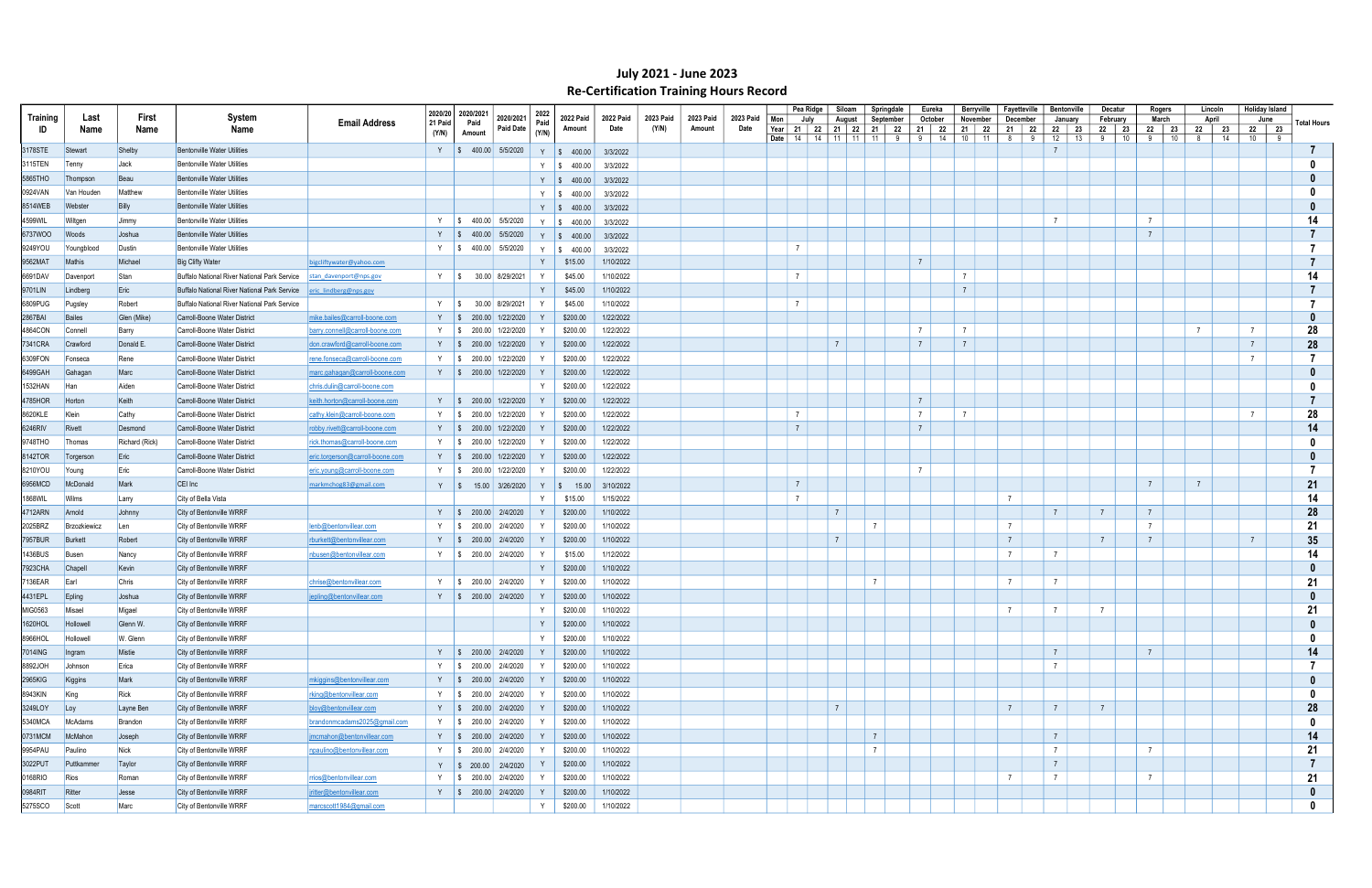|                |                     |                |                                              |                                  |                | 2020/20 2020/2021                | 2022  |                         |           |                    |           |           |                | Pea Ridge | Siloam                        | Springdale                  | Eureka         | Berryville                     | Favetteville    |             | Bentonville                         | Decatur                 | Rogers                 | Lincoln             | <b>Holiday Island</b> |   |                    |
|----------------|---------------------|----------------|----------------------------------------------|----------------------------------|----------------|----------------------------------|-------|-------------------------|-----------|--------------------|-----------|-----------|----------------|-----------|-------------------------------|-----------------------------|----------------|--------------------------------|-----------------|-------------|-------------------------------------|-------------------------|------------------------|---------------------|-----------------------|---|--------------------|
| Training       | Last                | First          | System                                       | <b>Email Address</b>             | 21 Paid        | 2020/2021<br>Paid                | Paid  | <b>2022 Paid</b>        | 2022 Paid | 2023 Paid<br>(Y/N) | 2023 Paid | 2023 Paid | Mon            | July      | August                        | September                   | October        | November                       | December        |             | January                             | February                | March                  | April               | June                  |   | <b>Total Hours</b> |
| ID             | Name                | Name           | Name                                         |                                  | (Y/N)          | <b>Paid Date</b><br>Amount       | (Y/N) | Amount                  | Date      |                    | Amount    | Date      | Date   $14$    |           | Year   21   22   21   22   21 | 22<br>14   11   11   11   9 | 21  <br>-91    | 21 22<br>- 22<br>14<br>$10$ 11 | 21<br>8         | - 22<br>- 9 | 22<br>23<br>12<br>$\overline{13}$ + | $22$  <br>23<br>10<br>9 | 22  <br>23<br>-9<br>10 | 23<br>22<br>14<br>8 | 22 23<br>10           | 9 |                    |
| 3178STE        | Stewart             | Shelby         | <b>Bentonville Water Utilities</b>           |                                  |                | Y   \$ 400.00 5/5/2020           |       | Y   \$ 400.00           | 3/3/2022  |                    |           |           |                |           |                               |                             |                |                                |                 |             | $\overline{7}$                      |                         |                        |                     |                       |   |                    |
| 3115TEN        | Tenny               | Jack           | <b>Bentonville Water Utilities</b>           |                                  |                |                                  |       | Y $\frac{1}{3}$ 400.00  | 3/3/2022  |                    |           |           |                |           |                               |                             |                |                                |                 |             |                                     |                         |                        |                     |                       |   |                    |
| 5865THO        | Thompson            | Beau           | <b>Bentonville Water Utilities</b>           |                                  |                |                                  |       |                         |           |                    |           |           |                |           |                               |                             |                |                                |                 |             |                                     |                         |                        |                     |                       |   |                    |
|                |                     |                |                                              |                                  |                |                                  |       | $Y \t S \t 400.00$      | 3/3/2022  |                    |           |           |                |           |                               |                             |                |                                |                 |             |                                     |                         |                        |                     |                       |   |                    |
| 0924VAN        | Van Houden          | Matthew        | <b>Bentonville Water Utilities</b>           |                                  |                |                                  |       | Y $\frac{1}{9}$ 400.00  | 3/3/2022  |                    |           |           |                |           |                               |                             |                |                                |                 |             |                                     |                         |                        |                     |                       |   |                    |
| 8514WEB        | Webster             | <b>Billy</b>   | <b>Bentonville Water Utilities</b>           |                                  |                |                                  |       | Y \ \$ 400.00           | 3/3/2022  |                    |           |           |                |           |                               |                             |                |                                |                 |             |                                     |                         |                        |                     |                       |   |                    |
| 4599WIL        | Wiltgen             | Jimmy          | <b>Bentonville Water Utilities</b>           |                                  |                | Y   \$ 400.00 5/5/2020           |       | $Y \t S \t 400.00$      | 3/3/2022  |                    |           |           |                |           |                               |                             |                |                                |                 |             | $\overline{7}$                      |                         | $\overline{7}$         |                     |                       |   | 14                 |
| 6737WOO        | Woods               | Joshua         | <b>Bentonville Water Utilities</b>           |                                  | $Y$ $\sqrt{S}$ | 400.00 5/5/2020                  |       | $Y \$ \$ 400.00         | 3/3/2022  |                    |           |           |                |           |                               |                             |                |                                |                 |             |                                     |                         | $\overline{7}$         |                     |                       |   |                    |
| 9249YOU        | Youngblood          | Dustin         | <b>Bentonville Water Utilities</b>           |                                  | Y S            | 400.00 5/5/2020                  | Y     | $\frac{1}{2}$ \$ 400.00 | 3/3/2022  |                    |           |           | $\overline{7}$ |           |                               |                             |                |                                |                 |             |                                     |                         |                        |                     |                       |   |                    |
| 9562MAT        | Mathis              | Michael        | <b>Big Clifty Water</b>                      | bigcliftywater@yahoo.com         |                |                                  | Y     | \$15.00                 | 1/10/2022 |                    |           |           |                |           |                               |                             | $\overline{7}$ |                                |                 |             |                                     |                         |                        |                     |                       |   |                    |
| 6691DAV        | Davenport           | Stan           | Buffalo National River National Park Service | stan davenport@nps.gov           | Y S            | 30.00 8/29/2021                  | Y     | \$45.00                 | 1/10/2022 |                    |           |           | $\overline{7}$ |           |                               |                             |                | $\overline{7}$                 |                 |             |                                     |                         |                        |                     |                       |   | 14                 |
| 9701LIN        | Lindberg            | Eric           | Buffalo National River National Park Service | eric lindberg@nps.gov            |                |                                  | Y     | \$45.00                 | 1/10/2022 |                    |           |           |                |           |                               |                             |                | $\overline{7}$                 |                 |             |                                     |                         |                        |                     |                       |   |                    |
| 6809PUG        | Pugsley             | Robert         | Buffalo National River National Park Service |                                  | Y              | 30.00 8/29/2021<br>IS.           |       | \$45.00                 | 1/10/2022 |                    |           |           | $\overline{7}$ |           |                               |                             |                |                                |                 |             |                                     |                         |                        |                     |                       |   |                    |
| 2867BAI        | Bailes              | Glen (Mike)    | Carroll-Boone Water District                 | mike.bailes@carroll-boone.com    | Y S            | 200.00 1/22/2020                 | Y     | \$200.00                | 1/22/2022 |                    |           |           |                |           |                               |                             |                |                                |                 |             |                                     |                         |                        |                     |                       |   |                    |
| 4864CON        | Connell             | Barry          | Carroll-Boone Water District                 | barry.connell@carroll-boone.com  | Y S            | 200.00 1/22/2020                 |       | \$200.00                | 1/22/2022 |                    |           |           |                |           |                               |                             | $\overline{7}$ | $\overline{7}$                 |                 |             |                                     |                         |                        |                     | $\overline{7}$        |   | 28                 |
| 7341CRA        | Crawford            | Donald E       | Carroll-Boone Water District                 | don.crawford@carroll-boone.com   |                | 200.00 1/22/2020                 |       | \$200.00                | 1/22/2022 |                    |           |           |                |           | $\overline{7}$                |                             | $\overline{7}$ | $\overline{7}$                 |                 |             |                                     |                         |                        |                     | $\overline{7}$        |   | 28                 |
| 6309FON        | Fonseca             | Rene           | Carroll-Boone Water District                 | rene.fonseca@carroll-boone.com   |                | Y   \$ 200.00 1/22/2020          |       | \$200.00                | 1/22/2022 |                    |           |           |                |           |                               |                             |                |                                |                 |             |                                     |                         |                        |                     | $\overline{7}$        |   |                    |
| 6499GAH        | Gahagan             | Marc           | Carroll-Boone Water District                 | marc.gahagan@carroll-boone.com   |                | Y $\frac{1}{3}$ 200.00 1/22/2020 |       | \$200.00                | 1/22/2022 |                    |           |           |                |           |                               |                             |                |                                |                 |             |                                     |                         |                        |                     |                       |   |                    |
| 1532HAN        | Han                 | Aiden          | Carroll-Boone Water District                 | chris.dulin@carroll-boone.com    |                |                                  | Y     | \$200.00                | 1/22/2022 |                    |           |           |                |           |                               |                             |                |                                |                 |             |                                     |                         |                        |                     |                       |   |                    |
| 4785HOR        | Horton              | Keith          | Carroll-Boone Water District                 | keith.horton@carroll-boone.com   |                | Y   \$ 200.00 1/22/2020          |       | \$200.00                | 1/22/2022 |                    |           |           |                |           |                               |                             | $\overline{7}$ |                                |                 |             |                                     |                         |                        |                     |                       |   |                    |
| 8620KLE        | Klein               |                | Carroll-Boone Water District                 |                                  |                | Y   \$ 200.00 1/22/2020          |       | \$200.00                | 1/22/2022 |                    |           |           | $\overline{7}$ |           |                               |                             | $\overline{7}$ | $\overline{7}$                 |                 |             |                                     |                         |                        |                     | $\overline{7}$        |   | 28                 |
|                |                     | Cathy          |                                              | cathy.klein@carroll-boone.com    |                |                                  |       |                         |           |                    |           |           | $\overline{7}$ |           |                               |                             | $\overline{7}$ |                                |                 |             |                                     |                         |                        |                     |                       |   |                    |
| 6246RIV        | Rivett              | Desmond        | Carroll-Boone Water District                 | robby.rivett@carroll-boone.com   |                | Y   \$ 200.00 1/22/2020          |       | \$200.00                | 1/22/2022 |                    |           |           |                |           |                               |                             |                |                                |                 |             |                                     |                         |                        |                     |                       |   | 14                 |
| 9748THO        | Thomas              | Richard (Rick) | Carroll-Boone Water District                 | rick.thomas@carroll-boone.com    |                | Y   \$ 200.00 1/22/2020          |       | \$200.00                | 1/22/2022 |                    |           |           |                |           |                               |                             |                |                                |                 |             |                                     |                         |                        |                     |                       |   |                    |
| 8142TOR        | Torgerson           | Eric           | Carroll-Boone Water District                 | eric.torgerson@carroll-boone.com |                | Y   \$ 200.00 1/22/2020          |       | \$200.00                | 1/22/2022 |                    |           |           |                |           |                               |                             |                |                                |                 |             |                                     |                         |                        |                     |                       |   |                    |
| 8210YOU        | Young               | Eric           | Carroll-Boone Water District                 | eric.young@carroll-boone.com     |                | Y   \$ 200.00 1/22/2020          |       | \$200.00                | 1/22/2022 |                    |           |           |                |           |                               |                             | $\overline{7}$ |                                |                 |             |                                     |                         |                        |                     |                       |   |                    |
| 6956MCD        | McDonald            | Mark           | CEI Inc                                      | markmchog83@gmail.com            |                | Y   \$ 15.00 3/26/2020           | Y     | $\frac{1}{2}$ 15.00     | 3/10/2022 |                    |           |           | $\overline{7}$ |           |                               |                             |                |                                |                 |             |                                     |                         | $\overline{7}$         |                     |                       |   | 21                 |
| 1868WIL        | Wilms               | Larry          | City of Bella Vista                          |                                  |                |                                  | Y     | \$15.00                 | 1/15/2022 |                    |           |           | $\overline{7}$ |           |                               |                             |                |                                | $\overline{7}$  |             |                                     |                         |                        |                     |                       |   | 14                 |
| 4712ARN        | Arnold              | Johnny         | City of Bentonville WRRF                     |                                  |                | Y   \$ 200.00 2/4/2020           | Y     | \$200.00                | 1/10/2022 |                    |           |           |                |           | $\overline{7}$                |                             |                |                                |                 |             | $\overline{7}$                      | $\overline{7}$          | $\overline{7}$         |                     |                       |   | 28                 |
| 2025BRZ        | <b>Brzozkiewicz</b> | Len            | City of Bentonville WRRF                     | lenb@bentonvillear.com           |                | 200.00 2/4/2020<br>IS.           |       | \$200.00                | 1/10/2022 |                    |           |           |                |           |                               | $\overline{7}$              |                |                                | $\overline{7}$  |             |                                     |                         | $\overline{7}$         |                     |                       |   | 21                 |
| <b>7957BUR</b> | <b>Burkett</b>      | Robert         | City of Bentonville WRRF                     | rburkett@bentonvillear.com       |                | Y   \$ 200.00 2/4/2020           |       | \$200.00                | 1/10/2022 |                    |           |           |                |           | $\overline{7}$                |                             |                |                                | $\overline{7}$  |             |                                     |                         | $\overline{7}$         |                     | $\overline{7}$        |   | 35                 |
| 1436BUS        | Busen               | Nancy          | City of Bentonville WRRF                     | nbusen@bentonvillear.com         |                | Y   \$ 200.00 2/4/2020           |       | \$15.00                 | 1/12/2022 |                    |           |           |                |           |                               |                             |                |                                | $\overline{7}$  |             |                                     |                         |                        |                     |                       |   | 14                 |
| 7923CHA        | Chapel              | Kevin          | City of Bentonville WRRF                     |                                  |                |                                  |       | \$200.00                | 1/10/2022 |                    |           |           |                |           |                               |                             |                |                                |                 |             |                                     |                         |                        |                     |                       |   |                    |
| 7136EAR        | Earl                | Chris          | City of Bentonville WRRF                     | chrise@bentonvillear.com         |                | Y   \$ 200.00 2/4/2020           |       | \$200.00                | 1/10/2022 |                    |           |           |                |           |                               | $\overline{7}$              |                |                                | $\overline{7}$  |             | $\overline{7}$                      |                         |                        |                     |                       |   | 21                 |
| 4431EPL        | Epling              | Joshua         | City of Bentonville WRRF                     | jepling@bentonvillear.com        |                | Y   \$ 200.00 2/4/2020           | Y     | \$200.00                | 1/10/2022 |                    |           |           |                |           |                               |                             |                |                                |                 |             |                                     |                         |                        |                     |                       |   | $\mathbf{0}$       |
| MIG0563        | Misael              | Migael         | City of Bentonville WRRF                     |                                  |                |                                  | Y     | \$200.00                | 1/10/2022 |                    |           |           |                |           |                               |                             |                |                                | $\overline{7}$  |             | $7\overline{ }$                     |                         |                        |                     |                       |   | 21                 |
| 1620HOL        | Hollowell           | Glenn W.       | City of Bentonville WRRF                     |                                  |                |                                  | Y     | \$200.00                | 1/10/2022 |                    |           |           |                |           |                               |                             |                |                                |                 |             |                                     |                         |                        |                     |                       |   |                    |
| 8966HOL        | Hollowell           | W. Glenn       | City of Bentonville WRRF                     |                                  |                |                                  | Y     | \$200.00                | 1/10/2022 |                    |           |           |                |           |                               |                             |                |                                |                 |             |                                     |                         |                        |                     |                       |   |                    |
| 7014ING        | Ingram              | Mistie         | City of Bentonville WRRF                     |                                  |                | Y   \$ 200.00 2/4/2020           | Y     | \$200.00                | 1/10/2022 |                    |           |           |                |           |                               |                             |                |                                |                 |             | $\overline{7}$                      |                         | $7\overline{ }$        |                     |                       |   | 14                 |
| 8892JOH        | Johnson             | Erica          | City of Bentonville WRRF                     |                                  |                | Y   \$ 200.00 2/4/2020           | Y     | \$200.00                | 1/10/2022 |                    |           |           |                |           |                               |                             |                |                                |                 |             | $\overline{7}$                      |                         |                        |                     |                       |   |                    |
| 2965KIG        |                     | Mark           | City of Bentonville WRRF                     | mkiggins@bentonvillear.com       |                | Y   \$ 200.00 2/4/2020           | Y     | \$200.00                | 1/10/2022 |                    |           |           |                |           |                               |                             |                |                                |                 |             |                                     |                         |                        |                     |                       |   |                    |
|                | Kiggins             |                |                                              |                                  |                |                                  |       |                         |           |                    |           |           |                |           |                               |                             |                |                                |                 |             |                                     |                         |                        |                     |                       |   |                    |
| 8943KIN        | King                | Rick           | City of Bentonville WRRF                     | rking@bentonvillear.com          |                | Y   \$ 200.00 2/4/2020           |       | \$200.00                | 1/10/2022 |                    |           |           |                |           |                               |                             |                |                                |                 |             |                                     |                         |                        |                     |                       |   |                    |
| 3249LOY        | $\lfloor$ Loy       | Layne Ben      | City of Bentonville WRRF                     | bloy@bentonvillear.com           |                | Y \$ 200.00 2/4/2020             | Y     | \$200.00                | 1/10/2022 |                    |           |           |                |           | $\overline{7}$                |                             |                |                                | $7\overline{ }$ |             | $\overline{7}$                      | $\overline{7}$          |                        |                     |                       |   | 28                 |
| 5340MCA        | McAdams             | Brandon        | City of Bentonville WRRF                     | brandonmcadams2025@gmail.com     |                | Y   \$ 200.00 2/4/2020           |       | \$200.00                | 1/10/2022 |                    |           |           |                |           |                               |                             |                |                                |                 |             |                                     |                         |                        |                     |                       |   |                    |
| 0731MCM        | McMahon             | Joseph         | City of Bentonville WRRF                     | jmcmahon@bentonvillear.com       |                | Y $\parallel$ \$ 200.00 2/4/2020 |       | \$200.00                | 1/10/2022 |                    |           |           |                |           |                               | $\overline{7}$              |                |                                |                 |             | $\overline{7}$                      |                         |                        |                     |                       |   | 14                 |
| 9954PAU        | Paulino             | Nick           | City of Bentonville WRRF                     | npaulino@bentonvillear.com       |                | Y \$ 200.00 2/4/2020             |       | \$200.00                | 1/10/2022 |                    |           |           |                |           |                               | $\overline{7}$              |                |                                |                 |             | $7\overline{ }$                     |                         | $\overline{7}$         |                     |                       |   | 21                 |
| 3022PUT        | Puttkammer          | Taylor         | City of Bentonville WRRF                     |                                  |                | Y \$ 200.00 2/4/2020             |       | \$200.00                | 1/10/2022 |                    |           |           |                |           |                               |                             |                |                                |                 |             | $\overline{7}$                      |                         |                        |                     |                       |   |                    |
| 0168RIO        | Rios                | Roman          | City of Bentonville WRRF                     | rrios@bentonvillear.com          |                | Y \$ 200.00 2/4/2020             |       | \$200.00                | 1/10/2022 |                    |           |           |                |           |                               |                             |                |                                | $\overline{7}$  |             | $\overline{7}$                      |                         |                        |                     |                       |   | 21                 |
| 0984RIT        | Ritter              | Jesse          | City of Bentonville WRRF                     | iritter@bentonvillear.com        |                | Y \$ 200.00 2/4/2020             |       | \$200.00                | 1/10/2022 |                    |           |           |                |           |                               |                             |                |                                |                 |             |                                     |                         |                        |                     |                       |   | 0                  |
| 5275SCO        | Scott               | Marc           | City of Bentonville WRRF                     | marcscott1984@gmail.com          |                |                                  | Y     | \$200.00                | 1/10/2022 |                    |           |           |                |           |                               |                             |                |                                |                 |             |                                     |                         |                        |                     |                       |   | $\mathbf{0}$       |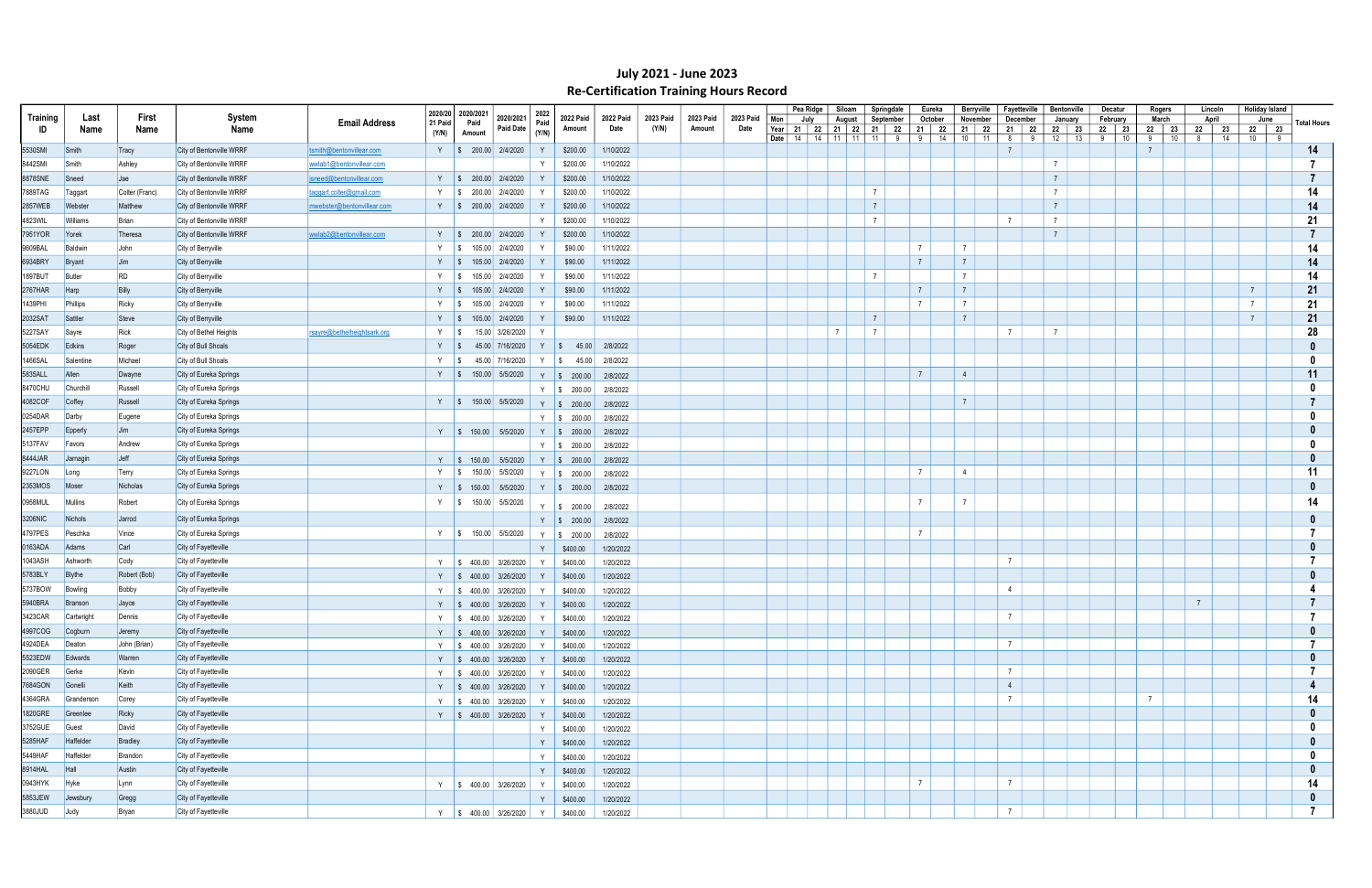|          |            |                |                          |                             |                    |                   |                                                                                            |               |                                          |           |           |           |           |     | Pea Ridge | Siloam         | Springdale                                                         |                 | Eureka         | Berryville         | Fayetteville              |                 | <b>Bentonville</b>   | Decatur    |    | Rogers                | Lincoln          |                | <b>Holiday Island</b> |                    |
|----------|------------|----------------|--------------------------|-----------------------------|--------------------|-------------------|--------------------------------------------------------------------------------------------|---------------|------------------------------------------|-----------|-----------|-----------|-----------|-----|-----------|----------------|--------------------------------------------------------------------|-----------------|----------------|--------------------|---------------------------|-----------------|----------------------|------------|----|-----------------------|------------------|----------------|-----------------------|--------------------|
| Training | Last       | First          | System                   | <b>Email Address</b>        | 2020/20<br>21 Paid | 2020/2021<br>Paid | 2020/2021                                                                                  | 2022<br>Paid  | <b>2022 Paid</b>                         | 2022 Paid | 2023 Paid | 2023 Paid | 2023 Paid | Mon | July      | August         | September                                                          |                 | October        | November           | December                  |                 | January              | February   |    | March                 | April            | June           |                       | <b>Total Hours</b> |
| ID       | Name       | Name           | Name                     |                             | (Y/N)              | Amount            | Paid Date                                                                                  | (Y/N)         | Amount                                   | Date      | (Y/N)     | Amount    | Date      |     |           |                | Year 21 22 21 22 21 22<br><b>Date</b>   14   14   11   11   11   9 | 9 <sup>1</sup>  | 21   22<br>14  | 21   22<br>$10$ 11 | 21   22<br>8 <sup>8</sup> | 9               | 23<br>22<br>12<br>13 | 22 23<br>9 | 10 | 22  <br>23<br>9<br>10 | 22 23<br>14<br>8 | 22 23<br>10    | 9                     |                    |
| 5530SMI  | Smith      | Tracy          | City of Bentonville WRRF | tsmith@bentonvillear.com    |                    |                   | Y   \$ 200.00 2/4/2020                                                                     | Y             | \$200.00                                 | 1/10/2022 |           |           |           |     |           |                |                                                                    |                 |                |                    | $\overline{7}$            |                 |                      |            |    |                       |                  |                |                       | 14                 |
| 8442SMI  | Smith      | Ashley         | City of Bentonville WRRF | wwlab1@bentonvillear.com    |                    |                   |                                                                                            |               | \$200.00                                 | 1/10/2022 |           |           |           |     |           |                |                                                                    |                 |                |                    |                           | $\overline{7}$  |                      |            |    |                       |                  |                |                       |                    |
| 8878SNE  | Sneed      | $\vert$ Jae    | City of Bentonville WRRF | jsneed@bentonvillear.com    |                    |                   | Y   \$ 200.00 2/4/2020                                                                     | Y             | \$200.00                                 | 1/10/2022 |           |           |           |     |           |                |                                                                    |                 |                |                    |                           | $\overline{7}$  |                      |            |    |                       |                  |                |                       |                    |
| 7889TAG  | Taggart    | Colter (Franc) | City of Bentonville WRRF | taqqart.colter@qmail.com    |                    |                   | Y $\frac{1}{3}$ 200.00 2/4/2020                                                            |               | \$200.00                                 | 1/10/2022 |           |           |           |     |           |                | $\overline{7}$                                                     |                 |                |                    |                           | $\overline{7}$  |                      |            |    |                       |                  |                |                       | 14                 |
| 2857WEB  | Webster    | Matthew        | City of Bentonville WRRF | mwebster@bentonvillear.com  |                    |                   | Y   \$ 200.00 2/4/2020                                                                     | Y             | \$200.00                                 | 1/10/2022 |           |           |           |     |           |                | $\overline{7}$                                                     |                 |                |                    |                           | $\overline{7}$  |                      |            |    |                       |                  |                |                       | 14                 |
| 4823WIL  | Williams   | Brian          | City of Bentonville WRRF |                             |                    |                   |                                                                                            | Y             | \$200.00                                 | 1/10/2022 |           |           |           |     |           |                | $\overline{7}$                                                     |                 |                |                    | $\overline{7}$            | $\overline{7}$  |                      |            |    |                       |                  |                |                       | 21                 |
| 7951YOR  | Yorek      | Theresa        | City of Bentonville WRRF | wwlab2@bentonvillear.com    |                    |                   | Y   \$ 200.00 2/4/2020                                                                     | Y             | \$200.00                                 | 1/10/2022 |           |           |           |     |           |                |                                                                    |                 |                |                    |                           | $7\overline{ }$ |                      |            |    |                       |                  |                |                       |                    |
|          |            |                |                          |                             |                    |                   |                                                                                            | Y             |                                          |           |           |           |           |     |           |                |                                                                    | $\overline{7}$  | $\overline{7}$ |                    |                           |                 |                      |            |    |                       |                  |                |                       |                    |
| 9609BAL  | Baldwin    | John           | City of Berryville       |                             |                    |                   | Y \$ 105.00 2/4/2020                                                                       |               | \$90.00                                  | 1/11/2022 |           |           |           |     |           |                |                                                                    | $\overline{7}$  | $\overline{7}$ |                    |                           |                 |                      |            |    |                       |                  |                |                       | 14                 |
| 6934BRY  | Bryant     | Jim            | City of Berryville       |                             |                    |                   | Y   \$ 105.00 2/4/2020                                                                     | Y             | \$90.00                                  | 1/11/2022 |           |           |           |     |           |                |                                                                    |                 |                |                    |                           |                 |                      |            |    |                       |                  |                |                       | 14                 |
| 1897BUT  | Butler     | <b>RD</b>      | City of Berryville       |                             |                    |                   | $\frac{1}{2}$ \$ 105.00 2/4/2020                                                           | Y             | \$90.00                                  | 1/11/2022 |           |           |           |     |           |                | $\overline{7}$                                                     |                 | $\overline{7}$ |                    |                           |                 |                      |            |    |                       |                  |                |                       | 14                 |
| 2767HAR  | Harp       | Billy          | City of Berryville       |                             |                    |                   | Y   \$ 105.00 $2/4/2020$                                                                   | Y             | \$90.00                                  | 1/11/2022 |           |           |           |     |           |                |                                                                    | $\overline{7}$  | $\overline{7}$ |                    |                           |                 |                      |            |    |                       |                  | $\overline{7}$ |                       | 21                 |
| 1439PHI  | Phillips   | Ricky          | City of Berryville       |                             |                    |                   | Y   \$ 105.00 2/4/2020                                                                     | Y             | \$90.00                                  | 1/11/2022 |           |           |           |     |           |                |                                                                    | $\overline{7}$  | $\overline{7}$ |                    |                           |                 |                      |            |    |                       |                  | $\overline{7}$ |                       | 21                 |
| 2032SAT  | Sattler    | Steve          | City of Berryville       |                             |                    |                   | Y   \$ 105.00 2/4/2020                                                                     | Y             | \$90.00                                  | 1/11/2022 |           |           |           |     |           |                | $\overline{7}$                                                     |                 | $\overline{7}$ |                    |                           |                 |                      |            |    |                       |                  |                |                       | 21                 |
| 5227SAY  | Sayre      | Rick           | City of Bethel Heights   | rsayre@bethelheightsark.org | Y S                |                   | 15.00 3/26/2020                                                                            | Y             |                                          |           |           |           |           |     |           | $\overline{7}$ | $\overline{7}$                                                     |                 |                |                    | $\overline{7}$            | $\overline{7}$  |                      |            |    |                       |                  |                |                       | 28                 |
| 5054EDK  | Edkins     | Roger          | City of Bull Shoals      |                             | Y   \$             |                   | 45.00 7/16/2020                                                                            |               | $Y \mid$ \$ 45.00                        | 2/8/2022  |           |           |           |     |           |                |                                                                    |                 |                |                    |                           |                 |                      |            |    |                       |                  |                |                       |                    |
| 1466SAL  | Salentine  | Michael        | City of Bull Shoals      |                             | Y S                |                   | 45.00 7/16/2020                                                                            |               | $Y \,   \, \$ \, 45.00$                  | 2/8/2022  |           |           |           |     |           |                |                                                                    |                 |                |                    |                           |                 |                      |            |    |                       |                  |                |                       |                    |
| 5835ALL  | Allen      | Dwayne         | City of Eureka Springs   |                             |                    |                   | Y   \$ 150.00 5/5/2020                                                                     |               | Y   \$ 200.00   2/8/2022                 |           |           |           |           |     |           |                |                                                                    | $\overline{7}$  | $\overline{4}$ |                    |                           |                 |                      |            |    |                       |                  |                |                       | 11                 |
| 8470CHU  | Churchill  | Russell        | City of Eureka Springs   |                             |                    |                   |                                                                                            |               | Y   \$ 200.00                            | 2/8/2022  |           |           |           |     |           |                |                                                                    |                 |                |                    |                           |                 |                      |            |    |                       |                  |                |                       |                    |
| 4082COF  | Coffey     | Russell        | City of Eureka Springs   |                             |                    |                   |                                                                                            |               | Y   \$ 150.00   5/5/2020   Y   \$ 200.00 | 2/8/2022  |           |           |           |     |           |                |                                                                    |                 | $\overline{7}$ |                    |                           |                 |                      |            |    |                       |                  |                |                       |                    |
| 0254DAR  | Darby      | Eugene         | City of Eureka Springs   |                             |                    |                   |                                                                                            |               | Y   \$ 200.00                            | 2/8/2022  |           |           |           |     |           |                |                                                                    |                 |                |                    |                           |                 |                      |            |    |                       |                  |                |                       |                    |
| 2457EPP  | Epperly    | Jim            | City of Eureka Springs   |                             |                    |                   |                                                                                            |               | Y   \$ 150.00   5/5/2020   Y   \$ 200.00 | 2/8/2022  |           |           |           |     |           |                |                                                                    |                 |                |                    |                           |                 |                      |            |    |                       |                  |                |                       |                    |
| 5137FAV  | Favors     | Andrew         | City of Eureka Springs   |                             |                    |                   |                                                                                            |               | Y \$ 200.00                              | 2/8/2022  |           |           |           |     |           |                |                                                                    |                 |                |                    |                           |                 |                      |            |    |                       |                  |                |                       |                    |
| 8444JAR  | Jarnagin   | Jeff           | City of Eureka Springs   |                             |                    |                   | Y   \$ 150.00   5/5/2020                                                                   |               | $Y \mid $200.00]$                        | 2/8/2022  |           |           |           |     |           |                |                                                                    |                 |                |                    |                           |                 |                      |            |    |                       |                  |                |                       |                    |
| 9227LON  | Long       | Terry          | City of Eureka Springs   |                             |                    |                   | Y   \$ 150.00 5/5/2020                                                                     |               | Y   \$ 200.00                            | 2/8/2022  |           |           |           |     |           |                |                                                                    | $\overline{7}$  | $\overline{4}$ |                    |                           |                 |                      |            |    |                       |                  |                |                       | 11                 |
| 2353MOS  | Moser      | Nicholas       | City of Eureka Springs   |                             |                    |                   | Y   \$ 150.00   5/5/2020                                                                   |               | Y   \$ 200.00                            | 2/8/2022  |           |           |           |     |           |                |                                                                    |                 |                |                    |                           |                 |                      |            |    |                       |                  |                |                       |                    |
| 0958MUL  | Mullins    | Robert         | City of Eureka Springs   |                             |                    |                   | Y   \$ 150.00 $5/5/2020$                                                                   |               |                                          |           |           |           |           |     |           |                |                                                                    |                 |                |                    |                           |                 |                      |            |    |                       |                  |                |                       | 14                 |
|          |            |                |                          |                             |                    |                   |                                                                                            |               | Y   \$ 200.00                            | 2/8/2022  |           |           |           |     |           |                |                                                                    |                 |                |                    |                           |                 |                      |            |    |                       |                  |                |                       |                    |
| 3206NIC  | Nichols    | Jarrod         | City of Eureka Springs   |                             |                    |                   |                                                                                            |               | Y   \$ 200.00                            | 2/8/2022  |           |           |           |     |           |                |                                                                    |                 |                |                    |                           |                 |                      |            |    |                       |                  |                |                       |                    |
| 4797PES  | Peschka    | Vince          | City of Eureka Springs   |                             |                    |                   | Y   \$ 150.00 5/5/2020                                                                     |               | Y   \$ 200.00                            | 2/8/2022  |           |           |           |     |           |                |                                                                    | $7\overline{ }$ |                |                    |                           |                 |                      |            |    |                       |                  |                |                       |                    |
| 0163ADA  | Adams      | Carl           | City of Fayetteville     |                             |                    |                   |                                                                                            | Y             | \$400.00                                 | 1/20/2022 |           |           |           |     |           |                |                                                                    |                 |                |                    |                           |                 |                      |            |    |                       |                  |                |                       |                    |
| 1043ASH  | Ashworth   | Cody           | City of Fayetteville     |                             |                    |                   | Y   \$ 400.00 3/26/2020                                                                    |               | \$400.00                                 | 1/20/2022 |           |           |           |     |           |                |                                                                    |                 |                |                    | $\overline{7}$            |                 |                      |            |    |                       |                  |                |                       |                    |
| 5783BLY  | Blythe     | Robert (Bob)   | City of Fayetteville     |                             |                    |                   | Y   \$ 400.00 3/26/2020                                                                    |               | \$400.00                                 | 1/20/2022 |           |           |           |     |           |                |                                                                    |                 |                |                    |                           |                 |                      |            |    |                       |                  |                |                       |                    |
| 5737BOW  | Bowling    | Bobby          | City of Fayetteville     |                             |                    |                   | Y   \$ 400.00   3/26/2020                                                                  | Y             | \$400.00                                 | 1/20/2022 |           |           |           |     |           |                |                                                                    |                 |                |                    | $\overline{4}$            |                 |                      |            |    |                       |                  |                |                       |                    |
| 5940BRA  | Branson    | Jayce          | City of Fayetteville     |                             |                    |                   |                                                                                            |               | Y   \$ 400.00   3/26/2020   Y   \$400.00 | 1/20/2022 |           |           |           |     |           |                |                                                                    |                 |                |                    |                           |                 |                      |            |    |                       | $\overline{7}$   |                |                       |                    |
| 3423CAR  | Cartwright | Dennis         | City of Fayetteville     |                             |                    |                   | Y   \$ 400.00 3/26/2020                                                                    |               | \$400.00                                 | 1/20/2022 |           |           |           |     |           |                |                                                                    |                 |                |                    | $\overline{7}$            |                 |                      |            |    |                       |                  |                |                       | -7                 |
| 4997COG  | Cogburn    | Jeremy         | City of Fayetteville     |                             |                    |                   | Y $\vert \$ 400.00 \vert 3/26/2020$                                                        | Y             | \$400.00                                 | 1/20/2022 |           |           |           |     |           |                |                                                                    |                 |                |                    |                           |                 |                      |            |    |                       |                  |                |                       |                    |
| 4924DEA  | Deaton     | John (Brian)   | City of Fayetteville     |                             |                    |                   | Y $\vert \$ 400.00 \vert 3/26/2020$                                                        | Y             | \$400.00                                 | 1/20/2022 |           |           |           |     |           |                |                                                                    |                 |                |                    | $7\overline{ }$           |                 |                      |            |    |                       |                  |                |                       | -7                 |
| 5523EDW  | Edwards    | Warren         | City of Fayetteville     |                             |                    |                   | Y $\vert \$ 400.00 \vert 3/26/2020$                                                        | Y             | \$400.00                                 | 1/20/2022 |           |           |           |     |           |                |                                                                    |                 |                |                    |                           |                 |                      |            |    |                       |                  |                |                       |                    |
| 2090GER  | Gerke      | Kevin          | City of Fayetteville     |                             |                    |                   | Y $\frac{1}{3}$ 400.00 3/26/2020                                                           |               | \$400.00                                 | 1/20/2022 |           |           |           |     |           |                |                                                                    |                 |                |                    | $7\overline{ }$           |                 |                      |            |    |                       |                  |                |                       |                    |
| 7684GON  | Gonelli    | Keith          | City of Fayetteville     |                             |                    |                   | Y $\vert \$ 400.00 \vert 3/26/2020$                                                        | Y             | \$400.00                                 | 1/20/2022 |           |           |           |     |           |                |                                                                    |                 |                |                    | 4                         |                 |                      |            |    |                       |                  |                |                       | -4                 |
| 4364GRA  | Granderson | Corey          | City of Fayetteville     |                             |                    |                   | Y $\frac{1}{9}$ 400.00 3/26/2020                                                           |               | \$400.00                                 | 1/20/2022 |           |           |           |     |           |                |                                                                    |                 |                |                    | $7\overline{ }$           |                 |                      |            |    | $\overline{7}$        |                  |                |                       | 14                 |
| 1820GRE  | Greenlee   | Ricky          | City of Fayetteville     |                             |                    |                   | Y $\vert \$ \$ 400.00 3/26/2020                                                            |               | \$400.00                                 | 1/20/2022 |           |           |           |     |           |                |                                                                    |                 |                |                    |                           |                 |                      |            |    |                       |                  |                |                       | 0                  |
| 3752GUE  | Guest      | David          | City of Fayetteville     |                             |                    |                   |                                                                                            | Y             | \$400.00                                 | 1/20/2022 |           |           |           |     |           |                |                                                                    |                 |                |                    |                           |                 |                      |            |    |                       |                  |                |                       |                    |
| 5285HAF  | Haffelder  | Bradley        | City of Fayetteville     |                             |                    |                   |                                                                                            | Y             | \$400.00                                 | 1/20/2022 |           |           |           |     |           |                |                                                                    |                 |                |                    |                           |                 |                      |            |    |                       |                  |                |                       |                    |
| 5449HAF  | Haffelder  | Brandon        | City of Fayetteville     |                             |                    |                   |                                                                                            | Y             | \$400.00                                 | 1/20/2022 |           |           |           |     |           |                |                                                                    |                 |                |                    |                           |                 |                      |            |    |                       |                  |                |                       |                    |
| 8914HAL  | Hall       | Austin         | City of Fayetteville     |                             |                    |                   |                                                                                            | Y             | \$400.00                                 | 1/20/2022 |           |           |           |     |           |                |                                                                    |                 |                |                    |                           |                 |                      |            |    |                       |                  |                |                       | 0                  |
| 0943HYK  | Hyke       | Lynn           | City of Fayetteville     |                             |                    |                   | Y $\begin{array}{ c c c c c c } \hline \text{$\$} & 400.00 & 3/26/2020 \hline \end{array}$ |               | \$400.00                                 | 1/20/2022 |           |           |           |     |           |                |                                                                    | $\overline{7}$  |                |                    | $7\overline{ }$           |                 |                      |            |    |                       |                  |                |                       | 14                 |
| 5853JEW  | Jewsbury   | Gregg          | City of Fayetteville     |                             |                    |                   |                                                                                            | Y             | \$400.00                                 | 1/20/2022 |           |           |           |     |           |                |                                                                    |                 |                |                    |                           |                 |                      |            |    |                       |                  |                |                       | 0                  |
| 3880JUD  | Judy       | Bryan          | City of Fayetteville     |                             |                    |                   | Y   \$ 400.00   3/26/2020                                                                  | $\frac{1}{2}$ | \$400.00                                 | 1/20/2022 |           |           |           |     |           |                |                                                                    |                 |                |                    | $7\overline{ }$           |                 |                      |            |    |                       |                  |                |                       |                    |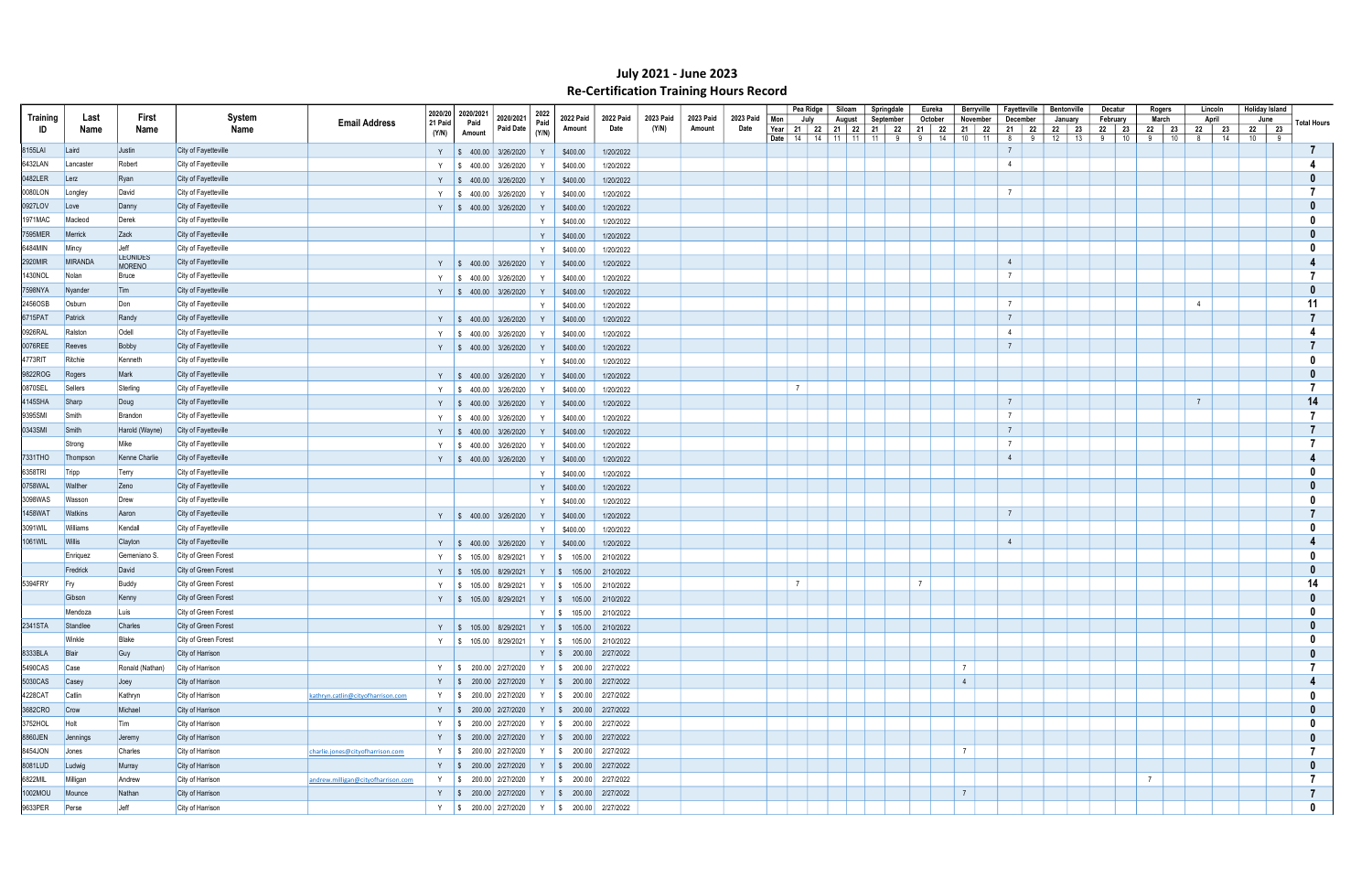|               |                |                         |                                                        |          | 2020/20 2020/2021 |                                     |              |                                                       |           |           |           |           |                | Pea Ridge | Siloam                                                                  | Springdale |                        | Eureka         | Berryville       | Fayetteville    |         | Bentonville          | Decatur          | Rogers              | Lincoln             | <b>Holiday Island</b> |                    |
|---------------|----------------|-------------------------|--------------------------------------------------------|----------|-------------------|-------------------------------------|--------------|-------------------------------------------------------|-----------|-----------|-----------|-----------|----------------|-----------|-------------------------------------------------------------------------|------------|------------------------|----------------|------------------|-----------------|---------|----------------------|------------------|---------------------|---------------------|-----------------------|--------------------|
| Training      | Last           | First                   | <b>System</b><br><b>Email Address</b>                  | 21 Paid  | Paid              | 2020/2021                           | 2022<br>Paid | 2022 Paid                                             | 2022 Paid | 2023 Paid | 2023 Paid | 2023 Paid | Mon            | July      | August                                                                  | September  |                        | October        | November         | December        |         | January              | February         | March               | April               | June                  | <b>Total Hours</b> |
| ID            | Name           | Name                    | Name                                                   | (Y/N)    | Amount            | <b>Paid Date</b>                    | (Y/N)        | Amount                                                | Date      | (Y/N)     | Amount    | Date      | Year           |           | 21   22   21   22   21   22<br><b>Date</b>   14   14   11   11   11   9 |            | 21  <br>9 <sup>1</sup> | 22<br>14       | 21 22<br>$10$ 11 | 21<br>8         | 22<br>9 | 22<br>23<br>12<br>13 | 22 23<br>9<br>10 | 22<br>23<br>9<br>10 | 22<br>23<br>8<br>14 | 22 23<br>$10 \mid 9$  |                    |
| 8155LAI       | Laird          | Justin                  | City of Fayetteville                                   |          |                   | $\frac{1}{2}$ \$ 400.00 3/26/2020   | Y            | \$400.00                                              | 1/20/2022 |           |           |           |                |           |                                                                         |            |                        |                |                  |                 |         |                      |                  |                     |                     |                       |                    |
| 6432LAN       | Lancaster      | Robert                  | City of Fayetteville                                   | <b>V</b> |                   |                                     |              |                                                       |           |           |           |           |                |           |                                                                         |            |                        |                |                  | $\overline{4}$  |         |                      |                  |                     |                     |                       |                    |
| 0482LER       |                |                         | City of Fayetteville                                   |          |                   | $\frac{1}{2}$ \$ 400.00 3/26/2020   |              | \$400.00                                              | 1/20/2022 |           |           |           |                |           |                                                                         |            |                        |                |                  |                 |         |                      |                  |                     |                     |                       |                    |
|               | Lerz           | Ryan                    |                                                        |          |                   | Y $\parallel$ \$ 400.00 3/26/2020   |              | \$400.00                                              | 1/20/2022 |           |           |           |                |           |                                                                         |            |                        |                |                  | $\overline{7}$  |         |                      |                  |                     |                     |                       |                    |
| 0080LON       | Longley        | David                   | City of Fayetteville                                   | Y        |                   | $\frac{1}{2}$ \$ 400.00 3/26/2020   |              | \$400.00                                              | 1/20/2022 |           |           |           |                |           |                                                                         |            |                        |                |                  |                 |         |                      |                  |                     |                     |                       |                    |
| 0927LOV       | Love           | Danny                   | City of Fayetteville                                   |          |                   | Y $\parallel$ \$ 400.00 3/26/2020   | Y            | \$400.00                                              | 1/20/2022 |           |           |           |                |           |                                                                         |            |                        |                |                  |                 |         |                      |                  |                     |                     |                       |                    |
| 1971MAC       | Macleod        | Derek                   | City of Fayetteville                                   |          |                   |                                     | Y            | \$400.00                                              | 1/20/2022 |           |           |           |                |           |                                                                         |            |                        |                |                  |                 |         |                      |                  |                     |                     |                       |                    |
| 7595MER       | Merrick        | $\vert$ Zack            | City of Fayetteville                                   |          |                   |                                     | Y            | \$400.00                                              | 1/20/2022 |           |           |           |                |           |                                                                         |            |                        |                |                  |                 |         |                      |                  |                     |                     |                       |                    |
| 6484MIN       | Mincy          | Jeff<br><b>LEONIDES</b> | City of Fayetteville                                   |          |                   |                                     | Y            | \$400.00                                              | 1/20/2022 |           |           |           |                |           |                                                                         |            |                        |                |                  |                 |         |                      |                  |                     |                     |                       |                    |
| 2920MIR       | MIRANDA        | <b>MORENO</b>           | City of Fayetteville                                   |          |                   | Y   \$ 400.00 3/26/2020             | Y            | \$400.00                                              | 1/20/2022 |           |           |           |                |           |                                                                         |            |                        |                |                  | $\overline{4}$  |         |                      |                  |                     |                     |                       |                    |
| 1430NOL       | Nolan          | Bruce                   | City of Fayetteville                                   |          |                   | Y   \$ 400.00 3/26/2020             | Y            | \$400.00                                              | 1/20/2022 |           |           |           |                |           |                                                                         |            |                        |                |                  | $\overline{7}$  |         |                      |                  |                     |                     |                       |                    |
| 7598NYA       | Nyander        | Tim                     | City of Fayetteville                                   |          |                   | Y $\vert \$ 400.00 \vert 3/26/2020$ |              | \$400.00                                              | 1/20/2022 |           |           |           |                |           |                                                                         |            |                        |                |                  |                 |         |                      |                  |                     |                     |                       |                    |
| 2456OSB       | Osburn         | Don                     | City of Fayetteville                                   |          |                   |                                     | Y            | \$400.00                                              | 1/20/2022 |           |           |           |                |           |                                                                         |            |                        |                |                  | $\overline{7}$  |         |                      |                  |                     |                     |                       | 11                 |
| 6715PAT       | Patrick        | Randy                   | City of Fayetteville                                   |          |                   | Y $\vert \$ 400.00 \vert 3/26/2020$ | Y            | \$400.00                                              | 1/20/2022 |           |           |           |                |           |                                                                         |            |                        |                |                  | $\overline{7}$  |         |                      |                  |                     |                     |                       |                    |
| 0926RAL       | Ralston        | Odell                   | City of Fayetteville                                   |          |                   | Y   \$ 400.00 3/26/2020             |              | \$400.00                                              | 1/20/2022 |           |           |           |                |           |                                                                         |            |                        |                |                  | $\overline{4}$  |         |                      |                  |                     |                     |                       |                    |
| 0076REE       | Reeves         | Bobby                   | City of Fayetteville                                   |          |                   | Y $\vert \$ 400.00 \vert 3/26/2020$ | Y            | \$400.00                                              | 1/20/2022 |           |           |           |                |           |                                                                         |            |                        |                |                  | $\overline{7}$  |         |                      |                  |                     |                     |                       |                    |
| 4773RIT       | Ritchie        | Kenneth                 | City of Fayetteville                                   |          |                   |                                     | Y            | \$400.00                                              | 1/20/2022 |           |           |           |                |           |                                                                         |            |                        |                |                  |                 |         |                      |                  |                     |                     |                       |                    |
| 9822ROG       | Rogers         | Mark                    | City of Fayetteville                                   |          |                   | Y $\parallel$ \$ 400.00 3/26/2020   | Y            | \$400.00                                              | 1/20/2022 |           |           |           |                |           |                                                                         |            |                        |                |                  |                 |         |                      |                  |                     |                     |                       |                    |
| 0870SEL       | Sellers        | Sterling                | City of Fayetteville                                   |          |                   |                                     | Y            |                                                       | 1/20/2022 |           |           |           | $\overline{7}$ |           |                                                                         |            |                        |                |                  |                 |         |                      |                  |                     |                     |                       |                    |
| 4145SHA       | Sharp          | Doug                    | City of Fayetteville                                   |          |                   | Y   \$ 400.00 3/26/2020             |              | \$400.00                                              |           |           |           |           |                |           |                                                                         |            |                        |                |                  | $\overline{7}$  |         |                      |                  |                     |                     |                       | 14                 |
| 9395SMI       | Smith          | Brandon                 | City of Fayetteville                                   |          |                   | Y $\vert \$ 400.00 \vert 3/26/2020$ | Y            | \$400.00                                              | 1/20/2022 |           |           |           |                |           |                                                                         |            |                        |                |                  | $7\overline{ }$ |         |                      |                  |                     |                     |                       |                    |
|               |                |                         |                                                        |          |                   | Y   \$ 400.00 3/26/2020             | Y            | \$400.00                                              | 1/20/2022 |           |           |           |                |           |                                                                         |            |                        |                |                  | $\overline{7}$  |         |                      |                  |                     |                     |                       |                    |
| 0343SMI       | Smith          | Harold (Wayne)          | City of Fayetteville                                   |          |                   | Y $\vert \$ 400.00 \vert 3/26/2020$ | Y            | \$400.00                                              | 1/20/2022 |           |           |           |                |           |                                                                         |            |                        |                |                  | $\overline{7}$  |         |                      |                  |                     |                     |                       |                    |
|               | Strong         | Mike                    | City of Fayetteville                                   |          |                   | Y   \$ 400.00   3/26/2020           |              | \$400.00                                              | 1/20/2022 |           |           |           |                |           |                                                                         |            |                        |                |                  |                 |         |                      |                  |                     |                     |                       |                    |
| 7331THO       | Thompson       | Kenne Charlie           | City of Fayetteville                                   |          |                   | Y $\parallel$ \$ 400.00 3/26/2020   |              | \$400.00                                              | 1/20/2022 |           |           |           |                |           |                                                                         |            |                        |                |                  | $\overline{4}$  |         |                      |                  |                     |                     |                       |                    |
| 6358TRI       | Tripp          | Terry                   | City of Fayetteville                                   |          |                   |                                     | <sup>V</sup> | \$400.00                                              | 1/20/2022 |           |           |           |                |           |                                                                         |            |                        |                |                  |                 |         |                      |                  |                     |                     |                       |                    |
| 0758WAL       | Walther        | Zeno                    | City of Fayetteville                                   |          |                   |                                     | Y            | \$400.00                                              | 1/20/2022 |           |           |           |                |           |                                                                         |            |                        |                |                  |                 |         |                      |                  |                     |                     |                       |                    |
| 3098WAS       | Wasson         | Drew                    | City of Fayetteville                                   |          |                   |                                     | $\mathsf{Y}$ | \$400.00                                              | 1/20/2022 |           |           |           |                |           |                                                                         |            |                        |                |                  |                 |         |                      |                  |                     |                     |                       |                    |
| 1458WAT       | <b>Watkins</b> | Aaron                   | City of Fayetteville                                   |          |                   | Y   \$ 400.00   3/26/2020           | Y            | \$400.00                                              | 1/20/2022 |           |           |           |                |           |                                                                         |            |                        |                |                  | $\overline{7}$  |         |                      |                  |                     |                     |                       |                    |
| 3091WIL       | Williams       | Kendall                 | City of Fayetteville                                   |          |                   |                                     | Y            | \$400.00                                              | 1/20/2022 |           |           |           |                |           |                                                                         |            |                        |                |                  |                 |         |                      |                  |                     |                     |                       |                    |
| 1061WIL       | Willis         | Clayton                 | City of Fayetteville                                   |          |                   | Y $\parallel$ \$ 400.00 3/26/2020   | Y            | \$400.00                                              | 1/20/2022 |           |           |           |                |           |                                                                         |            |                        |                |                  | $\overline{4}$  |         |                      |                  |                     |                     |                       |                    |
|               | Enriguez       | Gemeniano S.            | City of Green Forest                                   |          |                   | Y   \$ 105.00 8/29/2021             |              | Y $\frac{1}{9}$ 105.00                                | 2/10/2022 |           |           |           |                |           |                                                                         |            |                        |                |                  |                 |         |                      |                  |                     |                     |                       |                    |
|               | Fredrick       | David                   | City of Green Forest                                   |          |                   | Y   \$ 105.00 8/29/2021             |              | Y   \$ 105.00                                         | 2/10/2022 |           |           |           |                |           |                                                                         |            |                        |                |                  |                 |         |                      |                  |                     |                     |                       |                    |
| 5394FRY       | <b>Fry</b>     | Buddy                   | City of Green Forest                                   |          |                   | $\frac{1}{2}$ \$ 105.00 8/29/2021   |              | Y   \$ 105.00                                         | 2/10/2022 |           |           |           | $\overline{7}$ |           |                                                                         |            | $\overline{7}$         |                |                  |                 |         |                      |                  |                     |                     |                       | 14                 |
|               | Gibson         | Kenny                   | City of Green Forest                                   |          |                   | Y   \$ 105.00 8/29/2021             |              | Y   \$ 105.00                                         | 2/10/2022 |           |           |           |                |           |                                                                         |            |                        |                |                  |                 |         |                      |                  |                     |                     |                       |                    |
|               | Mendoza        | Luis                    | City of Green Forest                                   |          |                   |                                     |              | Y   \$ 105.00   2/10/2022                             |           |           |           |           |                |           |                                                                         |            |                        |                |                  |                 |         |                      |                  |                     |                     |                       |                    |
| 2341STA       | Standlee       | Charles                 | City of Green Forest                                   |          |                   |                                     |              | Y   \$ 105.00   8/29/2021   Y   \$ 105.00   2/10/2022 |           |           |           |           |                |           |                                                                         |            |                        |                |                  |                 |         |                      |                  |                     |                     |                       |                    |
|               | Winkle         | Blake                   | City of Green Forest                                   |          |                   |                                     |              | Y   \$ 105.00 8/29/2021   Y   \$ 105.00 2/10/2022     |           |           |           |           |                |           |                                                                         |            |                        |                |                  |                 |         |                      |                  |                     |                     |                       | - 0                |
| 8333BLA       | Blair          | Guy                     | City of Harrison                                       |          |                   |                                     |              | Y   \$ 200.00 2/27/2022                               |           |           |           |           |                |           |                                                                         |            |                        |                |                  |                 |         |                      |                  |                     |                     |                       | $\mathbf{0}$       |
| 5490CAS       | Case           | Ronald (Nathan)         | City of Harrison                                       |          |                   |                                     |              | Y   \$ 200.00 2/27/2020   Y   \$ 200.00 2/27/2022     |           |           |           |           |                |           |                                                                         |            |                        | $\overline{7}$ |                  |                 |         |                      |                  |                     |                     |                       |                    |
| 5030CAS       | Casey          | $\sqrt{\log y}$         | City of Harrison                                       |          |                   |                                     |              | Y   \$ 200.00 2/27/2020   Y   \$ 200.00 2/27/2022     |           |           |           |           |                |           |                                                                         |            |                        | $\overline{4}$ |                  |                 |         |                      |                  |                     |                     |                       |                    |
| 4228CAT       | Catlin         | Kathryn                 | City of Harrison<br>kathryn.catlin@cityofharrison.com  |          |                   |                                     |              | Y   \$ 200.00 2/27/2020   Y   \$ 200.00 2/27/2022     |           |           |           |           |                |           |                                                                         |            |                        |                |                  |                 |         |                      |                  |                     |                     |                       |                    |
| 3682CRO       | Crow           | Michael                 | City of Harrison                                       |          |                   |                                     |              | Y   \$ 200.00 2/27/2020   Y   \$ 200.00 2/27/2022     |           |           |           |           |                |           |                                                                         |            |                        |                |                  |                 |         |                      |                  |                     |                     |                       |                    |
| 3752HOL       | Holt           | Tim                     | City of Harrison                                       |          |                   |                                     |              | Y   \$ 200.00 2/27/2020   Y   \$ 200.00 2/27/2022     |           |           |           |           |                |           |                                                                         |            |                        |                |                  |                 |         |                      |                  |                     |                     |                       |                    |
| 8860JEN       | Jennings       | Jeremy                  | City of Harrison                                       |          |                   |                                     |              | Y   \$ 200.00 2/27/2020   Y   \$ 200.00 2/27/2022     |           |           |           |           |                |           |                                                                         |            |                        |                |                  |                 |         |                      |                  |                     |                     |                       |                    |
| 8454JON       | Jones          | Charles                 | City of Harrison<br>charlie.jones@cityofharrison.com   |          |                   |                                     |              | Y   \$ 200.00 2/27/2020   Y   \$ 200.00 2/27/2022     |           |           |           |           |                |           |                                                                         |            |                        | $\overline{7}$ |                  |                 |         |                      |                  |                     |                     |                       |                    |
| 8081LUD       | Ludwig         | Murray                  | City of Harrison                                       |          |                   |                                     |              | Y   \$ 200.00 2/27/2020   Y   \$ 200.00 2/27/2022     |           |           |           |           |                |           |                                                                         |            |                        |                |                  |                 |         |                      |                  |                     |                     |                       |                    |
| 6822MIL       | Milligan       | Andrew                  | City of Harrison<br>andrew.milligan@cityofharrison.com |          |                   |                                     |              | Y   \$ 200.00 2/27/2020   Y   \$ 200.00 2/27/2022     |           |           |           |           |                |           |                                                                         |            |                        |                |                  |                 |         |                      |                  | $\overline{7}$      |                     |                       | -7                 |
| 1002MOU       | Mounce         | Nathan                  | City of Harrison                                       |          |                   |                                     |              | Y   \$ 200.00 2/27/2020   Y   \$ 200.00 2/27/2022     |           |           |           |           |                |           |                                                                         |            |                        | $\overline{7}$ |                  |                 |         |                      |                  |                     |                     |                       | $\overline{7}$     |
| 9633PER Perse |                | Jeff                    | City of Harrison                                       |          |                   |                                     |              | Y   \$ 200.00 2/27/2020   Y   \$ 200.00 2/27/2022     |           |           |           |           |                |           |                                                                         |            |                        |                |                  |                 |         |                      |                  |                     |                     |                       | $\mathbf{0}$       |
|               |                |                         |                                                        |          |                   |                                     |              |                                                       |           |           |           |           |                |           |                                                                         |            |                        |                |                  |                 |         |                      |                  |                     |                     |                       |                    |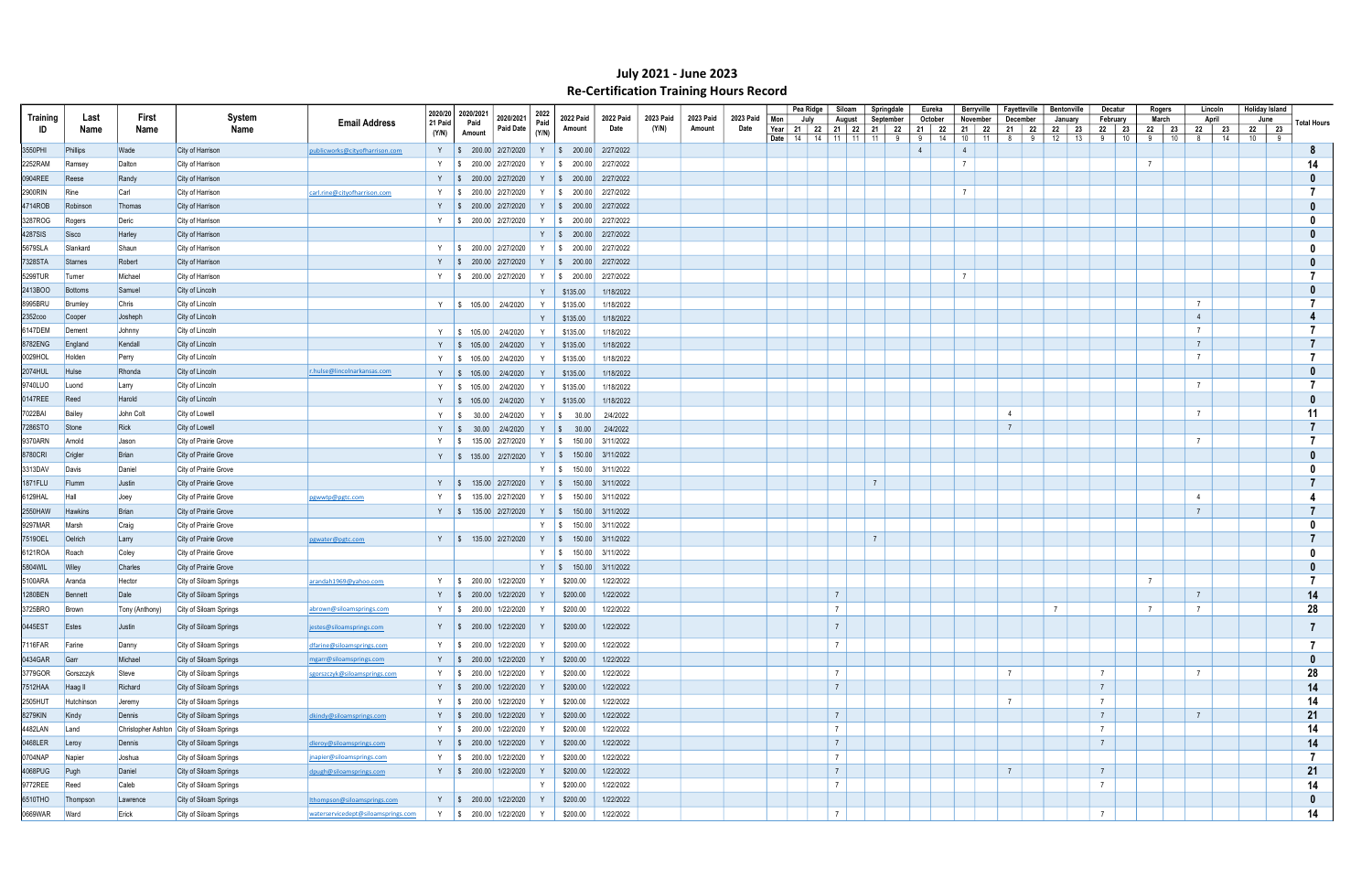|                 |                |                |                                           |                                    |         | 2020/20 2020/2021 |                                  |              |                                   |                  |                    |           |           |              | Pea Ridge    | Siloam                      | Springdale     |   | Eureka         |                | <b>Berryville</b> | Fayetteville    |             | <b>Bentonville</b> |            | Decatur          | Rogers               | Lincoln          | <b>Holiday Island</b> |                    |
|-----------------|----------------|----------------|-------------------------------------------|------------------------------------|---------|-------------------|----------------------------------|--------------|-----------------------------------|------------------|--------------------|-----------|-----------|--------------|--------------|-----------------------------|----------------|---|----------------|----------------|-------------------|-----------------|-------------|--------------------|------------|------------------|----------------------|------------------|-----------------------|--------------------|
| <b>Training</b> | Last           | First          | System                                    | <b>Email Address</b>               | 21 Paid | Paid              | 2020/2021<br><b>Paid Date</b>    | 2022<br>Paid | 2022 Paid                         | 2022 Paid        | 2023 Paid<br>(Y/N) | 2023 Paid | 2023 Paid | Mon          | July         | August                      | September      |   | October        |                | November          | December        |             | January            |            | February         | March                | April            | June                  | <b>Total Hours</b> |
| ID              | Name           | Name           | Name                                      |                                    | (Y/N)   | Amount            |                                  | (Y/N)        | Amount                            | Date             |                    | Amount    | Date      | Year<br>Date | 14   14   11 | 21   22   21   22  <br>  11 | 21   22<br>11  | 9 | 21   22<br>91  | 14             | 21 22<br>11<br>10 | 21<br>8         | - 22<br>- 9 | 22<br>12           | 23  <br>13 | 22 23<br>10<br>9 | 22 23<br>$10$  <br>9 | 22 23<br>14<br>8 | 22 23<br>10   9       |                    |
| 3550PHI         | Phillips       | Wade           | City of Harrison                          | publicworks@cityofharrison.com     |         |                   | Y   \$ 200.00 2/27/2020          |              | Y   \$ 200.00 2/27/2022           |                  |                    |           |           |              |              |                             |                |   | $\overline{4}$ | $\overline{4}$ |                   |                 |             |                    |            |                  |                      |                  |                       | -8                 |
| 2252RAM         | Ramsey         | Dalton         | City of Harrison                          |                                    |         |                   | Y   \$ 200.00 2/27/2020          | Y            | $\frac{1}{2}$ \$ 200.00 2/27/2022 |                  |                    |           |           |              |              |                             |                |   |                | $\overline{7}$ |                   |                 |             |                    |            |                  |                      |                  |                       | 14                 |
| 0904REE         | Reese          | Randy          | City of Harrison                          |                                    |         |                   | Y   \$ 200.00 2/27/2020          | Y            | $\frac{1}{200.00}$                | 2/27/2022        |                    |           |           |              |              |                             |                |   |                |                |                   |                 |             |                    |            |                  |                      |                  |                       |                    |
| 2900RIN         | Rine           | Carl           | City of Harrison                          | carl.rine@cityofharrison.com       |         |                   | Y   \$ 200.00 2/27/2020          | Y            | $\frac{1}{2}$ \$ 200.00 2/27/2022 |                  |                    |           |           |              |              |                             |                |   |                | $\overline{7}$ |                   |                 |             |                    |            |                  |                      |                  |                       |                    |
| 4714ROB         | Robinson       | Thomas         | City of Harrison                          |                                    |         |                   | Y   \$ 200.00 2/27/2020          |              | Y   \$ 200.00 2/27/2022           |                  |                    |           |           |              |              |                             |                |   |                |                |                   |                 |             |                    |            |                  |                      |                  |                       |                    |
| 3287ROG         | Rogers         | Deric          | City of Harrison                          |                                    |         |                   | Y   \$ 200.00 2/27/2020          |              | Y   \$ 200.00 2/27/2022           |                  |                    |           |           |              |              |                             |                |   |                |                |                   |                 |             |                    |            |                  |                      |                  |                       |                    |
| 4287SIS         | Sisco          | Harley         | City of Harrison                          |                                    |         |                   |                                  |              | Y   \$ 200.00 2/27/2022           |                  |                    |           |           |              |              |                             |                |   |                |                |                   |                 |             |                    |            |                  |                      |                  |                       |                    |
| 5679SLA         | Slankard       | Shaun          | City of Harrison                          |                                    | Y       |                   | $\frac{1}{2}$ 200.00 2/27/2020   |              | Y   \$ 200.00 2/27/2022           |                  |                    |           |           |              |              |                             |                |   |                |                |                   |                 |             |                    |            |                  |                      |                  |                       |                    |
| 7328STA         | <b>Starnes</b> | Robert         | City of Harrison                          |                                    |         |                   | Y   \$ 200.00 2/27/2020          |              | Y   \$ 200.00 2/27/2022           |                  |                    |           |           |              |              |                             |                |   |                |                |                   |                 |             |                    |            |                  |                      |                  |                       |                    |
| 5299TUR         | Tumer          | Michael        | City of Harrison                          |                                    |         |                   | Y   \$ 200.00 2/27/2020          | Y            | $\frac{1}{2}$ \$ 200.00 2/27/2022 |                  |                    |           |           |              |              |                             |                |   |                |                |                   |                 |             |                    |            |                  |                      |                  |                       |                    |
| 2413BOO         | Bottoms        | Samuel         | City of Lincoln                           |                                    |         |                   |                                  | Y            | \$135.00                          | 1/18/2022        |                    |           |           |              |              |                             |                |   |                |                |                   |                 |             |                    |            |                  |                      |                  |                       |                    |
| 8995BRU         | Brumley        | Chris          | City of Lincoln                           |                                    |         |                   | Y   \$ 105.00   2/4/2020         | Y            | \$135.00                          | 1/18/2022        |                    |           |           |              |              |                             |                |   |                |                |                   |                 |             |                    |            |                  |                      |                  |                       |                    |
| 2352coo         | Cooper         | Josheph        | City of Lincoln                           |                                    |         |                   |                                  | Y            | \$135.00                          | 1/18/2022        |                    |           |           |              |              |                             |                |   |                |                |                   |                 |             |                    |            |                  |                      |                  |                       |                    |
| 6147DEM         | Dement         | Johnny         | City of Lincoln                           |                                    |         |                   | Y   \$ 105.00   2/4/2020         | Y            | \$135.00                          | 1/18/2022        |                    |           |           |              |              |                             |                |   |                |                |                   |                 |             |                    |            |                  |                      | $\overline{7}$   |                       |                    |
| 8782ENG         | England        | Kendall        | City of Lincoln                           |                                    |         |                   | Y   \$ 105.00   2/4/2020         | Y            | \$135.00                          | 1/18/2022        |                    |           |           |              |              |                             |                |   |                |                |                   |                 |             |                    |            |                  |                      |                  |                       |                    |
| 0029HOL         | Holden         | Perry          | City of Lincoln                           |                                    |         | Y   \$ 105.00     | 2/4/2020                         |              | \$135.00                          | 1/18/2022        |                    |           |           |              |              |                             |                |   |                |                |                   |                 |             |                    |            |                  |                      |                  |                       |                    |
| 2074HUL         | Hulse          | Rhonda         | City of Lincoln                           | r.hulse@lincolnarkansas.com        |         |                   | Y   \$ 105.00   2/4/2020         | Y            | \$135.00                          | 1/18/2022        |                    |           |           |              |              |                             |                |   |                |                |                   |                 |             |                    |            |                  |                      |                  |                       |                    |
| 9740LUO         | Luond          | Larry          | City of Lincoln                           |                                    |         |                   | Y   \$ 105.00   2/4/2020         |              | \$135.00                          | 1/18/2022        |                    |           |           |              |              |                             |                |   |                |                |                   |                 |             |                    |            |                  |                      |                  |                       |                    |
| 0147REE         | Reed           | Harold         | City of Lincoln                           |                                    |         |                   | Y   \$ 105.00   2/4/2020         |              | \$135.00                          | 1/18/2022        |                    |           |           |              |              |                             |                |   |                |                |                   |                 |             |                    |            |                  |                      |                  |                       |                    |
| 7022BAI         | Bailey         | John Colt      | City of Lowell                            |                                    |         | Y   \$ 30.00      | 2/4/2020                         |              | Y   \$ 30.00                      | 2/4/2022         |                    |           |           |              |              |                             |                |   |                |                |                   | $\overline{4}$  |             |                    |            |                  |                      |                  |                       | 11                 |
| 7286STO         | <b>Stone</b>   | Rick           | City of Lowell                            |                                    | Y S     |                   | 30.00 2/4/2020                   |              | $Y \mid $30.00$                   | 2/4/2022         |                    |           |           |              |              |                             |                |   |                |                |                   | $\overline{7}$  |             |                    |            |                  |                      |                  |                       |                    |
| 9370ARN         | Arnold         | Jason          | City of Prairie Grove                     |                                    |         |                   | Y   \$ 135.00 2/27/2020          | Y   \$       | 150.00                            | 3/11/2022        |                    |           |           |              |              |                             |                |   |                |                |                   |                 |             |                    |            |                  |                      |                  |                       |                    |
| 8780CRI         | Crigler        | Brian          | City of Prairie Grove                     |                                    |         |                   | Y   \$ 135.00 2/27/2020          |              | Y   \$ 150.00 3/11/2022           |                  |                    |           |           |              |              |                             |                |   |                |                |                   |                 |             |                    |            |                  |                      |                  |                       |                    |
| 3313DAV         | Davis          | Daniel         | City of Prairie Grove                     |                                    |         |                   |                                  |              | Y   \$ 150.00 3/11/2022           |                  |                    |           |           |              |              |                             |                |   |                |                |                   |                 |             |                    |            |                  |                      |                  |                       |                    |
| 1871FLU         | Flumm          | Justin         | City of Prairie Grove                     |                                    |         |                   | Y   \$ 135.00 2/27/2020          |              | $Y \mid $150.00 \mid 3/11/2022$   |                  |                    |           |           |              |              |                             | $\overline{7}$ |   |                |                |                   |                 |             |                    |            |                  |                      |                  |                       |                    |
| 6129HAL         | Hall           | Joey           | City of Prairie Grove                     | pgwwtp@pgtc.com                    |         | IS.               | 135.00 2/27/2020                 | Y S          |                                   | 150.00 3/11/2022 |                    |           |           |              |              |                             |                |   |                |                |                   |                 |             |                    |            |                  |                      | $\overline{4}$   |                       |                    |
| 2550HAW         | <b>Hawkins</b> | <b>Brian</b>   | City of Prairie Grove                     |                                    |         |                   | Y   \$ 135.00 2/27/2020          |              | Y   \$ 150.00 3/11/2022           |                  |                    |           |           |              |              |                             |                |   |                |                |                   |                 |             |                    |            |                  |                      |                  |                       |                    |
| 9297MAR         | Marsh          | Craig          | City of Prairie Grove                     |                                    |         |                   |                                  |              | Y   \$ 150.00 3/11/2022           |                  |                    |           |           |              |              |                             |                |   |                |                |                   |                 |             |                    |            |                  |                      |                  |                       |                    |
| 75190EL         | Oelrich        | Larry          | City of Prairie Grove                     | pgwater@pgtc.com                   |         |                   | Y   \$ 135.00 2/27/2020          | Y S          |                                   | 150.00 3/11/2022 |                    |           |           |              |              |                             | $\overline{7}$ |   |                |                |                   |                 |             |                    |            |                  |                      |                  |                       |                    |
| 6121ROA         | Roach          | Coley          | City of Prairie Grove                     |                                    |         |                   |                                  |              | Y $\frac{1}{3}$ 150.00 3/11/2022  |                  |                    |           |           |              |              |                             |                |   |                |                |                   |                 |             |                    |            |                  |                      |                  |                       |                    |
| 5804WIL         | <b>Wiley</b>   | Charles        | City of Prairie Grove                     |                                    |         |                   |                                  |              | $Y$ \$ 150.00 3/11/2022           |                  |                    |           |           |              |              |                             |                |   |                |                |                   |                 |             |                    |            |                  |                      |                  |                       |                    |
| 5100ARA         | Aranda         | Hector         | City of Siloam Springs                    | arandah1969@yahoo.com              |         |                   | Y   \$ 200.00 1/22/2020          |              | \$200.00                          | 1/22/2022        |                    |           |           |              |              |                             |                |   |                |                |                   |                 |             |                    |            |                  |                      |                  |                       |                    |
| 1280BEN         | Bennett        | Dale           | City of Siloam Springs                    |                                    |         |                   | Y   \$ 200.00 1/22/2020          |              | \$200.00                          | 1/22/2022        |                    |           |           |              |              | $\overline{7}$              |                |   |                |                |                   |                 |             |                    |            |                  |                      | $\overline{7}$   |                       | 14                 |
| 3725BRO         | Brown          | Tony (Anthony) | City of Siloam Springs                    | abrown@siloamsprings.com           |         |                   | Y   \$ 200.00 1/22/2020   Y      |              | \$200.00                          | 1/22/2022        |                    |           |           |              |              | $\vert$ 7                   |                |   |                |                |                   |                 |             | $7\overline{ }$    |            |                  | 7                    | $\overline{7}$   |                       | 28                 |
| 0445EST         | Estes          | Justin         | City of Siloam Springs                    | jestes@siloamsprings.com           |         |                   | Y   \$ 200.00 1/22/2020          |              | \$200.00                          | 1/22/2022        |                    |           |           |              |              |                             |                |   |                |                |                   |                 |             |                    |            |                  |                      |                  |                       |                    |
|                 |                |                |                                           |                                    |         |                   |                                  |              |                                   |                  |                    |           |           |              |              |                             |                |   |                |                |                   |                 |             |                    |            |                  |                      |                  |                       |                    |
| 7116FAR         | Farine         | Danny          | City of Siloam Springs                    | dfarine@siloamsprings.com          |         |                   | Y   \$ 200.00 1/22/2020          |              | \$200.00                          | 1/22/2022        |                    |           |           |              |              | $\overline{7}$              |                |   |                |                |                   |                 |             |                    |            |                  |                      |                  |                       | -7                 |
| 0434GAR         | Garr           | Michael        | City of Siloam Springs                    | mgarr@siloamsprings.com            |         |                   | Y   \$ 200.00 1/22/2020          |              | \$200.00                          | 1/22/2022        |                    |           |           |              |              |                             |                |   |                |                |                   |                 |             |                    |            |                  |                      |                  |                       | $\mathbf{0}$       |
| 3779GOR         | Gorszczyk      | Steve          | City of Siloam Springs                    | sgorszczyk@siloamsprings.com       |         |                   | Y   \$ 200.00 1/22/2020          | Y            | \$200.00                          | 1/22/2022        |                    |           |           |              |              | $\overline{7}$              |                |   |                |                |                   | $\overline{7}$  |             |                    |            | $\overline{7}$   |                      | $\overline{7}$   |                       | 28                 |
| 7512HAA         | Haag II        | Richard        | City of Siloam Springs                    |                                    |         |                   | Y $\frac{1}{3}$ 200.00 1/22/2020 |              | \$200.00                          | 1/22/2022        |                    |           |           |              |              | $\overline{7}$              |                |   |                |                |                   |                 |             |                    |            |                  |                      |                  |                       | 14                 |
| 2505HUT         | Hutchinson     | Jeremy         | City of Siloam Springs                    |                                    |         |                   | Y   \$ 200.00 1/22/2020          |              | \$200.00                          | 1/22/2022        |                    |           |           |              |              |                             |                |   |                |                |                   | $7\overline{ }$ |             |                    |            | $\overline{7}$   |                      |                  |                       | 14                 |
| 8279KIN         | Kindy          | Dennis         | City of Siloam Springs                    | dkindy@siloamsprings.com           |         |                   | Y   \$ 200.00 1/22/2020          |              | \$200.00                          | 1/22/2022        |                    |           |           |              |              | $7\overline{ }$             |                |   |                |                |                   |                 |             |                    |            | $\overline{7}$   |                      | $\overline{7}$   |                       | 21                 |
| 4482LAN         | Land           |                | Christopher Ashton City of Siloam Springs |                                    |         |                   | Y   \$ 200.00 1/22/2020          |              | \$200.00                          | 1/22/2022        |                    |           |           |              |              | $7\overline{ }$             |                |   |                |                |                   |                 |             |                    |            | $\overline{7}$   |                      |                  |                       | 14                 |
| 0468LER         | Leroy          | Dennis         | City of Siloam Springs                    | dleroy@siloamsprings.com           |         |                   | Y   \$ 200.00 1/22/2020          |              | \$200.00                          | 1/22/2022        |                    |           |           |              |              | $7\overline{ }$             |                |   |                |                |                   |                 |             |                    |            | $\overline{7}$   |                      |                  |                       | 14                 |
| 0704NAP         | Napier         | Joshua         | City of Siloam Springs                    | jnapier@siloamsprings.com          |         |                   | Y   \$ 200.00 1/22/2020          |              | \$200.00                          | 1/22/2022        |                    |           |           |              |              | $7\overline{ }$             |                |   |                |                |                   |                 |             |                    |            |                  |                      |                  |                       | 7                  |
| 4068PUG         | Pugh           | Daniel         | City of Siloam Springs                    | dpugh@siloamsprings.com            |         |                   | Y   \$ 200.00 1/22/2020          | Y            | \$200.00                          | 1/22/2022        |                    |           |           |              |              | $7\overline{ }$             |                |   |                |                |                   | $7\overline{ }$ |             |                    |            | $\overline{7}$   |                      |                  |                       | 21                 |
| 9772REE         | Reed           | Caleb          | City of Siloam Springs                    |                                    |         |                   |                                  | Y            | \$200.00                          | 1/22/2022        |                    |           |           |              |              | $\overline{7}$              |                |   |                |                |                   |                 |             |                    |            | $\overline{7}$   |                      |                  |                       | 14                 |
| 6510THO         | Thompson       | Lawrence       | City of Siloam Springs                    | thompson@siloamsprings.com         |         |                   | Y   \$ 200.00 1/22/2020          | Y            | \$200.00                          | 1/22/2022        |                    |           |           |              |              |                             |                |   |                |                |                   |                 |             |                    |            |                  |                      |                  |                       | 0                  |
| 0669WAR Ward    |                | Erick          | City of Siloam Springs                    | waterservicedept@siloamsprings.com |         |                   | Y   \$ 200.00 1/22/2020          | Y            | \$200.00                          | 1/22/2022        |                    |           |           |              |              | $\overline{7}$              |                |   |                |                |                   |                 |             |                    |            | $\overline{7}$   |                      |                  |                       | 14                 |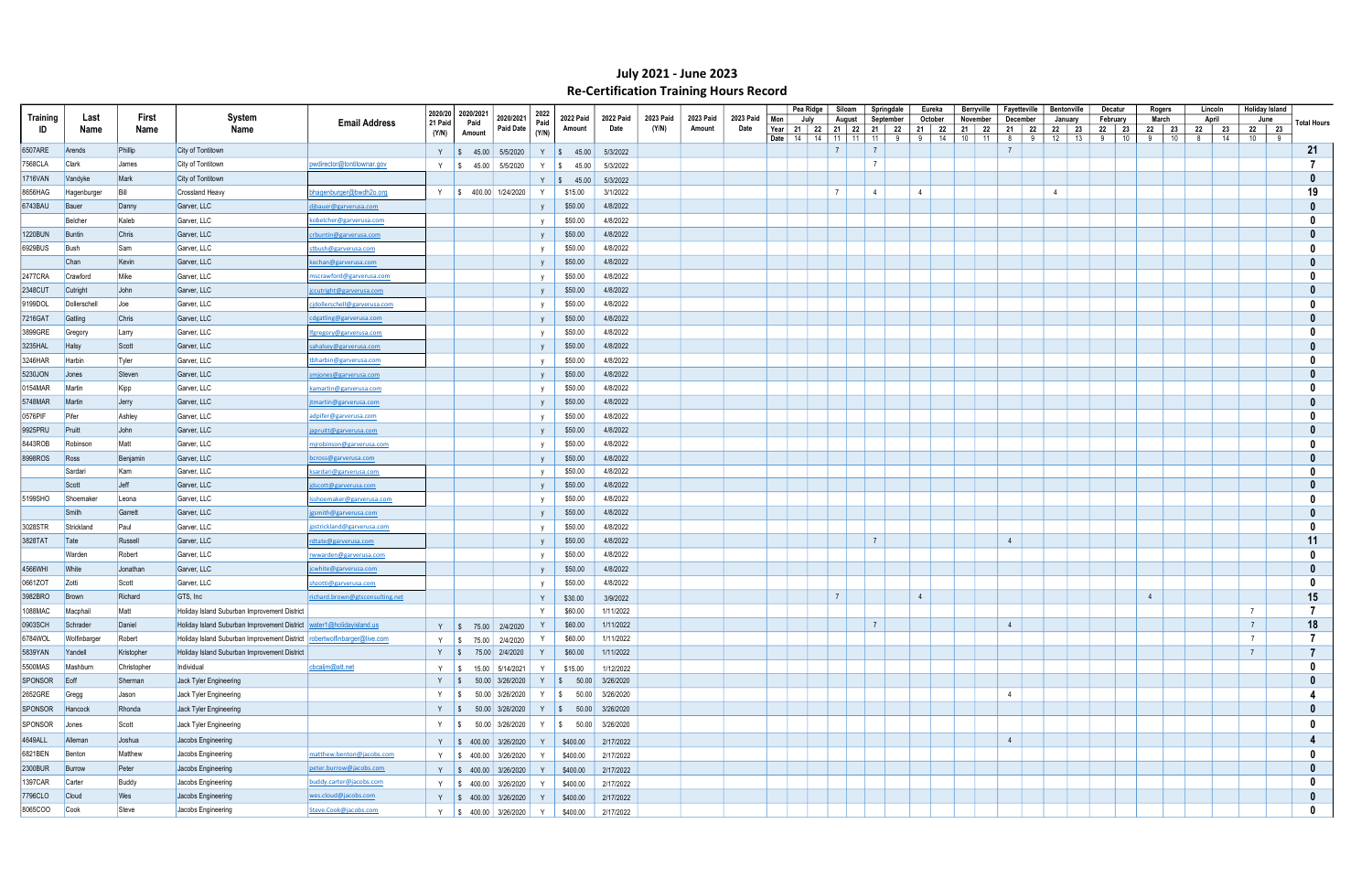|          |              |             |                                                                          |                                                    | 2020/20 | 2020/2021 |                                                         | 2022         |                                 |                       |                  |           |                   |                                     | Pea Ridge | Siloam                                                           | Springdale         | Eureka         | Berryville                        | Fayetteville   |             | <b>Bentonville</b>     | Decatur            | Rogers                | Lincoln               | Holiday Island  |     |                |
|----------|--------------|-------------|--------------------------------------------------------------------------|----------------------------------------------------|---------|-----------|---------------------------------------------------------|--------------|---------------------------------|-----------------------|------------------|-----------|-------------------|-------------------------------------|-----------|------------------------------------------------------------------|--------------------|----------------|-----------------------------------|----------------|-------------|------------------------|--------------------|-----------------------|-----------------------|-----------------|-----|----------------|
| Training | Last         | First       | System                                                                   | <b>Email Address</b>                               | 21 Paid | Paid      | 2020/2021                                               | Paid         | 2022 Paid                       | 2022 Paid<br>Date     | <b>2023 Paid</b> | 2023 Paid | 2023 Paid<br>Date | Mon                                 | July      | August                                                           | September          | October        | November                          | December       |             | January                | February           | March                 | April                 | June            |     | Total Hours    |
| ID       | Name         | Name        | Name                                                                     |                                                    | (Y/N)   | Amount    | Paid Date                                               | (Y/N)        | Amount                          |                       | (Y/N)            | Amount    |                   | Year   21   22   21<br>Date  <br>14 |           | $\begin{array}{\small} \textbf{22} \end{array}$<br>11<br>14   11 | 21   22<br>11<br>9 | 21  <br>-91    | - 22<br>21   22<br>10<br>14<br>11 | 21<br>8        | - 22<br>- 9 | 22<br>- 23<br>12<br>13 | 22   23<br>10<br>9 | 22<br>- 23<br>10<br>9 | 22<br>- 23<br>14<br>8 | 22 23<br>10     | - 9 |                |
| 6507ARE  | Arends       | Phillip     | City of Tontitown                                                        |                                                    | Y S     |           | 45.00 5/5/2020                                          |              | $Y \mid $45.00$                 | 5/3/2022              |                  |           |                   |                                     |           | $\overline{7}$                                                   | $\overline{7}$     |                |                                   |                |             |                        |                    |                       |                       |                 |     | 21             |
| 7568CLA  | <b>Clark</b> | James       | City of Tontitown                                                        | pwdirector@tontitownar.gov                         | Y S     |           | 5/5/2020<br>45.00                                       | Y            | I \$<br>45.00                   | 5/3/2022              |                  |           |                   |                                     |           |                                                                  | $\overline{7}$     |                |                                   |                |             |                        |                    |                       |                       |                 |     |                |
| 1716VAN  | Vandyke      | Mark        | City of Tontitown                                                        |                                                    |         |           |                                                         | Y            | $\frac{1}{9}$ 45.00             | 5/3/2022              |                  |           |                   |                                     |           |                                                                  |                    |                |                                   |                |             |                        |                    |                       |                       |                 |     |                |
| 8656HAG  | Hagenburger  | Bill        | <b>Crossland Heavy</b>                                                   | bhagenburger@bwdh2o.org                            |         |           | Y   \$ 400.00 1/24/2020                                 |              | \$15.00                         | 3/1/2022              |                  |           |                   |                                     |           | $\overline{7}$                                                   | 4                  | $\overline{4}$ |                                   |                |             | 4                      |                    |                       |                       |                 |     | 19             |
| 6743BAU  | Bauer        | Danny       | Garver, LLC                                                              | djbauer@garverusa.com                              |         |           |                                                         |              | \$50.00                         | 4/8/2022              |                  |           |                   |                                     |           |                                                                  |                    |                |                                   |                |             |                        |                    |                       |                       |                 |     |                |
|          | Belcher      | Kaleb       | Garver, LLC                                                              | <u>cobelcher@garverusa.com</u>                     |         |           |                                                         |              | \$50.00                         | 4/8/2022              |                  |           |                   |                                     |           |                                                                  |                    |                |                                   |                |             |                        |                    |                       |                       |                 |     |                |
| 1220BUN  | Buntin       | Chris       | Garver, LLC                                                              | crbuntin@garverusa.com                             |         |           |                                                         | <b>V</b>     | \$50.00                         | 4/8/2022              |                  |           |                   |                                     |           |                                                                  |                    |                |                                   |                |             |                        |                    |                       |                       |                 |     |                |
| 6929BUS  | Bush         | Sam         | Garver, LLC                                                              | <u>stbush@garverusa.com</u>                        |         |           |                                                         | <b>V</b>     | \$50.00                         | 4/8/2022              |                  |           |                   |                                     |           |                                                                  |                    |                |                                   |                |             |                        |                    |                       |                       |                 |     |                |
|          | Chan         | Kevin       | Garver, LLC                                                              | kechan@garverusa.com                               |         |           |                                                         |              | \$50.00                         | 4/8/2022              |                  |           |                   |                                     |           |                                                                  |                    |                |                                   |                |             |                        |                    |                       |                       |                 |     |                |
| 2477CRA  | Crawford     | Mike        | Garver, LLC                                                              | mscrawford@garverusa.com                           |         |           |                                                         |              | \$50.00                         | 4/8/2022              |                  |           |                   |                                     |           |                                                                  |                    |                |                                   |                |             |                        |                    |                       |                       |                 |     |                |
| 2348CUT  | Cutright     | John        | Garver, LLC                                                              | jccutright@garverusa.com                           |         |           |                                                         |              | \$50.00                         | 4/8/2022              |                  |           |                   |                                     |           |                                                                  |                    |                |                                   |                |             |                        |                    |                       |                       |                 |     |                |
| 9199DOL  | Dollerschell | $\bigcup$   | Garver, LLC                                                              | cjdollerschell@garverusa.com                       |         |           |                                                         |              | \$50.00                         | 4/8/2022              |                  |           |                   |                                     |           |                                                                  |                    |                |                                   |                |             |                        |                    |                       |                       |                 |     |                |
| 7216GAT  | Gatling      | Chris       | Garver, LLC                                                              | cdgatling@garverusa.com                            |         |           |                                                         |              | \$50.00                         | 4/8/2022              |                  |           |                   |                                     |           |                                                                  |                    |                |                                   |                |             |                        |                    |                       |                       |                 |     |                |
| 3899GRE  | Gregory      | Larry       | Garver, LLC                                                              | Ifgregory@garverusa.com                            |         |           |                                                         |              | \$50.00                         | 4/8/2022              |                  |           |                   |                                     |           |                                                                  |                    |                |                                   |                |             |                        |                    |                       |                       |                 |     |                |
| 3235HAL  | Halsy        | Scott       | Garver, LLC                                                              | sahalsey@garverusa.com                             |         |           |                                                         |              | \$50.00                         | 4/8/2022              |                  |           |                   |                                     |           |                                                                  |                    |                |                                   |                |             |                        |                    |                       |                       |                 |     |                |
| 3246HAR  | Harbin       | Tyler       | Garver, LLC                                                              | tbharbin@garverusa.com                             |         |           |                                                         | $\mathsf{v}$ | \$50.00                         | 4/8/2022              |                  |           |                   |                                     |           |                                                                  |                    |                |                                   |                |             |                        |                    |                       |                       |                 |     |                |
| 5230JON  | Jones        | Steven      | Garver, LLC                                                              | smjones@garverusa.com                              |         |           |                                                         |              | \$50.00                         | 4/8/2022              |                  |           |                   |                                     |           |                                                                  |                    |                |                                   |                |             |                        |                    |                       |                       |                 |     |                |
| 0154MAR  | Martin       | Kipp        | Garver, LLC                                                              | kamartin@garverusa.com                             |         |           |                                                         |              | \$50.00                         | 4/8/2022              |                  |           |                   |                                     |           |                                                                  |                    |                |                                   |                |             |                        |                    |                       |                       |                 |     |                |
| 5748MAR  | Martin       | Jerry       | Garver, LLC                                                              | jtmartin@garverusa.com                             |         |           |                                                         |              | \$50.00                         | 4/8/2022              |                  |           |                   |                                     |           |                                                                  |                    |                |                                   |                |             |                        |                    |                       |                       |                 |     |                |
| 0576PIF  | Pifer        | Ashley      | Garver, LLC                                                              | adpifer@garverusa.com                              |         |           |                                                         | <b>V</b>     | \$50.00                         | 4/8/2022              |                  |           |                   |                                     |           |                                                                  |                    |                |                                   |                |             |                        |                    |                       |                       |                 |     |                |
| 9925PRU  | Pruitt       | John        | Garver, LLC                                                              |                                                    |         |           |                                                         | <b>V</b>     | \$50.00                         | 4/8/2022              |                  |           |                   |                                     |           |                                                                  |                    |                |                                   |                |             |                        |                    |                       |                       |                 |     |                |
| 8443ROB  | Robinson     | Matt        | Garver, LLC                                                              | japruitt@garverusa.com<br>mjrobinson@garverusa.com |         |           |                                                         |              | \$50.00                         | 4/8/2022              |                  |           |                   |                                     |           |                                                                  |                    |                |                                   |                |             |                        |                    |                       |                       |                 |     |                |
| 8998ROS  | Ross         | Benjamin    | Garver, LLC                                                              |                                                    |         |           |                                                         |              | \$50.00                         | 4/8/2022              |                  |           |                   |                                     |           |                                                                  |                    |                |                                   |                |             |                        |                    |                       |                       |                 |     |                |
|          | Sardari      | Kam         | Garver, LLC                                                              | bcross@garverusa.com<br>ksardari@garverusa.com     |         |           |                                                         |              | \$50.00                         | 4/8/2022              |                  |           |                   |                                     |           |                                                                  |                    |                |                                   |                |             |                        |                    |                       |                       |                 |     |                |
|          | Scott        | Jeff        | Garver, LLC                                                              | scott@garverusa.com                                |         |           |                                                         |              | \$50.00                         | 4/8/2022              |                  |           |                   |                                     |           |                                                                  |                    |                |                                   |                |             |                        |                    |                       |                       |                 |     |                |
| 5199SHO  | Shoemaker    | Leona       | Garver, LLC                                                              | <u>Isshoemaker@garverusa.com</u>                   |         |           |                                                         |              | \$50.00                         | 4/8/2022              |                  |           |                   |                                     |           |                                                                  |                    |                |                                   |                |             |                        |                    |                       |                       |                 |     |                |
|          | Smith        | Garrett     | Garver, LLC                                                              | jgsmith@garverusa.com                              |         |           |                                                         |              | \$50.00                         | 4/8/2022              |                  |           |                   |                                     |           |                                                                  |                    |                |                                   |                |             |                        |                    |                       |                       |                 |     |                |
| 3028STR  | Strickland   | Paul        | Garver, LLC                                                              | jpstrickland@garverusa.com                         |         |           |                                                         |              | \$50.00                         | 4/8/2022              |                  |           |                   |                                     |           |                                                                  |                    |                |                                   |                |             |                        |                    |                       |                       |                 |     |                |
| 3828TAT  | $\vert$ Tate | Russell     | Garver, LLC                                                              | rdtate@garverusa.com                               |         |           |                                                         | <b>V</b>     | \$50.00                         | 4/8/2022              |                  |           |                   |                                     |           |                                                                  | $\overline{7}$     |                |                                   | 4              |             |                        |                    |                       |                       |                 |     | 11             |
|          | Warden       | Robert      | Garver, LLC                                                              | rwwarden@garverusa.com                             |         |           |                                                         |              | \$50.00                         | 4/8/2022              |                  |           |                   |                                     |           |                                                                  |                    |                |                                   |                |             |                        |                    |                       |                       |                 |     |                |
| 4566WHI  | <b>White</b> | Jonathan    | Garver, LLC                                                              |                                                    |         |           |                                                         |              | \$50.00                         | 4/8/2022              |                  |           |                   |                                     |           |                                                                  |                    |                |                                   |                |             |                        |                    |                       |                       |                 |     |                |
| 0661ZOT  | <b>Zotti</b> | Scott       | Garver, LLC                                                              | jcwhite@garverusa.com                              |         |           |                                                         |              | \$50.00                         | 4/8/2022              |                  |           |                   |                                     |           |                                                                  |                    |                |                                   |                |             |                        |                    |                       |                       |                 |     |                |
| 3982BRO  | Brown        | Richard     | GTS, Inc.                                                                | hzotti@garverusa.com                               |         |           |                                                         |              |                                 |                       |                  |           |                   |                                     |           | $\overline{7}$                                                   |                    | $\overline{4}$ |                                   |                |             |                        |                    |                       |                       |                 |     | 15             |
| 1088MAC  | Macphail     | Matt        | Holiday Island Suburban Improvement District                             | richard.brown@gtsconsulting.net                    |         |           |                                                         | Y<br>Y       | \$30.00<br>\$60.00              | 3/9/2022<br>1/11/2022 |                  |           |                   |                                     |           |                                                                  |                    |                |                                   |                |             |                        |                    |                       |                       | $\overline{7}$  |     | -7             |
| 0903SCH  | Schrader     | Daniel      | Holiday Island Suburban Improvement District  water1@holidayisland.us    |                                                    |         |           |                                                         |              | \$60.00                         | 1/11/2022             |                  |           |                   |                                     |           |                                                                  | $\overline{7}$     |                |                                   | 4              |             |                        |                    |                       |                       | $7\overline{ }$ |     | 18             |
| 6784WOL  | Wolfinbarger | Robert      | Holiday Island Suburban Improvement District robertwolfinbarger@live.com |                                                    |         |           | Y \$ 75.00 2/4/2020                                     |              | \$60.00                         | 1/11/2022             |                  |           |                   |                                     |           |                                                                  |                    |                |                                   |                |             |                        |                    |                       |                       | $\overline{7}$  |     | $\overline{7}$ |
| 5839YAN  | Yandell      | Kristopher  | Holiday Island Suburban Improvement District                             |                                                    |         |           | Y $\frac{1}{3}$ 75.00 2/4/2020<br>Y   \$ 75.00 2/4/2020 | Y            | \$60.00                         | 1/11/2022             |                  |           |                   |                                     |           |                                                                  |                    |                |                                   |                |             |                        |                    |                       |                       | $\overline{7}$  |     | $\overline{7}$ |
| 5500MAS  | Mashburn     | Christopher | Individual                                                               | cbcaljm@att.net                                    |         |           |                                                         |              |                                 |                       |                  |           |                   |                                     |           |                                                                  |                    |                |                                   |                |             |                        |                    |                       |                       |                 |     | $\mathbf{0}$   |
|          |              |             |                                                                          |                                                    |         |           | Y   \$ 15.00   5/14/2021                                | Y            | \$15.00<br>Y \$ 50.00 3/26/2020 | 1/12/2022             |                  |           |                   |                                     |           |                                                                  |                    |                |                                   |                |             |                        |                    |                       |                       |                 |     | $\mathbf{0}$   |
| SPONSOR  | $E$ off      | Sherman     | Jack Tyler Engineering                                                   |                                                    |         |           | Y $\frac{1}{3}$ 50.00 3/26/2020                         |              |                                 |                       |                  |           |                   |                                     |           |                                                                  |                    |                |                                   | $\overline{4}$ |             |                        |                    |                       |                       |                 |     |                |
| 2652GRE  | Gregg        | Jason       | Jack Tyler Engineering                                                   |                                                    |         |           | Y   \$ 50.00 3/26/2020                                  |              | Y \$ 50.00 3/26/2020            |                       |                  |           |                   |                                     |           |                                                                  |                    |                |                                   |                |             |                        |                    |                       |                       |                 |     |                |
| SPONSOR  | Hancock      | Rhonda      | Jack Tyler Engineering                                                   |                                                    |         |           | Y   \$ 50.00 3/26/2020   Y   \$ 50.00 3/26/2020         |              |                                 |                       |                  |           |                   |                                     |           |                                                                  |                    |                |                                   |                |             |                        |                    |                       |                       |                 |     | 0              |
| SPONSOR  | Jones        | Scott       | Jack Tyler Engineering                                                   |                                                    |         |           | Y   \$ 50.00 3/26/2020                                  |              | Y   \$ 50.00 3/26/2020          |                       |                  |           |                   |                                     |           |                                                                  |                    |                |                                   |                |             |                        |                    |                       |                       |                 |     | 0              |
| 4649ALL  | Alleman      | Joshua      | Jacobs Engineering                                                       |                                                    |         |           | Y $\vert \$ 400.00 \vert 3/26/2020$                     | Y            | \$400.00                        | 2/17/2022             |                  |           |                   |                                     |           |                                                                  |                    |                |                                   | $\overline{4}$ |             |                        |                    |                       |                       |                 |     | 4              |
| 6821BEN  | Benton       | Matthew     | Jacobs Engineering                                                       | matthew.benton@jacobs.com                          |         |           | Y   \$ 400.00   3/26/2020                               | Y            | \$400.00                        | 2/17/2022             |                  |           |                   |                                     |           |                                                                  |                    |                |                                   |                |             |                        |                    |                       |                       |                 |     | - 0            |
| 2300BUR  | Burrow       | Peter       | Jacobs Engineering                                                       | peter.burrow@jacobs.com                            |         |           | Y $\vert \$ 400.00 \vert 3/26/2020 \vert$               | Y            | \$400.00                        | 2/17/2022             |                  |           |                   |                                     |           |                                                                  |                    |                |                                   |                |             |                        |                    |                       |                       |                 |     | $\mathbf{0}$   |
| 1397CAR  | Carter       | Buddy       | Jacobs Engineering                                                       | buddy.carter@jacobs.com                            |         |           | Y \$ 400.00 3/26/2020                                   | Y            | \$400.00                        | 2/17/2022             |                  |           |                   |                                     |           |                                                                  |                    |                |                                   |                |             |                        |                    |                       |                       |                 |     |                |
| 7796CLO  | Cloud        | Wes         | Jacobs Engineering                                                       | wes.cloud@jacobs.com                               |         |           | Y   \$ 400.00   3/26/2020                               | Y            | \$400.00                        | 2/17/2022             |                  |           |                   |                                     |           |                                                                  |                    |                |                                   |                |             |                        |                    |                       |                       |                 |     | 0              |
| 8065COO  | Cook         | Steve       | Jacobs Engineering                                                       | Steve.Cook@jacobs.com                              |         |           | Y \$400.00 3/26/2020 Y                                  |              | \$400.00                        | 2/17/2022             |                  |           |                   |                                     |           |                                                                  |                    |                |                                   |                |             |                        |                    |                       |                       |                 |     | $\mathbf 0$    |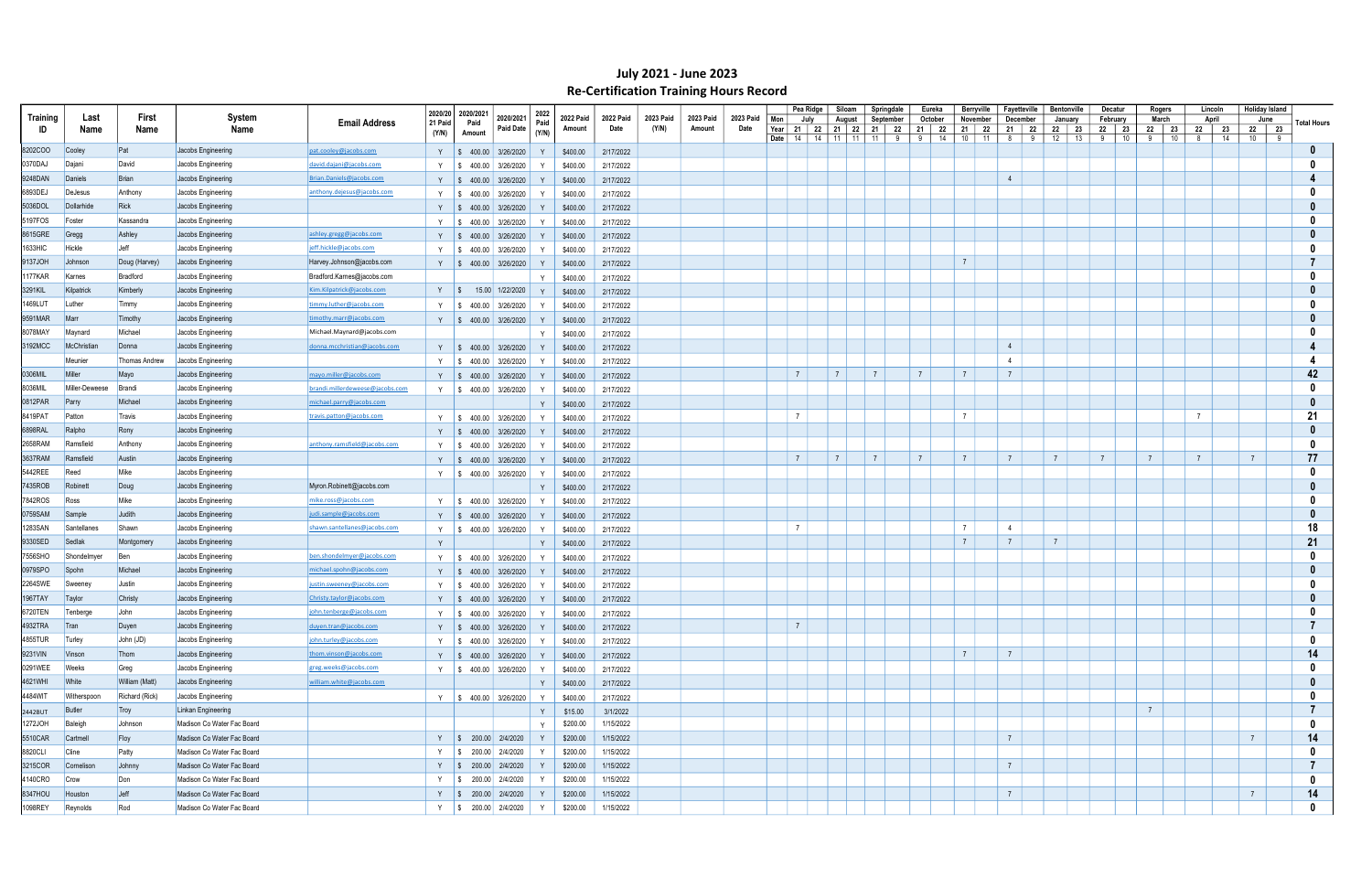|          |                |                |                                          |                                  | 2020/20 | 2020/2021                                                                                  |                                                                                                               | 2022  |                  |                   |                           |           |                   |                                                 | Pea Ridge | Siloam         | Springdale     |                             | Eureka   | Berryville        | Fayetteville        |         | <b>Bentonville</b> |          | Decatur          | Rogers         |          | Lincoln             | <b>Holiday Island</b> |   |                    |
|----------|----------------|----------------|------------------------------------------|----------------------------------|---------|--------------------------------------------------------------------------------------------|---------------------------------------------------------------------------------------------------------------|-------|------------------|-------------------|---------------------------|-----------|-------------------|-------------------------------------------------|-----------|----------------|----------------|-----------------------------|----------|-------------------|---------------------|---------|--------------------|----------|------------------|----------------|----------|---------------------|-----------------------|---|--------------------|
| Training | Last           | First          | System                                   | <b>Email Address</b>             | 21 Paid | Paid                                                                                       | 2020/2021<br><b>Paid Date</b>                                                                                 | Paid  | <b>2022 Paid</b> | 2022 Paid<br>Date | <b>2023 Paid</b><br>(Y/N) | 2023 Paid | 2023 Paid<br>Date | Mon                                             | July      | August         | September      |                             | October  | November          | December            |         | January            |          | February         | March          |          | April               | June                  |   | <b>Total Hours</b> |
| ID       | Name           | Name           | Name                                     |                                  | (Y/N)   | Amount                                                                                     |                                                                                                               | (Y/N) | Amount           |                   |                           | Amount    |                   | Year 21   22   21   22   21   22<br>Date   $14$ |           | 14   11   11   | 11             | 21  <br>9<br>9 <sup>1</sup> | 22<br>14 | 21 22<br>10<br>11 | $\frac{21}{ }$<br>8 | 22<br>9 | 22<br>12           | 23<br>13 | 22 23<br>9<br>10 | 22<br>9        | 23<br>10 | 22<br>23<br>8<br>14 | 22 23<br>10           | 9 |                    |
| 8202COO  | Cooley         | Pat            | Jacobs Engineering                       | pat.cooley@jacobs.com            |         |                                                                                            | Y   \$ 400.00   3/26/2020                                                                                     |       | \$400.00         | 2/17/2022         |                           |           |                   |                                                 |           |                |                |                             |          |                   |                     |         |                    |          |                  |                |          |                     |                       |   |                    |
| 0370DAJ  | Dajani         | David          | Jacobs Engineering                       | david.dajani@jacobs.com          | Y       | $\sqrt{S}$                                                                                 | 400.00 3/26/2020                                                                                              |       | \$400.00         | 2/17/2022         |                           |           |                   |                                                 |           |                |                |                             |          |                   |                     |         |                    |          |                  |                |          |                     |                       |   |                    |
| 9248DAN  | Daniels        | Brian          | Jacobs Engineering                       | Brian.Daniels@jacobs.com         |         |                                                                                            | $\frac{1}{2}$ \$ 400.00 3/26/2020                                                                             |       | \$400.00         | 2/17/2022         |                           |           |                   |                                                 |           |                |                |                             |          |                   | $\overline{4}$      |         |                    |          |                  |                |          |                     |                       |   |                    |
| 6893DEJ  | DeJesus        | Anthony        | Jacobs Engineering                       | anthony.dejesus@jacobs.com       | Y       |                                                                                            | $\frac{1}{2}$ \$ 400.00 3/26/2020                                                                             |       | \$400.00         | 2/17/2022         |                           |           |                   |                                                 |           |                |                |                             |          |                   |                     |         |                    |          |                  |                |          |                     |                       |   |                    |
| 5036DOL  | Dollarhide     | Rick           | Jacobs Engineering                       |                                  |         |                                                                                            | Y   \$ 400.00 3/26/2020                                                                                       |       | \$400.00         | 2/17/2022         |                           |           |                   |                                                 |           |                |                |                             |          |                   |                     |         |                    |          |                  |                |          |                     |                       |   |                    |
| 5197FOS  | Foster         | Kassandra      | Jacobs Engineering                       |                                  | Y       | $\frac{1}{2}$ \$ 400.00 3/26/2020                                                          |                                                                                                               |       | \$400.00         | 2/17/2022         |                           |           |                   |                                                 |           |                |                |                             |          |                   |                     |         |                    |          |                  |                |          |                     |                       |   |                    |
| 8615GRE  | Gregg          | Ashley         | Jacobs Engineering                       | ashley.gregg@jacobs.com          | Y       |                                                                                            | $\frac{1}{2}$ \$ 400.00 3/26/2020                                                                             |       | \$400.00         | 2/17/2022         |                           |           |                   |                                                 |           |                |                |                             |          |                   |                     |         |                    |          |                  |                |          |                     |                       |   |                    |
| 1633HIC  | Hickle         | Jeff           | Jacobs Engineering                       | jeff.hickle@jacobs.com           | Y       | $\frac{1}{2}$ \$ 400.00 3/26/2020                                                          |                                                                                                               |       | \$400.00         | 2/17/2022         |                           |           |                   |                                                 |           |                |                |                             |          |                   |                     |         |                    |          |                  |                |          |                     |                       |   |                    |
| 9137JOH  | Johnson        | Doug (Harvey)  | Jacobs Engineering                       | Harvey.Johnson@jacobs.com        |         |                                                                                            | Y   \$ 400.00   3/26/2020                                                                                     |       | \$400.00         | 2/17/2022         |                           |           |                   |                                                 |           |                |                |                             |          | $\overline{7}$    |                     |         |                    |          |                  |                |          |                     |                       |   |                    |
| 177KAR   | Karnes         | Bradford       | Jacobs Engineering                       | Bradford.Karnes@jacobs.com       |         |                                                                                            |                                                                                                               | Y     | \$400.00         | 2/17/2022         |                           |           |                   |                                                 |           |                |                |                             |          |                   |                     |         |                    |          |                  |                |          |                     |                       |   |                    |
| 3291KIL  | Kilpatrick     | Kimberly       | Jacobs Engineering                       | Kim.Kilpatrick@jacobs.com        |         |                                                                                            | Y   \$ 15.00 1/22/2020                                                                                        |       | \$400.00         | 2/17/2022         |                           |           |                   |                                                 |           |                |                |                             |          |                   |                     |         |                    |          |                  |                |          |                     |                       |   |                    |
| 1469LUT  | Luther         | Timmy          | Jacobs Engineering                       | timmy.luther@jacobs.com          | Y       | $\frac{1}{2}$ \$ 400.00 3/26/2020                                                          |                                                                                                               |       | \$400.00         | 2/17/2022         |                           |           |                   |                                                 |           |                |                |                             |          |                   |                     |         |                    |          |                  |                |          |                     |                       |   |                    |
| 9591MAR  | Marr           | Timothy        | Jacobs Engineering                       | timothy.marr@jacobs.com          |         |                                                                                            |                                                                                                               |       |                  |                   |                           |           |                   |                                                 |           |                |                |                             |          |                   |                     |         |                    |          |                  |                |          |                     |                       |   |                    |
| 8078MAY  | Maynard        | Michael        | Jacobs Engineering                       | Michael.Maynard@jacobs.com       |         |                                                                                            | Y   \$ 400.00 3/26/2020                                                                                       |       | \$400.00         | 2/17/2022         |                           |           |                   |                                                 |           |                |                |                             |          |                   |                     |         |                    |          |                  |                |          |                     |                       |   |                    |
| 3192MCC  | McChristian    | Donna          |                                          | donna.mcchristian@jacobs.com     |         |                                                                                            |                                                                                                               | Y     | \$400.00         | 2/17/2022         |                           |           |                   |                                                 |           |                |                |                             |          |                   | $\overline{4}$      |         |                    |          |                  |                |          |                     |                       |   |                    |
|          | Meunier        | Thomas Andrew  | Jacobs Engineering<br>Jacobs Engineering |                                  |         |                                                                                            | Y   \$ 400.00   3/26/2020                                                                                     |       | \$400.00         | 2/17/2022         |                           |           |                   |                                                 |           |                |                |                             |          |                   | $\overline{4}$      |         |                    |          |                  |                |          |                     |                       |   |                    |
| 0306MIL  | Miller         |                |                                          |                                  | Y       |                                                                                            | $\frac{1}{2}$ \$ 400.00 3/26/2020                                                                             |       | \$400.00         | 2/17/2022         |                           |           |                   | $\overline{7}$                                  |           | $\overline{7}$ | $\overline{7}$ | $\overline{7}$              |          | $\overline{7}$    | $\overline{7}$      |         |                    |          |                  |                |          |                     |                       |   | 42                 |
|          |                | Mayo           | Jacobs Engineering                       | mayo.miller@jacobs.com           |         |                                                                                            | Y   \$ 400.00 3/26/2020                                                                                       |       | \$400.00         | 2/17/2022         |                           |           |                   |                                                 |           |                |                |                             |          |                   |                     |         |                    |          |                  |                |          |                     |                       |   |                    |
| 8036MIL  | Miller-Deweese | Brandi         | Jacobs Engineering                       | brandi.millerdeweese@jacobs.con  |         |                                                                                            | Y   \$ 400.00 3/26/2020                                                                                       |       | \$400.00         | 2/17/2022         |                           |           |                   |                                                 |           |                |                |                             |          |                   |                     |         |                    |          |                  |                |          |                     |                       |   |                    |
| 0812PAR  | Parry          | Michael        | Jacobs Engineering                       | michael.parry@jacobs.com         |         |                                                                                            |                                                                                                               | Y     | \$400.00         | 2/17/2022         |                           |           |                   |                                                 |           |                |                |                             |          | $\overline{7}$    |                     |         |                    |          |                  |                |          | $\overline{7}$      |                       |   |                    |
| 8419PAT  | Patton         | Travis         | Jacobs Engineering                       | travis.patton@jacobs.com         | Y       |                                                                                            | $\frac{1}{2}$ \$ 400.00 3/26/2020                                                                             | Y     | \$400.00         | 2/17/2022         |                           |           |                   | $\overline{7}$                                  |           |                |                |                             |          |                   |                     |         |                    |          |                  |                |          |                     |                       |   | 21                 |
| 6898RAL  | Ralpho         | Rony           | Jacobs Engineering                       |                                  |         |                                                                                            | Y $\parallel$ \$ 400.00 3/26/2020                                                                             |       | \$400.00         | 2/17/2022         |                           |           |                   |                                                 |           |                |                |                             |          |                   |                     |         |                    |          |                  |                |          |                     |                       |   |                    |
| 2658RAM  | Ramsfield      | Anthony        | Jacobs Engineering                       | anthony.ramsfield@jacobs.com     | Y       | $\frac{1}{2}$ \$ 400.00 3/26/2020                                                          |                                                                                                               |       | \$400.00         | 2/17/2022         |                           |           |                   |                                                 |           |                |                |                             |          |                   |                     |         |                    |          |                  |                |          |                     |                       |   |                    |
| 3637RAM  | Ramsfield      | Austin         | Jacobs Engineering                       |                                  |         |                                                                                            | Y $\parallel$ \$ 400.00 3/26/2020                                                                             |       | \$400.00         | 2/17/2022         |                           |           |                   | $\overline{7}$                                  |           | $\overline{7}$ | $\overline{7}$ | $\overline{7}$              |          | $\overline{7}$    | $\overline{7}$      |         | $\overline{7}$     |          | $\overline{7}$   | $\overline{7}$ |          | $\overline{7}$      | $\overline{7}$        |   | 77                 |
| 5442REE  | Reed           | Mike           | Jacobs Engineering                       |                                  |         |                                                                                            | Y   \$ 400.00 3/26/2020                                                                                       |       | \$400.00         | 2/17/2022         |                           |           |                   |                                                 |           |                |                |                             |          |                   |                     |         |                    |          |                  |                |          |                     |                       |   |                    |
| 7435ROB  | Robinett       | Doug           | Jacobs Engineering                       | Myron.Robinett@jacobs.com        |         |                                                                                            |                                                                                                               | Y     | \$400.00         | 2/17/2022         |                           |           |                   |                                                 |           |                |                |                             |          |                   |                     |         |                    |          |                  |                |          |                     |                       |   |                    |
| 7842ROS  | Ross           | Mike           | Jacobs Engineering                       | mike.ross@jacobs.com             | Y       | $\frac{1}{2}$ \$ 400.00 3/26/2020                                                          |                                                                                                               |       | \$400.00         | 2/17/2022         |                           |           |                   |                                                 |           |                |                |                             |          |                   |                     |         |                    |          |                  |                |          |                     |                       |   |                    |
| 0759SAM  | Sample         | Judith         | Jacobs Engineering                       | judi.sample@jacobs.com           | Y       |                                                                                            | $\frac{1}{2}$ \$ 400.00 3/26/2020                                                                             |       | \$400.00         | 2/17/2022         |                           |           |                   |                                                 |           |                |                |                             |          |                   |                     |         |                    |          |                  |                |          |                     |                       |   |                    |
| 1283SAN  | Santellanes    | Shawn          | Jacobs Engineering                       | shawn.santellanes@jacobs.com     | Y       | IS.                                                                                        | 400.00 3/26/2020                                                                                              |       | \$400.00         | 2/17/2022         |                           |           |                   | $\overline{7}$                                  |           |                |                |                             |          |                   | $\overline{4}$      |         |                    |          |                  |                |          |                     |                       |   | 18                 |
| 9330SED  | Sedlak         | Montgomery     | Jacobs Engineering                       |                                  | Y       |                                                                                            |                                                                                                               | Y     | \$400.00         | 2/17/2022         |                           |           |                   |                                                 |           |                |                |                             |          | $\overline{7}$    | $\overline{7}$      |         | $\overline{7}$     |          |                  |                |          |                     |                       |   | 21                 |
| 7556SHO  | Shondelmyer    | Ben            | Jacobs Engineering                       | ben.shondelmyer@jacobs.com       |         | - S                                                                                        | 400.00 3/26/2020                                                                                              |       | \$400.00         | 2/17/2022         |                           |           |                   |                                                 |           |                |                |                             |          |                   |                     |         |                    |          |                  |                |          |                     |                       |   |                    |
| 0979SPO  | Spohn          | Michael        | Jacobs Engineering                       | michael.spohn@jacobs.com         |         |                                                                                            | $\frac{1}{2}$ \$ 400.00 3/26/2020                                                                             |       | \$400.00         | 2/17/2022         |                           |           |                   |                                                 |           |                |                |                             |          |                   |                     |         |                    |          |                  |                |          |                     |                       |   |                    |
| 2264SWE  | Sweeney        | Justin         | Jacobs Engineering                       | <u>justin.sweeney@jacobs.com</u> | Y       | 400.00<br>IS.                                                                              | 3/26/2020                                                                                                     |       | \$400.00         | 2/17/2022         |                           |           |                   |                                                 |           |                |                |                             |          |                   |                     |         |                    |          |                  |                |          |                     |                       |   |                    |
| 1967TAY  | Taylor         | Christy        | Jacobs Engineering                       | Christy.taylor@jacobs.com        |         |                                                                                            | Y   \$ 400.00   3/26/2020                                                                                     |       | \$400.00         | 2/17/2022         |                           |           |                   |                                                 |           |                |                |                             |          |                   |                     |         |                    |          |                  |                |          |                     |                       |   |                    |
| 6720TEN  | Tenberge       | John           | Jacobs Engineering                       | john.tenberge@jacobs.com         |         |                                                                                            | Y   \$ 400.00   3/26/2020                                                                                     | Y     | \$400.00         | 2/17/2022         |                           |           |                   |                                                 |           |                |                |                             |          |                   |                     |         |                    |          |                  |                |          |                     |                       |   |                    |
| 4932TRA  | Tran           | Duyen          | Jacobs Engineering                       | duyen.tran@jacobs.com            |         |                                                                                            | Y $\vert \$ 400.00 \vert 3/26/2020$                                                                           |       | \$400.00         | 2/17/2022         |                           |           |                   | $\overline{7}$                                  |           |                |                |                             |          |                   |                     |         |                    |          |                  |                |          |                     |                       |   |                    |
| 4855TUR  | Turley         | John (JD)      | Jacobs Engineering                       | john.turley@jacobs.com           |         |                                                                                            | Y \$400.00 3/26/2020                                                                                          |       | \$400.00         | 2/17/2022         |                           |           |                   |                                                 |           |                |                |                             |          |                   |                     |         |                    |          |                  |                |          |                     |                       |   | - 0                |
| 9231VIN  | Vinson         | Thom           | Jacobs Engineering                       | thom.vinson@jacobs.com           |         |                                                                                            | Y $\vert \$ 400.00 \vert 3/26/2020$                                                                           | Y     | \$400.00         | 2/17/2022         |                           |           |                   |                                                 |           |                |                |                             |          | $\overline{7}$    | $\overline{7}$      |         |                    |          |                  |                |          |                     |                       |   | 14                 |
| 0291WEE  | Weeks          | Greg           | Jacobs Engineering                       | greg.weeks@jacobs.com            |         |                                                                                            | Y   \$ 400.00 3/26/2020                                                                                       |       | \$400.00         | 2/17/2022         |                           |           |                   |                                                 |           |                |                |                             |          |                   |                     |         |                    |          |                  |                |          |                     |                       |   |                    |
| 4621WHI  | White          | William (Matt) | Jacobs Engineering                       | william.white@jacobs.com         |         |                                                                                            |                                                                                                               | Y     | \$400.00         | 2/17/2022         |                           |           |                   |                                                 |           |                |                |                             |          |                   |                     |         |                    |          |                  |                |          |                     |                       |   |                    |
| 4484WIT  | Witherspoon    | Richard (Rick) | Jacobs Engineering                       |                                  |         |                                                                                            | Y $\begin{array}{ c c c c c c c c } \hline \text{ $S$} & \text{400.00} & \text{3/26/2020} \hline \end{array}$ |       | \$400.00         | 2/17/2022         |                           |           |                   |                                                 |           |                |                |                             |          |                   |                     |         |                    |          |                  |                |          |                     |                       |   |                    |
| 2442BUT  | Butler         | Troy           | Linkan Engineering                       |                                  |         |                                                                                            |                                                                                                               | Y     | \$15.00          | 3/1/2022          |                           |           |                   |                                                 |           |                |                |                             |          |                   |                     |         |                    |          |                  | $\overline{7}$ |          |                     |                       |   |                    |
| 1272JOH  | Baleigh        | Johnson        | Madison Co Water Fac Board               |                                  |         |                                                                                            |                                                                                                               | - Y   | \$200.00         | 1/15/2022         |                           |           |                   |                                                 |           |                |                |                             |          |                   |                     |         |                    |          |                  |                |          |                     |                       |   | - 0                |
| 5510CAR  | Cartmell       | $ F $ oy       | Madison Co Water Fac Board               |                                  |         | Y $\begin{array}{ c c c c c c } \hline \text{ $S$} & 200.00 & 2/4/2020 \hline \end{array}$ |                                                                                                               | Y     | \$200.00         | 1/15/2022         |                           |           |                   |                                                 |           |                |                |                             |          |                   | $\overline{7}$      |         |                    |          |                  |                |          |                     | $\overline{7}$        |   | 14                 |
| 8820CLI  | Cline          | Patty          | Madison Co Water Fac Board               |                                  |         | Y \$ 200.00 2/4/2020                                                                       |                                                                                                               | Y     | \$200.00         | 1/15/2022         |                           |           |                   |                                                 |           |                |                |                             |          |                   |                     |         |                    |          |                  |                |          |                     |                       |   |                    |
| 3215COR  | Cornelison     | Johnny         | Madison Co Water Fac Board               |                                  |         |                                                                                            | Y   \$ 200.00   2/4/2020                                                                                      | Y     | \$200.00         | 1/15/2022         |                           |           |                   |                                                 |           |                |                |                             |          |                   | $7\overline{ }$     |         |                    |          |                  |                |          |                     |                       |   |                    |
| 4140CRO  | Crow           | Don            | Madison Co Water Fac Board               |                                  |         | Y $\frac{1}{3}$ 200.00 2/4/2020                                                            |                                                                                                               |       | \$200.00         | 1/15/2022         |                           |           |                   |                                                 |           |                |                |                             |          |                   |                     |         |                    |          |                  |                |          |                     |                       |   | - 0                |
| 8347HOU  | Houston        | Jeff           | Madison Co Water Fac Board               |                                  |         |                                                                                            | Y   \$ 200.00 2/4/2020                                                                                        | Y     | \$200.00         | 1/15/2022         |                           |           |                   |                                                 |           |                |                |                             |          |                   | $\overline{7}$      |         |                    |          |                  |                |          |                     | $\overline{7}$        |   | 14                 |
| 1098REY  | Reynolds       | Rod            | Madison Co Water Fac Board               |                                  |         |                                                                                            | Y   \$ 200.00   2/4/2020                                                                                      | Y     | \$200.00         | 1/15/2022         |                           |           |                   |                                                 |           |                |                |                             |          |                   |                     |         |                    |          |                  |                |          |                     |                       |   | 0                  |
|          |                |                |                                          |                                  |         |                                                                                            |                                                                                                               |       |                  |                   |                           |           |                   |                                                 |           |                |                |                             |          |                   |                     |         |                    |          |                  |                |          |                     |                       |   |                    |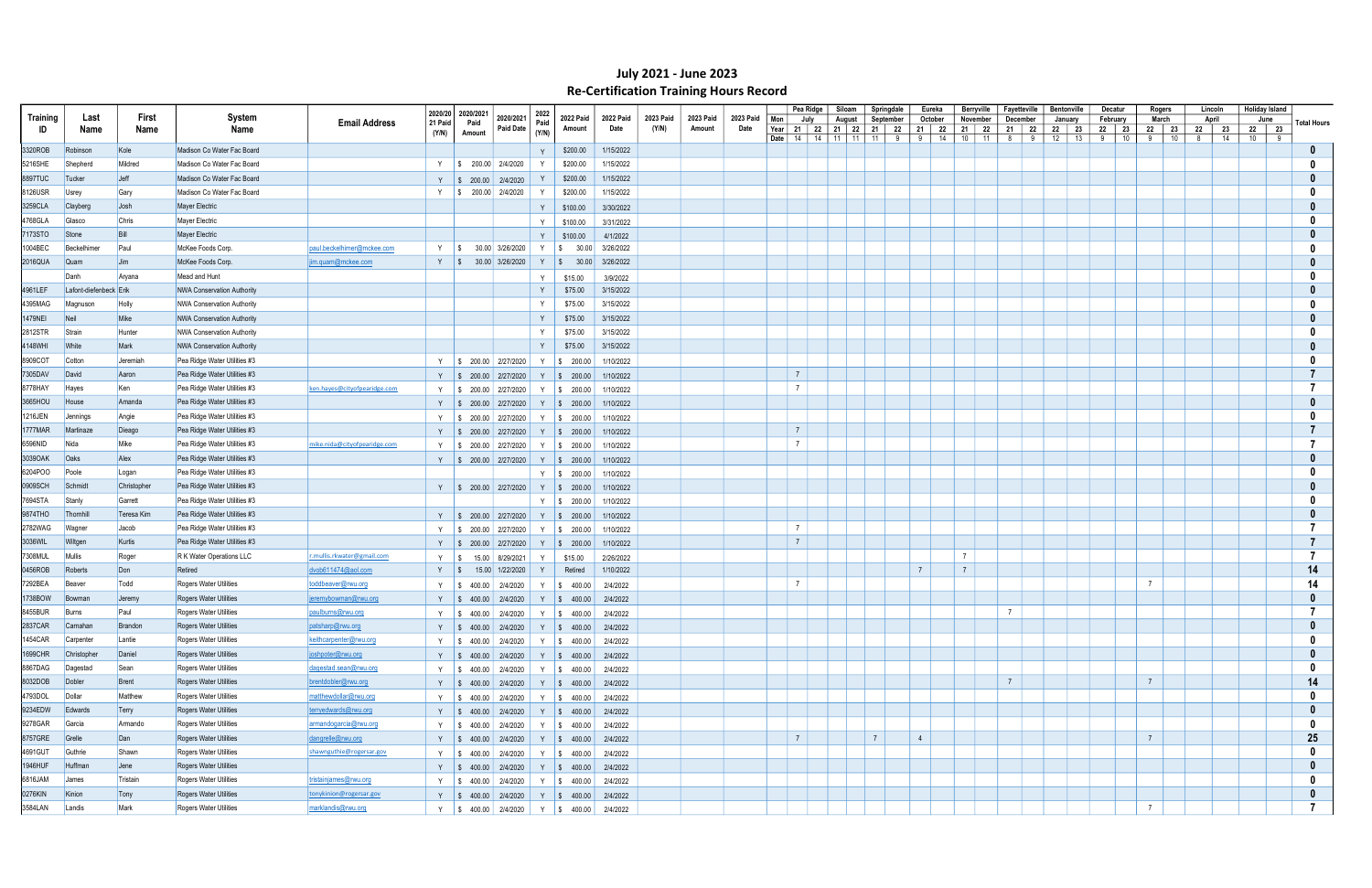|          |                        |              |                                   |                              |                    |                   |                                          |              |                      |           |           |           |           |                 | Pea Ridge | Siloam                 | Springdale                               |                | Eureka  | Berryville     | Fayetteville   |    | Bentonville |    | Decatur  | Rogers         | Lincoln  | Holiday Island       |                         |
|----------|------------------------|--------------|-----------------------------------|------------------------------|--------------------|-------------------|------------------------------------------|--------------|----------------------|-----------|-----------|-----------|-----------|-----------------|-----------|------------------------|------------------------------------------|----------------|---------|----------------|----------------|----|-------------|----|----------|----------------|----------|----------------------|-------------------------|
| Training | Last                   | First        | System                            | <b>Email Address</b>         | 2020/20<br>21 Paid | 2020/2021<br>Paid | 2020/2021                                | 2022<br>Paid | 2022 Paid            | 2022 Paid | 2023 Paid | 2023 Paid | 2023 Paid | Mon             | July      | August                 | September                                |                | October | November       | December       |    | January     |    | February | March          | April    | June                 | <b>Total Hours</b>      |
| ID       | Name                   | Name         | Name                              |                              | (Y/N)              | Amount            | <b>Paid Date</b>                         | (Y/N)        | Amount               | Date      | (Y/N)     | Amount    | Date      | Year            |           | 21   22   21   22   21 | 22                                       | 21             | 22      | 21 22          | 21             | 22 | 22          | 23 | 22 23    | 22<br>23       | 22<br>23 | 22 23                |                         |
| 3320ROB  |                        | Kole         | Madison Co Water Fac Board        |                              |                    |                   |                                          |              | \$200.00             | 1/15/2022 |           |           |           |                 |           |                        | <b>Date</b>   14   14   11   11   11   9 |                | 9   14  | $10$ 11        | 8 <sup>1</sup> | 9  | 12          | 13 | 9<br>10  | 9<br>10        | 8<br>14  | $10 \quad   \quad 9$ |                         |
|          | Robinson               |              | Madison Co Water Fac Board        |                              |                    |                   |                                          |              |                      |           |           |           |           |                 |           |                        |                                          |                |         |                |                |    |             |    |          |                |          |                      |                         |
| 5216SHE  | Shepherd               | Mildred      |                                   |                              |                    |                   | Y   \$ 200.00 2/4/2020                   |              | \$200.00             | 1/15/2022 |           |           |           |                 |           |                        |                                          |                |         |                |                |    |             |    |          |                |          |                      |                         |
| 8897TUC  | Tucker                 | Jeff         | Madison Co Water Fac Board        |                              | Y                  |                   | $\frac{1}{2}$ \$ 200.00 2/4/2020         |              | \$200.00             | 1/15/2022 |           |           |           |                 |           |                        |                                          |                |         |                |                |    |             |    |          |                |          |                      |                         |
| 8126USR  | <b>Usrey</b>           | Gary         | Madison Co Water Fac Board        |                              |                    |                   | Y   \$ 200.00 2/4/2020                   |              | \$200.00             | 1/15/2022 |           |           |           |                 |           |                        |                                          |                |         |                |                |    |             |    |          |                |          |                      |                         |
| 3259CLA  | Clayber                | Josh         | Mayer Electric                    |                              |                    |                   |                                          | Y            | \$100.00             | 3/30/2022 |           |           |           |                 |           |                        |                                          |                |         |                |                |    |             |    |          |                |          |                      |                         |
| 4768GLA  | Glasco                 | <b>Chris</b> | Mayer Electric                    |                              |                    |                   |                                          | Y            | \$100.00             | 3/31/2022 |           |           |           |                 |           |                        |                                          |                |         |                |                |    |             |    |          |                |          |                      |                         |
| 7173STO  | Stone                  | Bill         | <b>Mayer Electric</b>             |                              |                    |                   |                                          | Y            | \$100.00             | 4/1/2022  |           |           |           |                 |           |                        |                                          |                |         |                |                |    |             |    |          |                |          |                      |                         |
| 1004BEC  | Beckelhime             | Paul         | McKee Foods Corp.                 | paul.beckelhimer@mckee.com   | Y                  | $\sqrt{S}$        | 30.00 3/26/2020                          | Y S          | 30.00                | 3/26/2022 |           |           |           |                 |           |                        |                                          |                |         |                |                |    |             |    |          |                |          |                      |                         |
| 2016QUA  | <b>Quam</b>            | <b>Jim</b>   | McKee Foods Corp.                 | jim.quam@mckee.com           |                    | Y S               | 30.00 3/26/2020                          |              | Y   \$ 30.00         | 3/26/2022 |           |           |           |                 |           |                        |                                          |                |         |                |                |    |             |    |          |                |          |                      |                         |
|          | Danh                   | Aryana       | Mead and Hunt                     |                              |                    |                   |                                          | Y            | \$15.00              | 3/9/2022  |           |           |           |                 |           |                        |                                          |                |         |                |                |    |             |    |          |                |          |                      |                         |
| 4961LEF  | Lafont-diefenbeck Erik |              | NWA Conservation Authority        |                              |                    |                   |                                          | Y            | \$75.00              | 3/15/2022 |           |           |           |                 |           |                        |                                          |                |         |                |                |    |             |    |          |                |          |                      |                         |
| 4395MAG  | Magnuson               | Holly        | NWA Conservation Authority        |                              |                    |                   |                                          | Y            | \$75.00              | 3/15/2022 |           |           |           |                 |           |                        |                                          |                |         |                |                |    |             |    |          |                |          |                      |                         |
| 1479NEI  | Neil                   | Mike         | <b>NWA Conservation Authority</b> |                              |                    |                   |                                          | Y            | \$75.00              | 3/15/2022 |           |           |           |                 |           |                        |                                          |                |         |                |                |    |             |    |          |                |          |                      |                         |
| 2812STR  | Strain                 | Hunter       | NWA Conservation Authority        |                              |                    |                   |                                          | Y            | \$75.00              | 3/15/2022 |           |           |           |                 |           |                        |                                          |                |         |                |                |    |             |    |          |                |          |                      |                         |
|          | <b>White</b>           | Mark         | NWA Conservation Authority        |                              |                    |                   |                                          | Y            | \$75.00              | 3/15/2022 |           |           |           |                 |           |                        |                                          |                |         |                |                |    |             |    |          |                |          |                      |                         |
| 4148WHI  |                        |              |                                   |                              |                    |                   |                                          |              |                      |           |           |           |           |                 |           |                        |                                          |                |         |                |                |    |             |    |          |                |          |                      |                         |
| 8909COT  | Cotton                 | Jeremiah     | Pea Ridge Water Utilities #3      |                              | Y                  |                   | $\frac{1}{2}$ \$ 200.00 2/27/2020        |              | Y   \$ 200.00        | 1/10/2022 |           |           |           |                 |           |                        |                                          |                |         |                |                |    |             |    |          |                |          |                      |                         |
| 7305DAV  | David                  | Aaron        | Pea Ridge Water Utilities #3      |                              |                    |                   | Y   \$ 200.00   2/27/2020                |              | Y   \$ 200.00        | 1/10/2022 |           |           |           | $\overline{7}$  |           |                        |                                          |                |         |                |                |    |             |    |          |                |          |                      |                         |
| 8778HAY  | Hayes                  | Ken          | Pea Ridge Water Utilities #3      | ken.hayes@cityofpearidge.com |                    |                   | Y \$ 200.00 2/27/2020                    |              | Y \$ 200.00          | 1/10/2022 |           |           |           | $\overline{7}$  |           |                        |                                          |                |         |                |                |    |             |    |          |                |          |                      |                         |
| 3665HOU  | House                  | Amanda       | Pea Ridge Water Utilities #3      |                              |                    |                   | Y   \$ 200.00   2/27/2020                |              | $Y \mid $200.00$     | 1/10/2022 |           |           |           |                 |           |                        |                                          |                |         |                |                |    |             |    |          |                |          |                      |                         |
| 1216JEN  | Jennings               | Angie        | Pea Ridge Water Utilities #3      |                              |                    |                   | Y   \$ 200.00 2/27/2020                  |              | Y \$ 200.00          | 1/10/2022 |           |           |           |                 |           |                        |                                          |                |         |                |                |    |             |    |          |                |          |                      |                         |
| 1777MAR  | Martinaze              | Dieago       | Pea Ridge Water Utilities #3      |                              |                    |                   | Y   \$ 200.00   2/27/2020                |              | $Y \mid $200.00$     | 1/10/2022 |           |           |           | $7\overline{ }$ |           |                        |                                          |                |         |                |                |    |             |    |          |                |          |                      |                         |
| 6596NID  | Nida                   | Mike         | Pea Ridge Water Utilities #3      | mike.nida@cityofpearidge.com |                    |                   | Y \$ 200.00 2/27/2020                    |              | Y   \$ 200.00        | 1/10/2022 |           |           |           | $\overline{7}$  |           |                        |                                          |                |         |                |                |    |             |    |          |                |          |                      |                         |
| 3039OAK  | <b>Oaks</b>            | Alex         | Pea Ridge Water Utilities #3      |                              |                    |                   | Y   \$ 200.00   2/27/2020                |              | Y \ \$ 200.00        | 1/10/2022 |           |           |           |                 |           |                        |                                          |                |         |                |                |    |             |    |          |                |          |                      |                         |
| 6204POO  | Poole                  | Logan        | Pea Ridge Water Utilities #3      |                              |                    |                   |                                          |              | Y   \$ 200.00        | 1/10/2022 |           |           |           |                 |           |                        |                                          |                |         |                |                |    |             |    |          |                |          |                      |                         |
| 0909SCH  | Schmidt                | Christopher  | Pea Ridge Water Utilities #3      |                              |                    |                   | Y   \$ 200.00   2/27/2020                |              | $Y \mid $200.00$     | 1/10/2022 |           |           |           |                 |           |                        |                                          |                |         |                |                |    |             |    |          |                |          |                      |                         |
| 7694STA  | Stanly                 | Garrett      | Pea Ridge Water Utilities #3      |                              |                    |                   |                                          |              | Y \$ 200.00          | 1/10/2022 |           |           |           |                 |           |                        |                                          |                |         |                |                |    |             |    |          |                |          |                      |                         |
| 9874THO  | Thornhill              | Teresa Kim   | Pea Ridge Water Utilities #3      |                              |                    |                   | Y   \$ 200.00   2/27/2020                |              | $Y \mid $200.00$     | 1/10/2022 |           |           |           |                 |           |                        |                                          |                |         |                |                |    |             |    |          |                |          |                      |                         |
| 2782WAG  | Wagner                 | Jacob        | Pea Ridge Water Utilities #3      |                              |                    |                   | Y   \$ 200.00 2/27/2020                  |              | $Y \mid $200.00$     | 1/10/2022 |           |           |           | $\overline{7}$  |           |                        |                                          |                |         |                |                |    |             |    |          |                |          |                      |                         |
| 3036WIL  | Wiltgen                | Kurtis       | Pea Ridge Water Utilities #3      |                              |                    |                   | Y   \$ 200.00   2/27/2020                | Y            | $\frac{1}{2}$ 200.00 | 1/10/2022 |           |           |           | $7\overline{ }$ |           |                        |                                          |                |         |                |                |    |             |    |          |                |          |                      |                         |
| 7308MUL  | Mullis                 | Roger        | R K Water Operations LLC          | r.mullis.rkwater@gmail.com   |                    | Y S<br>15.00      | 8/29/2021                                | Y            | \$15.00              | 2/26/2022 |           |           |           |                 |           |                        |                                          |                |         | $\overline{7}$ |                |    |             |    |          |                |          |                      |                         |
| 0456ROB  | Roberts                | Don          | Retired                           | dvob611474@aol.com           |                    | $Y \quad$         | 15.00 1/22/2020                          |              | Retired              | 1/10/2022 |           |           |           |                 |           |                        |                                          | $\overline{7}$ |         | $\overline{7}$ |                |    |             |    |          |                |          |                      | 14                      |
| 7292BEA  | Beaver                 | Todd         | Rogers Water Utilities            | toddbeaver@rwu.org           |                    |                   |                                          |              |                      |           |           |           |           | $\overline{7}$  |           |                        |                                          |                |         |                |                |    |             |    |          | $\overline{7}$ |          |                      | 14                      |
| 1738BOW  |                        |              |                                   |                              | Y                  | 400.00<br>IS.     | 2/4/2020                                 | Y            | $\frac{1}{2}$ 400.00 | 2/4/2022  |           |           |           |                 |           |                        |                                          |                |         |                |                |    |             |    |          |                |          |                      |                         |
| 8455BUR  | Bowman                 | Jeremy       | Rogers Water Utilities            | jeremybowman@rwu.org         |                    |                   | Y   \$ 400.00   2/4/2020                 |              | Y   \$ 400.00        | 2/4/2022  |           |           |           |                 |           |                        |                                          |                |         |                |                |    |             |    |          |                |          |                      |                         |
|          | Burns                  | Paul         | Rogers Water Utilities            | paulburns@rwu.org            |                    |                   | Y \$ 400.00 2/4/2020                     |              | $Y \quad$ \$ 400.00  | 2/4/2022  |           |           |           |                 |           |                        |                                          |                |         |                |                |    |             |    |          |                |          |                      | $\mathbf{0}$            |
| 2837CAR  | Carnahan               | Brandon      | Rogers Water Utilities            | patsharp@rwu.org             |                    |                   | Y   \$ 400.00   2/4/2020   Y   \$ 400.00 |              |                      | 2/4/2022  |           |           |           |                 |           |                        |                                          |                |         |                |                |    |             |    |          |                |          |                      |                         |
| 1454CAR  | Carpenter              | Lantie       | Rogers Water Utilities            | keithcarpenter@rwu.org       |                    |                   | Y   \$ 400.00   2/4/2020   Y   \$ 400.00 |              |                      | 2/4/2022  |           |           |           |                 |           |                        |                                          |                |         |                |                |    |             |    |          |                |          |                      |                         |
| 1699CHR  | Christopher            | Daniel       | Rogers Water Utilities            | joshpoter@rwu.org            |                    |                   | Y   \$ 400.00   2/4/2020   Y   \$ 400.00 |              |                      | 2/4/2022  |           |           |           |                 |           |                        |                                          |                |         |                |                |    |             |    |          |                |          |                      |                         |
| 8867DAG  | Dagestad               | Sean         | Rogers Water Utilities            | dagestad.sean@rwu.org        |                    |                   | Y   \$ 400.00   2/4/2020   Y   \$ 400.00 |              |                      | 2/4/2022  |           |           |           |                 |           |                        |                                          |                |         |                |                |    |             |    |          |                |          |                      |                         |
| 8032DOB  | Dobler                 | Brent        | Rogers Water Utilities            | brentdobler@rwu.org          |                    |                   | Y   \$ 400.00   2/4/2020   Y   \$ 400.00 |              |                      | 2/4/2022  |           |           |           |                 |           |                        |                                          |                |         |                | $\overline{7}$ |    |             |    |          | $7^{\circ}$    |          |                      | 14                      |
| 4793DOL  | Dollar                 | Matthew      | Rogers Water Utilities            | matthewdollar@rwu.org        |                    |                   | Y   \$ 400.00   2/4/2020                 |              | $Y \quad$ \$ 400.00  | 2/4/2022  |           |           |           |                 |           |                        |                                          |                |         |                |                |    |             |    |          |                |          |                      | - 0                     |
| 9234EDW  | Edwards                | Terry        | Rogers Water Utilities            | terryedwards@rwu.org         |                    |                   | Y   \$ 400.00   2/4/2020                 |              | $Y$ \$ 400.00        | 2/4/2022  |           |           |           |                 |           |                        |                                          |                |         |                |                |    |             |    |          |                |          |                      |                         |
| 9278GAR  | Garcia                 | Armando      | Rogers Water Utilities            | armandogarcia@rwu.org        |                    |                   | Y   \$ 400.00   2/4/2020                 |              | Y $\$\,400.00$       | 2/4/2022  |           |           |           |                 |           |                        |                                          |                |         |                |                |    |             |    |          |                |          |                      |                         |
| 8757GRE  | Grelle                 | Dan          | Rogers Water Utilities            | dangrelle@rwu.org            |                    |                   | Y   \$ 400.00   2/4/2020   Y   \$ 400.00 |              |                      | 2/4/2022  |           |           |           | 7               |           |                        | $\overline{7}$                           | $\overline{4}$ |         |                |                |    |             |    |          | $\overline{7}$ |          |                      | 25                      |
| 4691GUT  | Guthrie                | Shawn        | Rogers Water Utilities            | shawnguthie@rogersar.gov     |                    |                   | Y   \$ 400.00   2/4/2020                 |              | Y   \$ 400.00        | 2/4/2022  |           |           |           |                 |           |                        |                                          |                |         |                |                |    |             |    |          |                |          |                      |                         |
| 1946HUF  | Huffman                | Jene         | Rogers Water Utilities            |                              |                    |                   | Y   \$ 400.00   2/4/2020   Y   \$ 400.00 |              |                      | 2/4/2022  |           |           |           |                 |           |                        |                                          |                |         |                |                |    |             |    |          |                |          |                      |                         |
| 6816JAM  | James                  | Tristain     | Rogers Water Utilities            | tristainjames@rwu.org        |                    |                   | Y $\parallel$ \$ 400.00 2/4/2020         |              | Y \$ 400.00          | 2/4/2022  |           |           |           |                 |           |                        |                                          |                |         |                |                |    |             |    |          |                |          |                      |                         |
| 0276KIN  | Kinion                 | Tony         | Rogers Water Utilities            | tonykinion@rogersar.gov      |                    |                   | Y   \$ 400.00   2/4/2020   Y   \$ 400.00 |              |                      | 2/4/2022  |           |           |           |                 |           |                        |                                          |                |         |                |                |    |             |    |          |                |          |                      | 0                       |
| 3584LAN  | Landis                 | Mark         | Rogers Water Utilities            | marklandis@rwu.org           |                    |                   | Y   \$ 400.00   2/4/2020   Y   \$ 400.00 |              |                      | 2/4/2022  |           |           |           |                 |           |                        |                                          |                |         |                |                |    |             |    |          |                |          |                      | $\overline{\mathbf{z}}$ |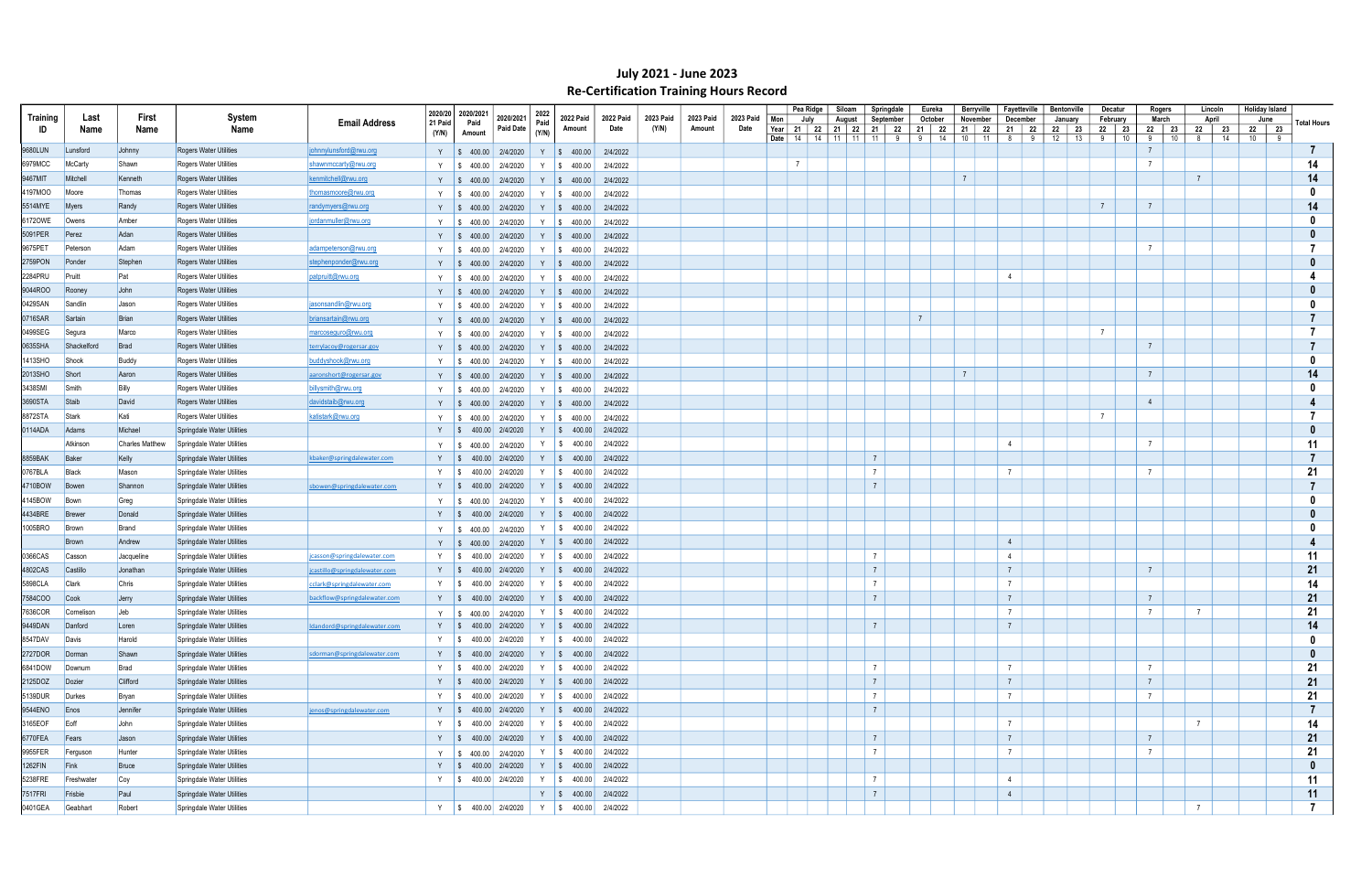|          |               |                        |                               |                               | 2020/20 | 2020/2021                        |                          | 2022  |                                                                                                                                                                                                                                                                                                                             |                   |                    |                     |                   |                         | Pea Ridge | Siloam                             | Springdale           | Eureka         |                | Berryville        | Fayetteville    |     | <b>Bentonville</b>  | Decatur           | Rogers           |                | Lincoln     | <b>Holiday Island</b> |   |                    |
|----------|---------------|------------------------|-------------------------------|-------------------------------|---------|----------------------------------|--------------------------|-------|-----------------------------------------------------------------------------------------------------------------------------------------------------------------------------------------------------------------------------------------------------------------------------------------------------------------------------|-------------------|--------------------|---------------------|-------------------|-------------------------|-----------|------------------------------------|----------------------|----------------|----------------|-------------------|-----------------|-----|---------------------|-------------------|------------------|----------------|-------------|-----------------------|---|--------------------|
| Training | Last          | First                  | System<br>Name                | <b>Email Address</b>          | 21 Paid | Paid                             | 2020/2021<br>Paid Date   | Paid  | <b>2022 Paid</b><br>Amount                                                                                                                                                                                                                                                                                                  | 2022 Paid<br>Date | 2023 Paid<br>(Y/N) | 2023 Paid<br>Amount | 2023 Paid<br>Date | Mon                     | July      | August<br>Year   21   22   21   22 | September<br>21   22 | October<br>21  | 22             | November<br>21 22 | December<br>21  | -22 | January<br>22<br>23 | February<br>22 23 | March<br>22   23 | 22             | April<br>23 | June<br>22 23         |   | <b>Total Hours</b> |
| ID       | Name          | Name                   |                               |                               | (Y/N)   | Amount                           |                          | (Y/N) |                                                                                                                                                                                                                                                                                                                             |                   |                    |                     |                   | Date $\vert$ 14 $\vert$ |           | 11<br>14<br>11                     | 11                   | 9<br>9         | 14             | $10$ 11           | 8               | 9   | 12<br>13            | 9<br>10           | 9<br>10          | 8              | 14          | 10                    | 9 |                    |
| 9680LUN  | Lunsford      | Johnny                 | <b>Rogers Water Utilities</b> | johnnylunsford@rwu.org        |         | Y   \$ 400.00   2/4/2020         |                          | Y     | $\frac{1}{9}$ 400.00                                                                                                                                                                                                                                                                                                        | 2/4/2022          |                    |                     |                   |                         |           |                                    |                      |                |                |                   |                 |     |                     |                   |                  |                |             |                       |   |                    |
| 6979MCC  | McCarty       | Shawn                  | Rogers Water Utilities        | shawnmccarty@rwu.org          | Y       | $\frac{1}{2}$ \$ 400.00          | 2/4/2020                 | Y     | $\frac{1}{5}$ 400.00                                                                                                                                                                                                                                                                                                        | 2/4/2022          |                    |                     |                   | $\overline{7}$          |           |                                    |                      |                |                |                   |                 |     |                     |                   | $\overline{7}$   |                |             |                       |   | 14                 |
| 9467MIT  | Mitchell      | Kenneth                | <b>Rogers Water Utilities</b> | kenmitchell@rwu.org           |         |                                  | Y   \$ 400.00   2/4/2020 |       | Y   \$ 400.00                                                                                                                                                                                                                                                                                                               | 2/4/2022          |                    |                     |                   |                         |           |                                    |                      |                | $\overline{7}$ |                   |                 |     |                     |                   |                  | $\overline{7}$ |             |                       |   | 14                 |
| 4197MOO  | Moore         | Thomas                 | <b>Rogers Water Utilities</b> | thomasmoore@rwu.org           |         | Y   \$ 400.00                    | 2/4/2020                 |       | Y $\$\,400.00$                                                                                                                                                                                                                                                                                                              | 2/4/2022          |                    |                     |                   |                         |           |                                    |                      |                |                |                   |                 |     |                     |                   |                  |                |             |                       |   | 0                  |
| 5514MYE  | Myers         | Randy                  | <b>Rogers Water Utilities</b> | randymyers@rwu.org            |         |                                  | Y   \$ 400.00   2/4/2020 |       | Y \$ 400.00                                                                                                                                                                                                                                                                                                                 | 2/4/2022          |                    |                     |                   |                         |           |                                    |                      |                |                |                   |                 |     |                     | $\overline{7}$    | $\overline{7}$   |                |             |                       |   | 14                 |
| 6172OWE  | Owens         | Amber                  | Rogers Water Utilities        | jordanmuller@rwu.org          | Y       | $\frac{1}{2}$ \$ 400.00 2/4/2020 |                          |       | Y $\$\,400.00$                                                                                                                                                                                                                                                                                                              | 2/4/2022          |                    |                     |                   |                         |           |                                    |                      |                |                |                   |                 |     |                     |                   |                  |                |             |                       |   |                    |
| 5091PER  | Perez         | Adan                   | <b>Rogers Water Utilities</b> |                               | Y       | $\frac{1}{2}$ \$ 400.00 2/4/2020 |                          |       | $Y \mid $400.00$                                                                                                                                                                                                                                                                                                            | 2/4/2022          |                    |                     |                   |                         |           |                                    |                      |                |                |                   |                 |     |                     |                   |                  |                |             |                       |   |                    |
| 9675PET  | Peterson      | Adam                   | Rogers Water Utilities        | adampeterson@rwu.org          | Y       | $\frac{1}{9}$ 400.00             | 2/4/2020                 |       | Y $\frac{1}{9}$ 400.00                                                                                                                                                                                                                                                                                                      | 2/4/2022          |                    |                     |                   |                         |           |                                    |                      |                |                |                   |                 |     |                     |                   | $\overline{7}$   |                |             |                       |   |                    |
| 2759PON  | Ponder        | Stephen                | <b>Rogers Water Utilities</b> | stephenponder@rwu.org         |         |                                  | Y   \$ 400.00   2/4/2020 |       | Y \$ 400.00                                                                                                                                                                                                                                                                                                                 | 2/4/2022          |                    |                     |                   |                         |           |                                    |                      |                |                |                   |                 |     |                     |                   |                  |                |             |                       |   |                    |
| 2284PRU  | Pruitt        | Pat                    | Rogers Water Utilities        | patpruitt@rwu.org             |         | Y   \$ 400.00   2/4/2020         |                          |       | Y   \$ 400.00                                                                                                                                                                                                                                                                                                               | 2/4/2022          |                    |                     |                   |                         |           |                                    |                      |                |                |                   | $\overline{4}$  |     |                     |                   |                  |                |             |                       |   |                    |
| 9044ROO  | Rooney        | John                   | Rogers Water Utilities        |                               |         |                                  | Y   \$ 400.00   2/4/2020 |       | Y   \$ 400.00                                                                                                                                                                                                                                                                                                               | 2/4/2022          |                    |                     |                   |                         |           |                                    |                      |                |                |                   |                 |     |                     |                   |                  |                |             |                       |   |                    |
| 0429SAN  | Sandlin       | Jason                  | Rogers Water Utilities        | jasonsandlin@rwu.org          | Y       | 400.00<br><b>S</b>               | 2/4/2020                 |       | Y $\$\,400.00$                                                                                                                                                                                                                                                                                                              | 2/4/2022          |                    |                     |                   |                         |           |                                    |                      |                |                |                   |                 |     |                     |                   |                  |                |             |                       |   |                    |
| 0716SAR  | Sartain       | Brian                  | <b>Rogers Water Utilities</b> | briansartain@rwu.org          |         | Y   \$ 400.00   2/4/2020         |                          |       | Y $\$\,400.00$                                                                                                                                                                                                                                                                                                              | 2/4/2022          |                    |                     |                   |                         |           |                                    |                      | $\overline{7}$ |                |                   |                 |     |                     |                   |                  |                |             |                       |   |                    |
| 0499SEG  | Segura        | Marco                  | Rogers Water Utilities        | marcoseguro@rwu.org           | Y       | $\frac{1}{9}$ 400.00             | 2/4/2020                 |       | Y   \$ 400.00                                                                                                                                                                                                                                                                                                               | 2/4/2022          |                    |                     |                   |                         |           |                                    |                      |                |                |                   |                 |     |                     | $\overline{7}$    |                  |                |             |                       |   |                    |
| 0635SHA  | Shackelford   | Brad                   | Rogers Water Utilities        | terrylacoy@rogersar.gov       |         |                                  | Y   \$ 400.00   2/4/2020 |       | Y   \$ 400.00                                                                                                                                                                                                                                                                                                               | 2/4/2022          |                    |                     |                   |                         |           |                                    |                      |                |                |                   |                 |     |                     |                   | $\overline{7}$   |                |             |                       |   |                    |
| 1413SHO  | Shook         | Buddy                  | <b>Rogers Water Utilities</b> | buddyshook@rwu.org            |         | Y   \$ 400.00                    | 2/4/2020                 |       | Y   \$ 400.00                                                                                                                                                                                                                                                                                                               | 2/4/2022          |                    |                     |                   |                         |           |                                    |                      |                |                |                   |                 |     |                     |                   |                  |                |             |                       |   |                    |
| 2013SHO  | Short         | Aaron                  | Rogers Water Utilities        | aaronshort@rogersar.gov       |         |                                  | Y   \$ 400.00   2/4/2020 |       | Y   \$ 400.00                                                                                                                                                                                                                                                                                                               | 2/4/2022          |                    |                     |                   |                         |           |                                    |                      |                | $\overline{7}$ |                   |                 |     |                     |                   | $7\overline{ }$  |                |             |                       |   | 14                 |
| 3438SMI  | Smith         | Billy                  | Rogers Water Utilities        | billysmith@rwu.org            | Y       | $\frac{1}{9}$ 400.00             | 2/4/2020                 |       | Y $\frac{1}{9}$ 400.00                                                                                                                                                                                                                                                                                                      | 2/4/2022          |                    |                     |                   |                         |           |                                    |                      |                |                |                   |                 |     |                     |                   |                  |                |             |                       |   |                    |
| 3690STA  | Staib         | David                  | <b>Rogers Water Utilities</b> | davidstaib@rwu.org            |         | Y   \$ 400.00   2/4/2020         |                          |       | Y   \$ 400.00                                                                                                                                                                                                                                                                                                               | 2/4/2022          |                    |                     |                   |                         |           |                                    |                      |                |                |                   |                 |     |                     |                   | $\overline{4}$   |                |             |                       |   |                    |
| 8872STA  | Stark         | Kati                   | Rogers Water Utilities        | katistark@rwu.org             | Y       | 400.00<br>IS.                    | 2/4/2020                 | Y     | $\frac{1}{9}$ 400.00                                                                                                                                                                                                                                                                                                        | 2/4/2022          |                    |                     |                   |                         |           |                                    |                      |                |                |                   |                 |     |                     | $\overline{7}$    |                  |                |             |                       |   |                    |
| 0114ADA  | Adams         | Michael                | Springdale Water Utilities    |                               | Y S     |                                  | 400.00 2/4/2020          |       | Y   \$ 400.00                                                                                                                                                                                                                                                                                                               | 2/4/2022          |                    |                     |                   |                         |           |                                    |                      |                |                |                   |                 |     |                     |                   |                  |                |             |                       |   |                    |
|          | Atkinson      | <b>Charles Matthew</b> | Springdale Water Utilities    |                               |         | $\$\,400.00\]$                   | 2/4/2020                 | Y     | $\frac{1}{2}$ \$ 400.00                                                                                                                                                                                                                                                                                                     | 2/4/2022          |                    |                     |                   |                         |           |                                    |                      |                |                |                   | $\overline{4}$  |     |                     |                   | $\overline{7}$   |                |             |                       |   | 11                 |
| 8859BAK  | Baker         | Kelly                  | Springdale Water Utilities    | kbaker@springdalewater.com    | Y S     |                                  | 400.00 2/4/2020          | Y     | $\frac{1}{2}$ \$ 400.00                                                                                                                                                                                                                                                                                                     | 2/4/2022          |                    |                     |                   |                         |           |                                    | $\overline{7}$       |                |                |                   |                 |     |                     |                   |                  |                |             |                       |   |                    |
| 0767BLA  | <b>Black</b>  | Mason                  | Springdale Water Utilities    |                               |         | <b>S</b>                         | 400.00 2/4/2020          | Y.    | $\frac{1}{5}$ 400.00                                                                                                                                                                                                                                                                                                        | 2/4/2022          |                    |                     |                   |                         |           |                                    | $\overline{7}$       |                |                |                   | $\overline{7}$  |     |                     |                   | $\overline{7}$   |                |             |                       |   | 21                 |
| 4710BOW  | Bowen         | Shannon                | Springdale Water Utilities    | sbowen@springdalewater.com    |         | Y   \$ 400.00 2/4/2020           |                          |       | Y   \$ 400.00                                                                                                                                                                                                                                                                                                               | 2/4/2022          |                    |                     |                   |                         |           |                                    | $\overline{7}$       |                |                |                   |                 |     |                     |                   |                  |                |             |                       |   |                    |
| 145BOW   | Bown          | Greg                   | Springdale Water Utilities    |                               |         | 400.00<br>- \$                   | 2/4/2020                 |       | $Y \mid$ \$ 400.00                                                                                                                                                                                                                                                                                                          | 2/4/2022          |                    |                     |                   |                         |           |                                    |                      |                |                |                   |                 |     |                     |                   |                  |                |             |                       |   |                    |
| 4434BRE  | <b>Brewer</b> | Donald                 | Springdale Water Utilities    |                               |         | Y   \$ 400.00   2/4/2020         |                          |       | Y   \$ 400.00                                                                                                                                                                                                                                                                                                               | 2/4/2022          |                    |                     |                   |                         |           |                                    |                      |                |                |                   |                 |     |                     |                   |                  |                |             |                       |   |                    |
| 1005BRO  | Brown         | Brand                  | Springdale Water Utilities    |                               | Y       | 400.00<br>$\sqrt{S}$             | 2/4/2020                 | Y     | $\frac{1}{5}$ 400.00                                                                                                                                                                                                                                                                                                        | 2/4/2022          |                    |                     |                   |                         |           |                                    |                      |                |                |                   |                 |     |                     |                   |                  |                |             |                       |   |                    |
|          | Brown         | Andrew                 | Springdale Water Utilities    |                               | Y S     | 400.00                           | 2/4/2020                 | Y     | $\frac{1}{5}$ 400.00                                                                                                                                                                                                                                                                                                        | 2/4/2022          |                    |                     |                   |                         |           |                                    |                      |                |                |                   | $\overline{4}$  |     |                     |                   |                  |                |             |                       |   |                    |
| 0366CAS  | Casson        | Jacqueline             | Springdale Water Utilities    | jcasson@springdalewater.com   | Y S     |                                  | 400.00 2/4/2020          | Y     | $\begin{vmatrix} 1 & 4 & 0 & 0 & 0 \\ 0 & 0 & 0 & 0 & 0 \\ 0 & 0 & 0 & 0 & 0 \\ 0 & 0 & 0 & 0 & 0 \\ 0 & 0 & 0 & 0 & 0 \\ 0 & 0 & 0 & 0 & 0 \\ 0 & 0 & 0 & 0 & 0 \\ 0 & 0 & 0 & 0 & 0 \\ 0 & 0 & 0 & 0 & 0 \\ 0 & 0 & 0 & 0 & 0 \\ 0 & 0 & 0 & 0 & 0 & 0 \\ 0 & 0 & 0 & 0 & 0 & 0 \\ 0 & 0 & 0 & 0 & 0 & 0 & 0 \\ 0 & 0 & $ | 2/4/2022          |                    |                     |                   |                         |           |                                    | $\overline{7}$       |                |                |                   | $\overline{4}$  |     |                     |                   |                  |                |             |                       |   | 11                 |
| 4802CAS  | Castillo      | Jonathan               | Springdale Water Utilities    | jcastillo@springdalewater.com | Y S     |                                  | 400.00 2/4/2020          | Y     | $\frac{1}{5}$ 400.00                                                                                                                                                                                                                                                                                                        | 2/4/2022          |                    |                     |                   |                         |           |                                    | $7\overline{ }$      |                |                |                   | $7^{\circ}$     |     |                     |                   | $\overline{7}$   |                |             |                       |   | 21                 |
| 5898CLA  | <b>Clark</b>  | Chris                  | Springdale Water Utilities    | cclark@springdalewater.com    | Y S     |                                  | 400.00 2/4/2020          | Y     | 400.00<br>$\sqrt{S}$                                                                                                                                                                                                                                                                                                        | 2/4/2022          |                    |                     |                   |                         |           |                                    | $\overline{7}$       |                |                |                   | $\overline{7}$  |     |                     |                   |                  |                |             |                       |   | 14                 |
| 7584COO  | Cook          | Jerry                  | Springdale Water Utilities    | backflow@springdalewater.com  |         | Y S                              | 400.00 2/4/2020          |       | $Y \mid $400.00$                                                                                                                                                                                                                                                                                                            | 2/4/2022          |                    |                     |                   |                         |           |                                    | $\overline{7}$       |                |                |                   | $\overline{7}$  |     |                     |                   | $\overline{7}$   |                |             |                       |   | 21                 |
| 7636COR  | Cornelison    | Jeb                    | Springdale Water Utilities    |                               |         |                                  | Y \$400.00 2/4/2020      |       | Y   \$ 400.00 2/4/2022                                                                                                                                                                                                                                                                                                      |                   |                    |                     |                   |                         |           |                                    |                      |                |                |                   | $7\phantom{.0}$ |     |                     |                   | $\overline{7}$   | $\overline{7}$ |             |                       |   | 21                 |
| 9449DAN  | Danford       | Loren                  | Springdale Water Utilities    | Idandord@springdalewater.com  |         |                                  |                          |       | Y   \$ 400.00 2/4/2020   Y   \$ 400.00 2/4/2022                                                                                                                                                                                                                                                                             |                   |                    |                     |                   |                         |           |                                    | $7\overline{ }$      |                |                |                   | $7\overline{ }$ |     |                     |                   |                  |                |             |                       |   | 14                 |
| 8547DAV  | Davis         | Harold                 | Springdale Water Utilities    |                               |         |                                  |                          |       | Y   \$ 400.00   2/4/2020   Y   \$ 400.00   2/4/2022                                                                                                                                                                                                                                                                         |                   |                    |                     |                   |                         |           |                                    |                      |                |                |                   |                 |     |                     |                   |                  |                |             |                       |   | $\mathbf{0}$       |
| 2727DOR  | Dorman        | Shawn                  | Springdale Water Utilities    | sdorman@springdalewater.com   |         |                                  |                          |       | Y   \$ 400.00   2/4/2020   Y   \$ 400.00   2/4/2022                                                                                                                                                                                                                                                                         |                   |                    |                     |                   |                         |           |                                    |                      |                |                |                   |                 |     |                     |                   |                  |                |             |                       |   | $\mathbf{0}$       |
| 6841DOW  | Downum        | Brad                   | Springdale Water Utilities    |                               |         |                                  |                          |       | Y   \$ 400.00   2/4/2020   Y   \$ 400.00   2/4/2022                                                                                                                                                                                                                                                                         |                   |                    |                     |                   |                         |           |                                    | $\overline{7}$       |                |                |                   | $7^{\circ}$     |     |                     |                   | $\overline{7}$   |                |             |                       |   | 21                 |
| 2125DOZ  | Dozier        | Clifford               | Springdale Water Utilities    |                               |         |                                  |                          |       | Y   \$ 400.00   2/4/2020   Y   \$ 400.00   2/4/2022                                                                                                                                                                                                                                                                         |                   |                    |                     |                   |                         |           |                                    | $\overline{7}$       |                |                |                   | $7\overline{ }$ |     |                     |                   | $7^{\circ}$      |                |             |                       |   | 21                 |
| 5139DUR  | Durkes        | Bryan                  | Springdale Water Utilities    |                               |         |                                  |                          |       | Y   \$ 400.00   2/4/2020   Y   \$ 400.00   2/4/2022                                                                                                                                                                                                                                                                         |                   |                    |                     |                   |                         |           |                                    | $\overline{7}$       |                |                |                   | $7\overline{ }$ |     |                     |                   | $\overline{7}$   |                |             |                       |   | 21                 |
| 9544ENO  | Enos          | Jennifer               | Springdale Water Utilities    | jenos@springdalewater.com     |         |                                  |                          |       | Y   \$ 400.00 2/4/2020   Y   \$ 400.00 2/4/2022                                                                                                                                                                                                                                                                             |                   |                    |                     |                   |                         |           |                                    | $\overline{7}$       |                |                |                   |                 |     |                     |                   |                  |                |             |                       |   | $\overline{7}$     |
| 3165EOF  | Eoff          | John                   | Springdale Water Utilities    |                               |         |                                  |                          |       | Y   \$ 400.00   2/4/2020   Y   \$ 400.00   2/4/2022                                                                                                                                                                                                                                                                         |                   |                    |                     |                   |                         |           |                                    |                      |                |                |                   | $7^{\circ}$     |     |                     |                   |                  | $\overline{7}$ |             |                       |   | 14                 |
| 6770FEA  | Fears         | Jason                  | Springdale Water Utilities    |                               |         |                                  | Y   \$ 400.00   2/4/2020 |       | Y   \$ 400.00 2/4/2022                                                                                                                                                                                                                                                                                                      |                   |                    |                     |                   |                         |           |                                    | $\overline{7}$       |                |                |                   | $7\overline{ }$ |     |                     |                   | $\overline{7}$   |                |             |                       |   | 21                 |
| 9955FER  | Ferguson      | Hunter                 | Springdale Water Utilities    |                               |         |                                  |                          |       | Y   \$ 400.00   2/4/2022                                                                                                                                                                                                                                                                                                    |                   |                    |                     |                   |                         |           |                                    | $\overline{7}$       |                |                |                   | $7^{\circ}$     |     |                     |                   | $\overline{7}$   |                |             |                       |   | 21                 |
| 1262FIN  | Fink          | Bruce                  | Springdale Water Utilities    |                               |         | Y   \$ 400.00   2/4/2020         |                          |       | Y   \$ 400.00   2/4/2020   Y   \$ 400.00   2/4/2022                                                                                                                                                                                                                                                                         |                   |                    |                     |                   |                         |           |                                    |                      |                |                |                   |                 |     |                     |                   |                  |                |             |                       |   | 0                  |
| 5238FRE  | Freshwater    | $\cos$                 | Springdale Water Utilities    |                               |         |                                  |                          |       | Y   \$ 400.00   2/4/2020   Y   \$ 400.00   2/4/2022                                                                                                                                                                                                                                                                         |                   |                    |                     |                   |                         |           |                                    | $\overline{7}$       |                |                |                   | $\overline{4}$  |     |                     |                   |                  |                |             |                       |   | 11                 |
| 7517FRI  | Frisbie       | Paul                   | Springdale Water Utilities    |                               |         |                                  |                          |       | Y $\vert \$$ 400.00 2/4/2022                                                                                                                                                                                                                                                                                                |                   |                    |                     |                   |                         |           |                                    | $\overline{7}$       |                |                |                   | $\overline{4}$  |     |                     |                   |                  |                |             |                       |   | 11                 |
| 0401GEA  | Geabhart      | Robert                 | Springdale Water Utilities    |                               |         |                                  |                          |       | Y   \$ 400.00   2/4/2020   Y   \$ 400.00   2/4/2022                                                                                                                                                                                                                                                                         |                   |                    |                     |                   |                         |           |                                    |                      |                |                |                   |                 |     |                     |                   |                  |                |             |                       |   | $\overline{7}$     |
|          |               |                        |                               |                               |         |                                  |                          |       |                                                                                                                                                                                                                                                                                                                             |                   |                    |                     |                   |                         |           |                                    |                      |                |                |                   |                 |     |                     |                   |                  |                |             |                       |   |                    |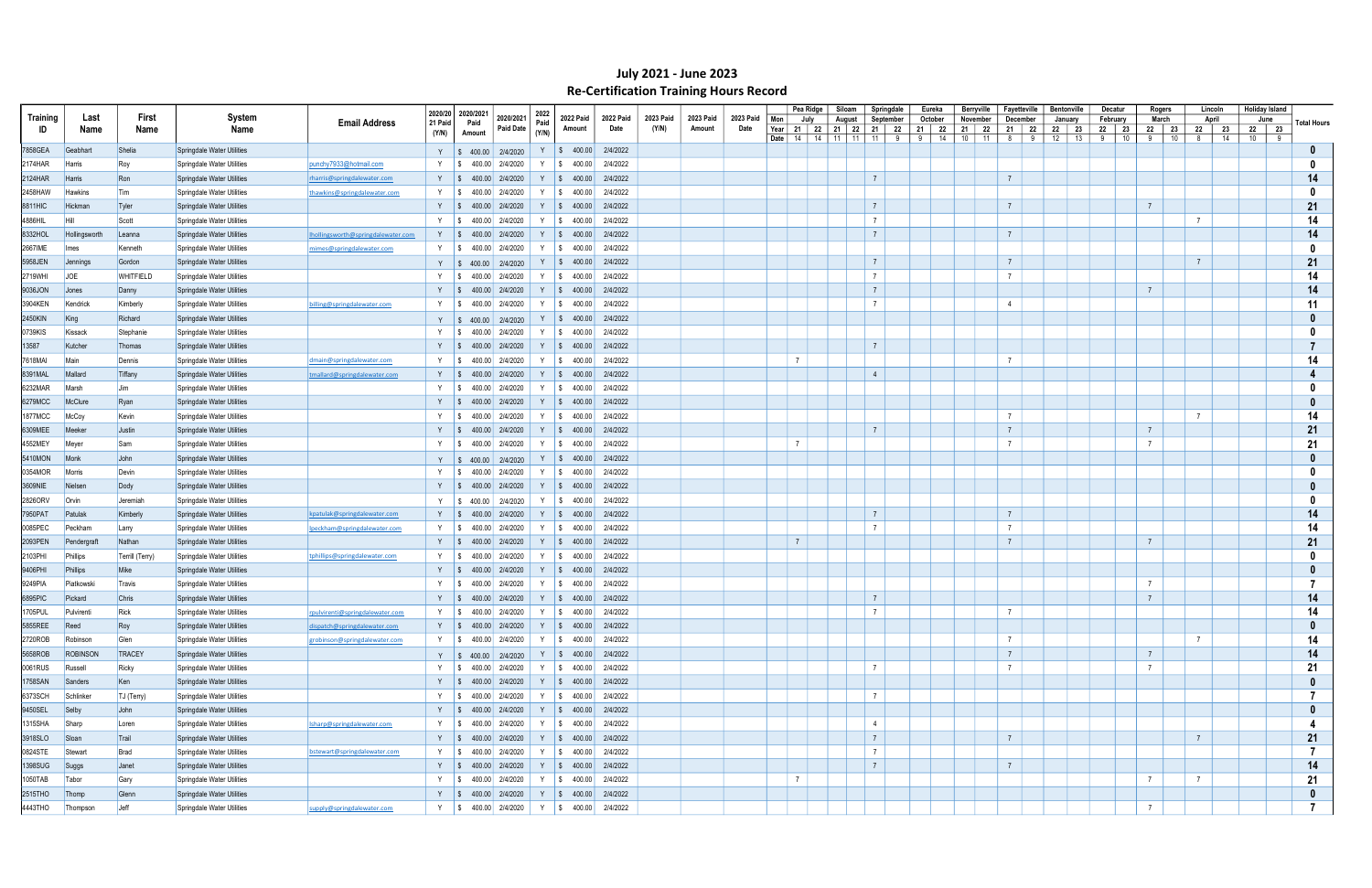|          |                 |                  |                            |                                    |               | 2020/20 2020/2021    |                          |                 |                                                     |           |           |           |           |                      | Pea Ridge | Siloam            | Springdale                       | Eureka                    |    | Berryville        | Fayetteville    |         | <b>Bentonville</b>   | Decatur    |    | Rogers          |                | Lincoln     | <b>Holiday Island</b> |   |                    |
|----------|-----------------|------------------|----------------------------|------------------------------------|---------------|----------------------|--------------------------|-----------------|-----------------------------------------------------|-----------|-----------|-----------|-----------|----------------------|-----------|-------------------|----------------------------------|---------------------------|----|-------------------|-----------------|---------|----------------------|------------|----|-----------------|----------------|-------------|-----------------------|---|--------------------|
| Training | Last            | First            | System                     | <b>Email Address</b>               | 21 Paid       | Paid                 | 2020/2021                | 2022<br>Paid    | <b>2022 Paid</b>                                    | 2022 Paid | 2023 Paid | 2023 Paid | 2023 Paid | Mon                  | July      | August            | September                        | October                   |    | November          | December        |         | January              | February   |    | March           |                | April       | June                  |   | <b>Total Hours</b> |
| ID       | Name            | Name             | Name                       |                                    | (Y/N)         | Amount               | Paid Date                | (Y/N)           | Amount                                              | Date      | (Y/N)     | Amount    | Date      | Year<br>Date  <br>14 |           | 14   11   11   11 | 21   22   21   22   21   22<br>9 | 21   22<br>9 <sup>1</sup> | 14 | 21 22<br>10<br>11 | 21<br>8         | 22<br>9 | 22<br>23<br>12<br>13 | 22 23<br>9 | 10 | 22<br>9         | 23<br>10<br>8  | 22 23<br>14 | 22 23<br>10           | 9 |                    |
| 7858GEA  | Geabhart        | Shelia           | Springdale Water Utilities |                                    |               |                      | Y   \$ 400.00   2/4/2020 |                 | $Y$   \$ 400.00                                     | 2/4/2022  |           |           |           |                      |           |                   |                                  |                           |    |                   |                 |         |                      |            |    |                 |                |             |                       |   |                    |
| 2174HAR  | <b>Harris</b>   | Roy              | Springdale Water Utilities | punchy7933@hotmail.com             | Y S           |                      | 400.00 2/4/2020          | Y               | $\frac{1}{3}$ 400.00                                | 2/4/2022  |           |           |           |                      |           |                   |                                  |                           |    |                   |                 |         |                      |            |    |                 |                |             |                       |   |                    |
| 2124HAR  | Harris          | Ron              | Springdale Water Utilities | rharris@springdalewater.com        |               |                      | Y   \$ 400.00 2/4/2020   |                 | Y   \$ 400.00                                       | 2/4/2022  |           |           |           |                      |           |                   | $\overline{7}$                   |                           |    |                   | $\overline{7}$  |         |                      |            |    |                 |                |             |                       |   | 14                 |
| 2458HAW  | <b>Hawkins</b>  | Tim              | Springdale Water Utilities | thawkins@springdalewater.com       | Y S           |                      | 400.00 2/4/2020          | Y               | $\frac{1}{5}$ 400.00                                | 2/4/2022  |           |           |           |                      |           |                   |                                  |                           |    |                   |                 |         |                      |            |    |                 |                |             |                       |   | $\mathbf{0}$       |
| 8811HIC  | Hickman         | Tyler            | Springdale Water Utilities |                                    | Y S           |                      | 400.00 2/4/2020          | Y               | $\frac{1}{9}$ 400.00                                | 2/4/2022  |           |           |           |                      |           |                   | $\overline{7}$                   |                           |    |                   | $\overline{7}$  |         |                      |            |    | $\overline{7}$  |                |             |                       |   | 21                 |
| 4886HIL  | <b>Hil</b>      | Scott            | Springdale Water Utilities |                                    | Y S           |                      | 400.00 2/4/2020          |                 | Y   \$ 400.00                                       | 2/4/2022  |           |           |           |                      |           |                   | $\overline{7}$                   |                           |    |                   |                 |         |                      |            |    |                 | $\overline{7}$ |             |                       |   | 14                 |
|          |                 |                  |                            |                                    |               |                      |                          |                 |                                                     |           |           |           |           |                      |           |                   | $\overline{7}$                   |                           |    |                   | $7\overline{ }$ |         |                      |            |    |                 |                |             |                       |   |                    |
| 8332HOL  | Hollingsworth   | Leanna           | Springdale Water Utilities | Ihollingsworth@springdalewater.com | Y S           |                      | 400.00 2/4/2020          |                 | Y   \$ 400.00                                       | 2/4/2022  |           |           |           |                      |           |                   |                                  |                           |    |                   |                 |         |                      |            |    |                 |                |             |                       |   | 14                 |
| 2667IME  | Imes            | Kenneth          | Springdale Water Utilities | mimes@springdalewater.com          | Y S           |                      | 400.00 2/4/2020          |                 | Y   \$ 400.00                                       | 2/4/2022  |           |           |           |                      |           |                   |                                  |                           |    |                   |                 |         |                      |            |    |                 |                |             |                       |   | - 0                |
| 5958JEN  | Jennings        | Gordon           | Springdale Water Utilities |                                    |               |                      | Y   \$ 400.00   2/4/2020 |                 | $Y$   \$ 400.00                                     | 2/4/2022  |           |           |           |                      |           |                   | $\overline{7}$                   |                           |    |                   | $7\overline{ }$ |         |                      |            |    |                 | $\overline{7}$ |             |                       |   | 21                 |
| 2719WHI  | <b>JOE</b>      | <b>WHITFIELD</b> | Springdale Water Utilities |                                    |               |                      | 400.00 2/4/2020          |                 | Y   \$ 400.00                                       | 2/4/2022  |           |           |           |                      |           |                   | $\overline{7}$                   |                           |    |                   | $\overline{7}$  |         |                      |            |    |                 |                |             |                       |   | 14                 |
| 9036JON  | Jones           | Danny            | Springdale Water Utilities |                                    | Y S           |                      | 400.00 2/4/2020          |                 | Y   \$ 400.00                                       | 2/4/2022  |           |           |           |                      |           |                   | $\overline{7}$                   |                           |    |                   |                 |         |                      |            |    | $\overline{7}$  |                |             |                       |   | 14                 |
| 3904KEN  | Kendrick        | Kimberly         | Springdale Water Utilities | billing@springdalewater.com        | Y S           |                      | 400.00 2/4/2020          |                 | Y   \$ 400.00                                       | 2/4/2022  |           |           |           |                      |           |                   | $\overline{7}$                   |                           |    |                   | $\overline{4}$  |         |                      |            |    |                 |                |             |                       |   | 11                 |
| 2450KIN  | King            | Richard          | Springdale Water Utilities |                                    |               |                      | Y   \$ 400.00   2/4/2020 |                 | $Y$   \$ 400.00                                     | 2/4/2022  |           |           |           |                      |           |                   |                                  |                           |    |                   |                 |         |                      |            |    |                 |                |             |                       |   |                    |
| 0739KIS  | Kissack         | Stephanie        | Springdale Water Utilities |                                    | Y S           |                      | 400.00 2/4/2020          |                 | Y $\vert \$ 400.00 \vert$                           | 2/4/2022  |           |           |           |                      |           |                   |                                  |                           |    |                   |                 |         |                      |            |    |                 |                |             |                       |   |                    |
| 13587    | Kutcher         | Thomas           | Springdale Water Utilities |                                    | Y S           |                      | 400.00 2/4/2020          |                 | Y   \$ 400.00                                       | 2/4/2022  |           |           |           |                      |           |                   | $\overline{7}$                   |                           |    |                   |                 |         |                      |            |    |                 |                |             |                       |   |                    |
| 7618MAI  | Main            | Dennis           | Springdale Water Utilities | dmain@springdalewater.com          | Y S           |                      | 400.00 2/4/2020          | Y               | $\frac{1}{5}$ 400.00                                | 2/4/2022  |           |           |           | $\overline{7}$       |           |                   |                                  |                           |    |                   | $\overline{7}$  |         |                      |            |    |                 |                |             |                       |   | 14                 |
| 8391MAL  | Mallard         | Tiffany          | Springdale Water Utilities | tmallard@springdalewater.com       | Y S           |                      | 400.00 2/4/2020          |                 | Y   \$ 400.00                                       | 2/4/2022  |           |           |           |                      |           |                   | $\overline{4}$                   |                           |    |                   |                 |         |                      |            |    |                 |                |             |                       |   |                    |
| 6232MAR  | Marsh           | Jim              | Springdale Water Utilities |                                    | Y S           |                      | 400.00 2/4/2020          |                 | Y   \$ 400.00                                       | 2/4/2022  |           |           |           |                      |           |                   |                                  |                           |    |                   |                 |         |                      |            |    |                 |                |             |                       |   |                    |
| 6279MCC  | McClure         | Rxan             | Springdale Water Utilities |                                    | Y S           |                      | 400.00 2/4/2020          |                 | Y   \$ 400.00                                       | 2/4/2022  |           |           |           |                      |           |                   |                                  |                           |    |                   |                 |         |                      |            |    |                 |                |             |                       |   |                    |
| 1877MCC  | McCoy           | Kevin            | Springdale Water Utilities |                                    | Y S           |                      | 400.00 2/4/2020          |                 | Y   \$ 400.00                                       | 2/4/2022  |           |           |           |                      |           |                   |                                  |                           |    |                   | $7\overline{ }$ |         |                      |            |    |                 | $\overline{7}$ |             |                       |   | 14                 |
| 6309MEE  | Meeker          | Justin           | Springdale Water Utilities |                                    | Y S           |                      | 400.00 2/4/2020          |                 | Y   \$ 400.00                                       | 2/4/2022  |           |           |           |                      |           |                   | $\overline{7}$                   |                           |    |                   | $7\overline{ }$ |         |                      |            |    | $7\overline{ }$ |                |             |                       |   | 21                 |
| 4552MEY  | Meyer           | Sam              | Springdale Water Utilities |                                    | $\frac{1}{3}$ |                      | 400.00 2/4/2020          |                 | Y   \$ 400.00                                       | 2/4/2022  |           |           |           | $\overline{7}$       |           |                   |                                  |                           |    |                   | $7\overline{ }$ |         |                      |            |    | $\overline{7}$  |                |             |                       |   | 21                 |
| 5410MON  | Monk            | John             | Springdale Water Utilities |                                    |               |                      | Y   \$ 400.00   2/4/2020 |                 | $Y \t S \t 400.00$                                  | 2/4/2022  |           |           |           |                      |           |                   |                                  |                           |    |                   |                 |         |                      |            |    |                 |                |             |                       |   |                    |
| 0354MOR  | Morris          | Devin            | Springdale Water Utilities |                                    | Y S           |                      | 400.00 2/4/2020          |                 | Y   \$ 400.00                                       | 2/4/2022  |           |           |           |                      |           |                   |                                  |                           |    |                   |                 |         |                      |            |    |                 |                |             |                       |   |                    |
|          |                 |                  |                            |                                    |               |                      |                          |                 |                                                     | 2/4/2022  |           |           |           |                      |           |                   |                                  |                           |    |                   |                 |         |                      |            |    |                 |                |             |                       |   |                    |
| 3609NIE  | Nielsen         | Dody             | Springdale Water Utilities |                                    |               |                      | Y   \$ 400.00 2/4/2020   |                 | Y   \$ 400.00                                       |           |           |           |           |                      |           |                   |                                  |                           |    |                   |                 |         |                      |            |    |                 |                |             |                       |   |                    |
| 2826ORV  | <b>Orvin</b>    | Jeremiah         | Springdale Water Utilities |                                    | Y             | $\frac{1}{5}$ 400.00 | 2/4/2020                 |                 | $Y$   \$ 400.00                                     | 2/4/2022  |           |           |           |                      |           |                   |                                  |                           |    |                   |                 |         |                      |            |    |                 |                |             |                       |   |                    |
| 7950PAT  | Patulak         | Kimberly         | Springdale Water Utilities | kpatulak@springdalewater.com       |               |                      | Y   \$ 400.00 2/4/2020   |                 | $Y \mid$ \$ 400.00                                  | 2/4/2022  |           |           |           |                      |           |                   | $\overline{7}$                   |                           |    |                   | $\overline{7}$  |         |                      |            |    |                 |                |             |                       |   | 14                 |
| 0085PEC  | Peckham         | Larry            | Springdale Water Utilities | Ipeckham@springdalewater.com       | Y S           |                      | 400.00 2/4/2020          | Y               | $\frac{1}{2}$ \$ 400.00                             | 2/4/2022  |           |           |           |                      |           |                   | $\overline{7}$                   |                           |    |                   | $\overline{7}$  |         |                      |            |    |                 |                |             |                       |   | 14                 |
| 2093PEN  | Pendergraf      | Nathan           | Springdale Water Utilities |                                    | $Y \quad S$   |                      | 400.00 2/4/2020          | Y               | $\frac{1}{9}$ 400.00                                | 2/4/2022  |           |           |           | $\overline{7}$       |           |                   |                                  |                           |    |                   | $7\overline{ }$ |         |                      |            |    | $\overline{7}$  |                |             |                       |   | 21                 |
| 2103PHI  | Phillips        | Terrill (Terry)  | Springdale Water Utilities | tphillips@springdalewater.com      | Y S           |                      | 400.00 2/4/2020          |                 | Y   \$ 400.00                                       | 2/4/2022  |           |           |           |                      |           |                   |                                  |                           |    |                   |                 |         |                      |            |    |                 |                |             |                       |   |                    |
| 9406PHI  | Phillips        | Mike             | Springdale Water Utilities |                                    | Y S           |                      | 400.00 2/4/2020          | Y               | $\frac{1}{9}$ 400.00                                | 2/4/2022  |           |           |           |                      |           |                   |                                  |                           |    |                   |                 |         |                      |            |    |                 |                |             |                       |   |                    |
| 9249PIA  | Piatkowski      | Travis           | Springdale Water Utilities |                                    | Y S           |                      | 400.00 2/4/2020          | Y<br>$\sqrt{5}$ | 400.00                                              | 2/4/2022  |           |           |           |                      |           |                   |                                  |                           |    |                   |                 |         |                      |            |    | $\overline{7}$  |                |             |                       |   |                    |
| 6895PIC  | Pickard         | Chris            | Springdale Water Utilities |                                    |               |                      | 400.00 2/4/2020          |                 | Y   \$ 400.00                                       | 2/4/2022  |           |           |           |                      |           |                   | $\overline{7}$                   |                           |    |                   |                 |         |                      |            |    | $\overline{7}$  |                |             |                       |   | 14                 |
| 1705PUL  | Pulvirenti      | Rick             | Springdale Water Utilities | rpulvirenti@springdalewater.com    |               |                      |                          |                 | Y   \$ 400.00 2/4/2020   Y   \$ 400.00 2/4/2022     |           |           |           |           |                      |           |                   | $\overline{7}$                   |                           |    |                   | $\overline{7}$  |         |                      |            |    |                 |                |             |                       |   | 14                 |
| 5855REE  | Reed            | Roy              | Springdale Water Utilities | dispatch@springdalewater.com       |               |                      |                          |                 | Y   \$ 400.00 2/4/2020   Y   \$ 400.00 2/4/2022     |           |           |           |           |                      |           |                   |                                  |                           |    |                   |                 |         |                      |            |    |                 |                |             |                       |   | 0                  |
| 2720ROB  | Robinson        | Glen             | Springdale Water Utilities | grobinson@springdalewater.com      |               |                      |                          |                 | Y   \$ 400.00   2/4/2020   Y   \$ 400.00            | 2/4/2022  |           |           |           |                      |           |                   |                                  |                           |    |                   | $7\overline{ }$ |         |                      |            |    |                 | $\overline{7}$ |             |                       |   | 14                 |
| 5658ROB  | <b>ROBINSON</b> | <b>TRACEY</b>    | Springdale Water Utilities |                                    |               |                      | Y \$400.00 2/4/2020      |                 | Y   \$ $400.00$   2/4/2022                          |           |           |           |           |                      |           |                   |                                  |                           |    |                   | $7\overline{ }$ |         |                      |            |    | $7\overline{ }$ |                |             |                       |   | 14                 |
| 0061RUS  | Russell         | Ricky            | Springdale Water Utilities |                                    |               |                      |                          |                 | Y   \$ 400.00   2/4/2020   Y   \$ 400.00   2/4/2022 |           |           |           |           |                      |           |                   | $\overline{7}$                   |                           |    |                   | $\overline{7}$  |         |                      |            |    | $\overline{7}$  |                |             |                       |   | 21                 |
| 1758SAN  | Sanders         | Ken              | Springdale Water Utilities |                                    |               |                      |                          |                 | Y   \$ 400.00   2/4/2020   Y   \$ 400.00   2/4/2022 |           |           |           |           |                      |           |                   |                                  |                           |    |                   |                 |         |                      |            |    |                 |                |             |                       |   | $\mathbf{0}$       |
| 6373SCH  | Schlinker       | TJ (Terry)       | Springdale Water Utilities |                                    |               |                      |                          |                 | Y   \$ 400.00   2/4/2020   Y   \$ 400.00   2/4/2022 |           |           |           |           |                      |           |                   | $\overline{7}$                   |                           |    |                   |                 |         |                      |            |    |                 |                |             |                       |   | -7                 |
| 9450SEL  | Selby           | John             | Springdale Water Utilities |                                    |               |                      |                          |                 | Y   \$ 400.00   2/4/2020   Y   \$ 400.00   2/4/2022 |           |           |           |           |                      |           |                   |                                  |                           |    |                   |                 |         |                      |            |    |                 |                |             |                       |   | 0                  |
| 1315SHA  | Sharp           | Loren            | Springdale Water Utilities | Isharp@springdalewater.com         |               |                      | Y   \$ 400.00 2/4/2020   |                 | $Y \$ \$ 400.00                                     | 2/4/2022  |           |           |           |                      |           |                   | $\overline{4}$                   |                           |    |                   |                 |         |                      |            |    |                 |                |             |                       |   |                    |
| 3918SLO  | Sloan           | Trail            | Springdale Water Utilities |                                    |               |                      |                          |                 | Y   \$ 400.00   2/4/2020   Y   \$ 400.00            | 2/4/2022  |           |           |           |                      |           |                   | $\overline{7}$                   |                           |    |                   | $\overline{7}$  |         |                      |            |    |                 | $\overline{7}$ |             |                       |   | 21                 |
|          |                 |                  |                            |                                    |               |                      |                          |                 |                                                     |           |           |           |           |                      |           |                   | $\overline{7}$                   |                           |    |                   |                 |         |                      |            |    |                 |                |             |                       |   | -7                 |
| 0824STE  | Stewart         | Brad             | Springdale Water Utilities | bstewart@springdalewater.com       |               |                      |                          |                 | Y   \$ 400.00   2/4/2020   Y   \$ 400.00            | 2/4/2022  |           |           |           |                      |           |                   |                                  |                           |    |                   |                 |         |                      |            |    |                 |                |             |                       |   |                    |
| 1398SUG  | Suggs           | Janet            | Springdale Water Utilities |                                    |               |                      |                          |                 | Y   \$ 400.00   2/4/2020   Y   \$ 400.00            | 2/4/2022  |           |           |           |                      |           |                   | $7\overline{ }$                  |                           |    |                   | $7\overline{ }$ |         |                      |            |    |                 |                |             |                       |   | 14                 |
| 1050TAB  | Tabor           | Gary             | Springdale Water Utilities |                                    |               |                      |                          |                 | Y   \$ 400.00   2/4/2020   Y   \$ 400.00            | 2/4/2022  |           |           |           | $\overline{7}$       |           |                   |                                  |                           |    |                   |                 |         |                      |            |    | $\overline{7}$  | $\overline{7}$ |             |                       |   | 21                 |
| 2515THO  | Thomp           | Glenn            | Springdale Water Utilities |                                    |               |                      |                          |                 | Y   \$ 400.00   2/4/2020   Y   \$ 400.00   2/4/2022 |           |           |           |           |                      |           |                   |                                  |                           |    |                   |                 |         |                      |            |    |                 |                |             |                       |   | 0                  |
| 4443THO  | Thompson        | Jeff             | Springdale Water Utilities | supply@springdalewater.com         |               |                      |                          |                 | Y   \$ 400.00   2/4/2020   Y   \$ 400.00            | 2/4/2022  |           |           |           |                      |           |                   |                                  |                           |    |                   |                 |         |                      |            |    | $\overline{7}$  |                |             |                       |   |                    |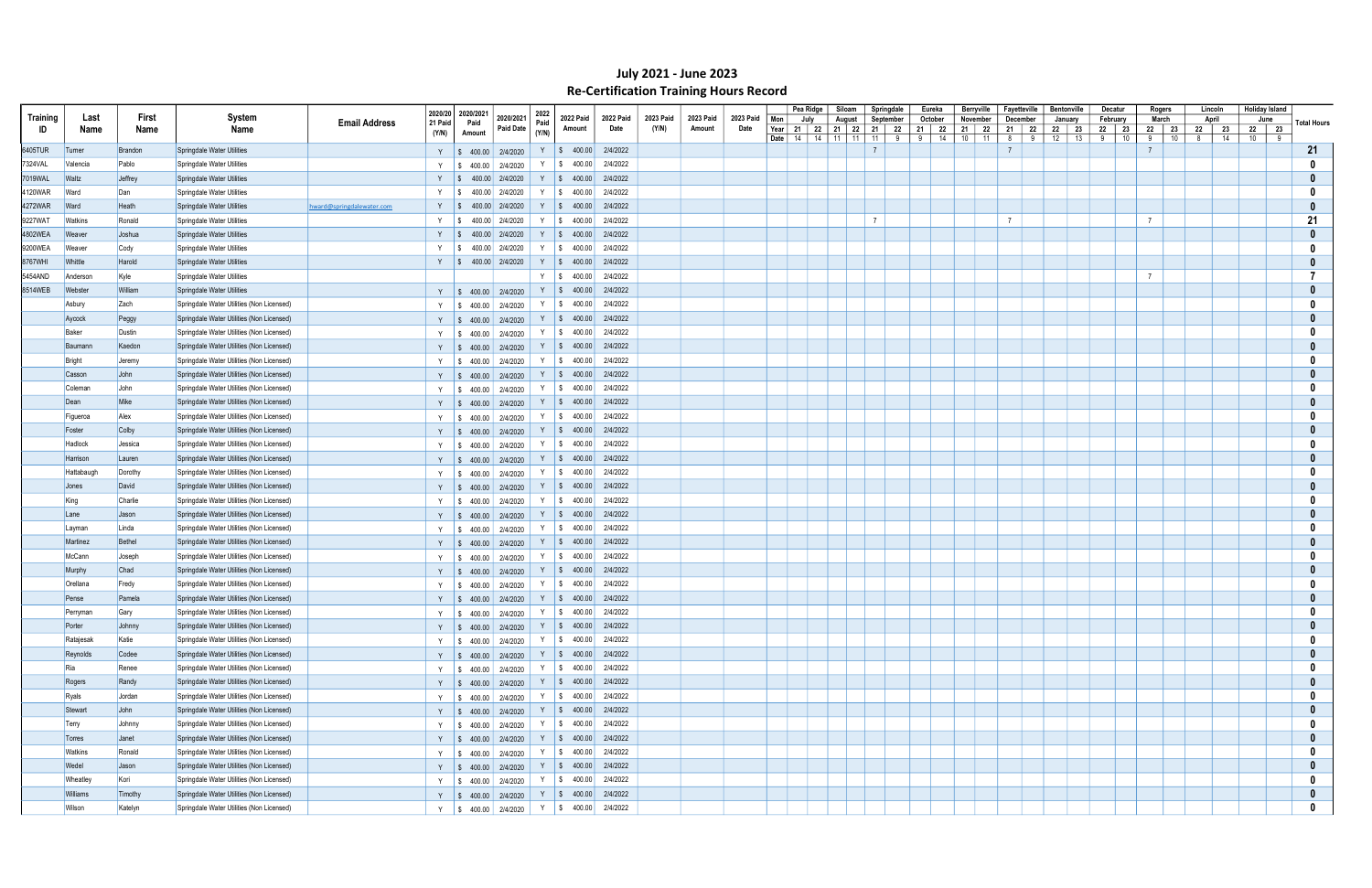|          |                |         |                                           |                           |                    |                                  |                                                                                                                        |              |                                                                                                          |                   |                    |                     |                   |     | Pea Ridge                                | Siloam   | Springdale     |   | Eureka             | Berryville          | Fayetteville           | <b>Bentonville</b> |    | Decatur    | Rogers           |    | Lincoln          | <b>Holiday Island</b> |                    |
|----------|----------------|---------|-------------------------------------------|---------------------------|--------------------|----------------------------------|------------------------------------------------------------------------------------------------------------------------|--------------|----------------------------------------------------------------------------------------------------------|-------------------|--------------------|---------------------|-------------------|-----|------------------------------------------|----------|----------------|---|--------------------|---------------------|------------------------|--------------------|----|------------|------------------|----|------------------|-----------------------|--------------------|
| Training | Last           | First   | System                                    | <b>Email Address</b>      | 2020/20<br>21 Paid | 2020/2021<br>Paid                | 2020/2021<br>Paid Date                                                                                                 | 2022<br>Paid | 2022 Paid                                                                                                | 2022 Paid<br>Date | 2023 Paid<br>(Y/N) | 2023 Paid<br>Amount | 2023 Paid<br>Date | Mon | July                                     | August   | September      |   | October            | November            | December               | January            |    | February   | March            |    | April            | June                  | <b>Total Hours</b> |
| ID       | Name           | Name    | Name                                      |                           | (Y/N)              | Amount                           |                                                                                                                        | (Y/N)        | Amount                                                                                                   |                   |                    |                     |                   |     | Year 21   22   21   22<br>Date   14   14 | 11<br>11 | 21   22<br>11  | 9 | 21   22<br>14<br>9 | 21   22<br>10<br>11 | 21<br>- 22<br>- 9<br>8 | 22 23<br>12        | 13 | 22 23<br>9 | 22 23<br>10<br>9 | 10 | 22 23<br>14<br>8 | 22 23<br>$10 \mid 9$  |                    |
| 6405TUR  | Turner         | Brandon | Springdale Water Utilities                |                           |                    |                                  | Y   \$ 400.00   2/4/2020                                                                                               |              | $Y \mid$ \$ 400.00                                                                                       | 2/4/2022          |                    |                     |                   |     |                                          |          | $\overline{7}$ |   |                    |                     |                        |                    |    |            |                  |    |                  |                       | 21                 |
| 7324VAL  | Valencia       | Pablo   | Springdale Water Utilities                |                           | $Y \mid$ \$        | 400.00                           | 2/4/2020                                                                                                               | Y S          | 400.00                                                                                                   | 2/4/2022          |                    |                     |                   |     |                                          |          |                |   |                    |                     |                        |                    |    |            |                  |    |                  |                       | - 0                |
| 7019WAL  | Waltz          | Jeffrey | Springdale Water Utilities                |                           |                    | Y   \$ 400.00 2/4/2020           |                                                                                                                        |              | $Y \$ \$ 400.00                                                                                          | 2/4/2022          |                    |                     |                   |     |                                          |          |                |   |                    |                     |                        |                    |    |            |                  |    |                  |                       |                    |
| 4120WAR  | Ward           | Dan     | Springdale Water Utilities                |                           | Y S                |                                  | 400.00 2/4/2020                                                                                                        | Y S          | 400.00                                                                                                   | 2/4/2022          |                    |                     |                   |     |                                          |          |                |   |                    |                     |                        |                    |    |            |                  |    |                  |                       | 0                  |
| 4272WAR  | Ward           | Heath   | Springdale Water Utilities                | hward@springdalewater.com | Y   \$             |                                  | 400.00 2/4/2020                                                                                                        | Y S          | 400.00                                                                                                   | 2/4/2022          |                    |                     |                   |     |                                          |          |                |   |                    |                     |                        |                    |    |            |                  |    |                  |                       |                    |
| 9227WAT  | <b>Watkins</b> | Ronald  | Springdale Water Utilities                |                           | Y S                |                                  | 400.00 2/4/2020                                                                                                        | Y S          | 400.00                                                                                                   | 2/4/2022          |                    |                     |                   |     |                                          |          | $\overline{7}$ |   |                    |                     | $\overline{7}$         |                    |    |            | $\overline{7}$   |    |                  |                       | 21                 |
| 4802WEA  | Weaver         | Joshua  | Springdale Water Utilities                |                           | Y S                |                                  | 400.00 2/4/2020                                                                                                        | $Y \mid$ \$  | 400.00                                                                                                   | 2/4/2022          |                    |                     |                   |     |                                          |          |                |   |                    |                     |                        |                    |    |            |                  |    |                  |                       | $\bf{0}$           |
| 9200WEA  | Weaver         | Cody    | Springdale Water Utilities                |                           | Y                  | $\sqrt{S}$                       | 400.00 2/4/2020                                                                                                        | Y S          | 400.00                                                                                                   | 2/4/2022          |                    |                     |                   |     |                                          |          |                |   |                    |                     |                        |                    |    |            |                  |    |                  |                       | - 0                |
| 8767WHI  | Whittle        | Harold  | Springdale Water Utilities                |                           | $Y \quad   \; \$$  |                                  | 400.00 2/4/2020                                                                                                        | $Y \mid$ \$  | 400.00                                                                                                   | 2/4/2022          |                    |                     |                   |     |                                          |          |                |   |                    |                     |                        |                    |    |            |                  |    |                  |                       |                    |
| 5454AND  | Anderson       | Kyle    | Springdale Water Utilities                |                           |                    |                                  |                                                                                                                        | Y   \$       | 400.00                                                                                                   | 2/4/2022          |                    |                     |                   |     |                                          |          |                |   |                    |                     |                        |                    |    |            | $\overline{7}$   |    |                  |                       |                    |
| 8514WEB  | Webster        | William | Springdale Water Utilities                |                           |                    |                                  | Y   \$ 400.00   2/4/2020                                                                                               |              | $Y \mid$ \$ 400.00                                                                                       | 2/4/2022          |                    |                     |                   |     |                                          |          |                |   |                    |                     |                        |                    |    |            |                  |    |                  |                       |                    |
|          | Asbury         | Zach    | Springdale Water Utilities (Non Licensed) |                           |                    | Y $\parallel$ \$ 400.00 2/4/2020 |                                                                                                                        | Y S          | 400.00                                                                                                   | 2/4/2022          |                    |                     |                   |     |                                          |          |                |   |                    |                     |                        |                    |    |            |                  |    |                  |                       |                    |
|          | Aycock         | Peggy   | Springdale Water Utilities (Non Licensed) |                           |                    | Y $\parallel$ \$ 400.00 2/4/2020 |                                                                                                                        |              | $Y$ \$ 400.00                                                                                            | 2/4/2022          |                    |                     |                   |     |                                          |          |                |   |                    |                     |                        |                    |    |            |                  |    |                  |                       |                    |
|          | Baker          | Dustin  | Springdale Water Utilities (Non Licensed) |                           | $Y \mid$ \$        | 400.00                           | 2/4/2020                                                                                                               |              | $Y$ \$ 400.00                                                                                            | 2/4/2022          |                    |                     |                   |     |                                          |          |                |   |                    |                     |                        |                    |    |            |                  |    |                  |                       |                    |
|          | Baumann        | Kaedon  | Springdale Water Utilities (Non Licensed) |                           |                    | Y $\parallel$ \$ 400.00 2/4/2020 |                                                                                                                        |              | $Y$   \$ 400.00                                                                                          | 2/4/2022          |                    |                     |                   |     |                                          |          |                |   |                    |                     |                        |                    |    |            |                  |    |                  |                       |                    |
|          | Bright         | Jeremy  | Springdale Water Utilities (Non Licensed) |                           |                    | Y   \$ 400.00   2/4/2020         |                                                                                                                        | Y S          | 400.00                                                                                                   | 2/4/2022          |                    |                     |                   |     |                                          |          |                |   |                    |                     |                        |                    |    |            |                  |    |                  |                       |                    |
|          | Casson         | John    | Springdale Water Utilities (Non Licensed) |                           | Y S                |                                  | 400.00 2/4/2020                                                                                                        |              | $Y$ \$ 400.00                                                                                            | 2/4/2022          |                    |                     |                   |     |                                          |          |                |   |                    |                     |                        |                    |    |            |                  |    |                  |                       |                    |
|          | Coleman        | John    | Springdale Water Utilities (Non Licensed) |                           | $Y \mid$ \$        |                                  | 400.00 2/4/2020                                                                                                        | Y S          | 400.00                                                                                                   | 2/4/2022          |                    |                     |                   |     |                                          |          |                |   |                    |                     |                        |                    |    |            |                  |    |                  |                       |                    |
|          | Dean           | Mike    | Springdale Water Utilities (Non Licensed) |                           |                    | Y $\parallel$ \$ 400.00 2/4/2020 |                                                                                                                        |              | $Y \mid$ \$ 400.00                                                                                       | 2/4/2022          |                    |                     |                   |     |                                          |          |                |   |                    |                     |                        |                    |    |            |                  |    |                  |                       |                    |
|          | Figueroa       | Alex    | Springdale Water Utilities (Non Licensed) |                           |                    | Y $\parallel$ \$ 400.00 2/4/2020 |                                                                                                                        |              | $Y$ \$ 400.00                                                                                            | 2/4/2022          |                    |                     |                   |     |                                          |          |                |   |                    |                     |                        |                    |    |            |                  |    |                  |                       |                    |
|          | Foster         | Colby   | Springdale Water Utilities (Non Licensed) |                           |                    | Y   \$ 400.00   2/4/2020         |                                                                                                                        |              | $Y$ \$ 400.00                                                                                            | 2/4/2022          |                    |                     |                   |     |                                          |          |                |   |                    |                     |                        |                    |    |            |                  |    |                  |                       |                    |
|          | Hadlock        | Jessica | Springdale Water Utilities (Non Licensed) |                           |                    | Y   \$ 400.00   2/4/2020         |                                                                                                                        | Y S          | 400.00                                                                                                   | 2/4/2022          |                    |                     |                   |     |                                          |          |                |   |                    |                     |                        |                    |    |            |                  |    |                  |                       |                    |
|          | Harrison       | Lauren  | Springdale Water Utilities (Non Licensed) |                           |                    |                                  | Y   \$ 400.00   2/4/2020                                                                                               |              | $Y$ \$ 400.00                                                                                            | 2/4/2022          |                    |                     |                   |     |                                          |          |                |   |                    |                     |                        |                    |    |            |                  |    |                  |                       |                    |
|          | Hattabaugh     | Dorothy | Springdale Water Utilities (Non Licensed) |                           |                    | Y   \$ 400.00 2/4/2020           |                                                                                                                        | Y S          | 400.00                                                                                                   | 2/4/2022          |                    |                     |                   |     |                                          |          |                |   |                    |                     |                        |                    |    |            |                  |    |                  |                       |                    |
|          | Jones          | David   | Springdale Water Utilities (Non Licensed) |                           |                    | Y $\parallel$ \$ 400.00 2/4/2020 |                                                                                                                        |              | $Y \mid$ \$ 400.00                                                                                       | 2/4/2022          |                    |                     |                   |     |                                          |          |                |   |                    |                     |                        |                    |    |            |                  |    |                  |                       |                    |
|          | King           | Charlie | Springdale Water Utilities (Non Licensed) |                           | $Y \mid$ \$        | 400.00                           | 2/4/2020                                                                                                               |              | $Y$ \$ 400.00                                                                                            | 2/4/2022          |                    |                     |                   |     |                                          |          |                |   |                    |                     |                        |                    |    |            |                  |    |                  |                       |                    |
|          | Lane           | Jason   | Springdale Water Utilities (Non Licensed) |                           |                    |                                  | Y   \$ 400.00   2/4/2020                                                                                               |              | Y   \$ 400.00                                                                                            | 2/4/2022          |                    |                     |                   |     |                                          |          |                |   |                    |                     |                        |                    |    |            |                  |    |                  |                       |                    |
|          | Layman         | Linda   | Springdale Water Utilities (Non Licensed) |                           |                    | Y $\parallel$ \$ 400.00 2/4/2020 |                                                                                                                        | Y S          | 400.00                                                                                                   | 2/4/2022          |                    |                     |                   |     |                                          |          |                |   |                    |                     |                        |                    |    |            |                  |    |                  |                       |                    |
|          | Martinez       | Bethel  | Springdale Water Utilities (Non Licensed) |                           | Y S                |                                  | 400.00 2/4/2020                                                                                                        | Y S          | 400.00                                                                                                   | 2/4/2022          |                    |                     |                   |     |                                          |          |                |   |                    |                     |                        |                    |    |            |                  |    |                  |                       | $\mathbf{0}$       |
|          | McCann         | Joseph  | Springdale Water Utilities (Non Licensed) |                           |                    | Y $\parallel$ \$ 400.00 2/4/2020 |                                                                                                                        | Y S          | 400.00                                                                                                   | 2/4/2022          |                    |                     |                   |     |                                          |          |                |   |                    |                     |                        |                    |    |            |                  |    |                  |                       |                    |
|          | Murphy         | Chad    | Springdale Water Utilities (Non Licensed) |                           | $Y \mid S$         |                                  | 400.00 2/4/2020                                                                                                        | $Y \mid$ \$  | 400.00                                                                                                   | 2/4/2022          |                    |                     |                   |     |                                          |          |                |   |                    |                     |                        |                    |    |            |                  |    |                  |                       |                    |
|          | Orellana       | Fredy   | Springdale Water Utilities (Non Licensed) |                           | Y S                |                                  | 400.00 2/4/2020                                                                                                        |              | $Y \mid$ \$ 400.00                                                                                       | 2/4/2022          |                    |                     |                   |     |                                          |          |                |   |                    |                     |                        |                    |    |            |                  |    |                  |                       |                    |
|          | Pense          | Pamela  | Springdale Water Utilities (Non Licensed) |                           |                    | Y   \$ 400.00                    | 2/4/2020                                                                                                               |              | $Y \mid$ \$ 400.00                                                                                       | 2/4/2022          |                    |                     |                   |     |                                          |          |                |   |                    |                     |                        |                    |    |            |                  |    |                  |                       |                    |
|          | Perryman       | Gary    | Springdale Water Utilities (Non Licensed) |                           |                    |                                  | Y $\frac{1}{9}$ 400.00 2/4/2020                                                                                        |              | Y   \$ 400.00 2/4/2022                                                                                   |                   |                    |                     |                   |     |                                          |          |                |   |                    |                     |                        |                    |    |            |                  |    |                  |                       | 0                  |
|          | Porter         | Johnny  | Springdale Water Utilities (Non Licensed) |                           |                    |                                  | Y \$400.00 2/4/2020                                                                                                    |              | $Y \,   \, \$ \, 400.00$                                                                                 | 2/4/2022          |                    |                     |                   |     |                                          |          |                |   |                    |                     |                        |                    |    |            |                  |    |                  |                       | $\mathbf{0}$       |
|          | Ratajesak      | Katie   | Springdale Water Utilities (Non Licensed) |                           |                    |                                  | Y \$400.00 2/4/2020                                                                                                    |              | Y   \$ $400.00$   2/4/2022                                                                               |                   |                    |                     |                   |     |                                          |          |                |   |                    |                     |                        |                    |    |            |                  |    |                  |                       | 0                  |
|          | Reynolds       | Codee   | Springdale Water Utilities (Non Licensed) |                           |                    |                                  | Y $\begin{array}{ c c c c c c } \hline \text{S} & 400.00 & 2/4/2020 \hline \end{array}$                                |              | Y $\begin{array}{ c c c c c c } \hline \text{S} & 400.00 & 2/4/2022 \hline \end{array}$                  |                   |                    |                     |                   |     |                                          |          |                |   |                    |                     |                        |                    |    |            |                  |    |                  |                       | $\mathbf{0}$       |
|          | Ria            | Renee   | Springdale Water Utilities (Non Licensed) |                           |                    |                                  | Y $\frac{1}{9}$ 400.00 2/4/2020                                                                                        |              | Y $\vert \$$ 400.00 2/4/2022                                                                             |                   |                    |                     |                   |     |                                          |          |                |   |                    |                     |                        |                    |    |            |                  |    |                  |                       | 0                  |
|          | Rogers         | Randy   | Springdale Water Utilities (Non Licensed) |                           |                    |                                  | Y $\begin{array}{ c c c c c c } \hline \text{$\$} & \text{400.00} & \text{2/4/2020} \hline \end{array}$                |              | Y $\begin{array}{ c c c c c c } \hline \text{S} & 400.00 & 2/4/2022 \hline \end{array}$                  |                   |                    |                     |                   |     |                                          |          |                |   |                    |                     |                        |                    |    |            |                  |    |                  |                       | $\mathbf{0}$       |
|          | Ryals          | Jordan  | Springdale Water Utilities (Non Licensed) |                           |                    |                                  | Y $\begin{array}{ c c c c c c } \hline \text{$\$} & 400.00 & 2/4/2020 \hline \end{array}$                              |              | Y $\begin{array}{ c c c c c c } \hline \text{ $S$} & \text{400.00} & \text{2/4/2022} \hline \end{array}$ |                   |                    |                     |                   |     |                                          |          |                |   |                    |                     |                        |                    |    |            |                  |    |                  |                       | $\mathbf{0}$       |
|          | Stewart        | John    | Springdale Water Utilities (Non Licensed) |                           |                    |                                  | Y $\frac{1}{9}$ 400.00 2/4/2020                                                                                        |              | Y $\begin{array}{ c c c c c c } \hline \text{S} & 400.00 & 2/4/2022 \hline \end{array}$                  |                   |                    |                     |                   |     |                                          |          |                |   |                    |                     |                        |                    |    |            |                  |    |                  |                       | $\bf{0}$           |
|          | Terry          | Johnny  | Springdale Water Utilities (Non Licensed) |                           |                    |                                  | Y   \$ 400.00 2/4/2020                                                                                                 |              | Y   \$ 400.00                                                                                            | 2/4/2022          |                    |                     |                   |     |                                          |          |                |   |                    |                     |                        |                    |    |            |                  |    |                  |                       | 0                  |
|          | Torres         | Janet   | Springdale Water Utilities (Non Licensed) |                           |                    |                                  | Y $\begin{array}{ c c c c c c } \hline \text{$\hat{\mathsf{S}}$} & \text{400.00} & \text{2/4/2020} \hline \end{array}$ |              | $Y$ \$ 400.00                                                                                            | 2/4/2022          |                    |                     |                   |     |                                          |          |                |   |                    |                     |                        |                    |    |            |                  |    |                  |                       | $\mathbf{0}$       |
|          | <b>Watkins</b> | Ronald  | Springdale Water Utilities (Non Licensed) |                           |                    |                                  | Y $\begin{array}{ c c c c c c } \hline \text{$\$} & \text{400.00} & \text{2/4/2020} \hline \end{array}$                |              | Y   \$ 400.00   2/4/2022                                                                                 |                   |                    |                     |                   |     |                                          |          |                |   |                    |                     |                        |                    |    |            |                  |    |                  |                       | $\mathbf 0$        |
|          | Wedel          | Jason   | Springdale Water Utilities (Non Licensed) |                           |                    |                                  | Y $\frac{1}{9}$ 400.00 2/4/2020                                                                                        |              | $Y \,   \, \$ \, 400.00$                                                                                 | 2/4/2022          |                    |                     |                   |     |                                          |          |                |   |                    |                     |                        |                    |    |            |                  |    |                  |                       | $\mathbf{0}$       |
|          | Wheatley       | Kori    | Springdale Water Utilities (Non Licensed) |                           |                    |                                  | Y $\frac{1}{9}$ 400.00 2/4/2020                                                                                        |              | Y   \$ 400.00                                                                                            | 2/4/2022          |                    |                     |                   |     |                                          |          |                |   |                    |                     |                        |                    |    |            |                  |    |                  |                       | $\mathbf 0$        |
|          | Williams       | Timothy | Springdale Water Utilities (Non Licensed) |                           |                    |                                  | Y $\begin{array}{ c c c c c c } \hline \text{$\$} & \text{400.00} & \text{2/4/2020} \hline \end{array}$                |              | Y   \$ 400.00                                                                                            | 2/4/2022          |                    |                     |                   |     |                                          |          |                |   |                    |                     |                        |                    |    |            |                  |    |                  |                       | $\mathbf{0}$       |
|          | Wilson         | Katelyn | Springdale Water Utilities (Non Licensed) |                           |                    |                                  | Y \$ 400.00 2/4/2020                                                                                                   |              | Y   \$ 400.00   2/4/2022                                                                                 |                   |                    |                     |                   |     |                                          |          |                |   |                    |                     |                        |                    |    |            |                  |    |                  |                       | $\mathbf 0$        |
|          |                |         |                                           |                           |                    |                                  |                                                                                                                        |              |                                                                                                          |                   |                    |                     |                   |     |                                          |          |                |   |                    |                     |                        |                    |    |            |                  |    |                  |                       |                    |